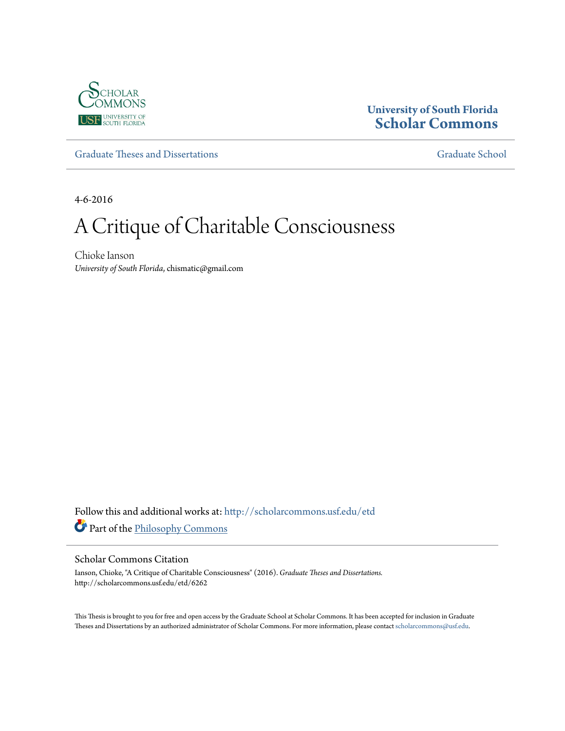

### **University of South Florida [Scholar Commons](http://scholarcommons.usf.edu?utm_source=scholarcommons.usf.edu%2Fetd%2F6262&utm_medium=PDF&utm_campaign=PDFCoverPages)**

[Graduate Theses and Dissertations](http://scholarcommons.usf.edu/etd?utm_source=scholarcommons.usf.edu%2Fetd%2F6262&utm_medium=PDF&utm_campaign=PDFCoverPages) [Graduate School](http://scholarcommons.usf.edu/grad?utm_source=scholarcommons.usf.edu%2Fetd%2F6262&utm_medium=PDF&utm_campaign=PDFCoverPages) Craduate School

4-6-2016

# A Critique of Charitable Consciousness

Chioke Ianson *University of South Florida*, chismatic@gmail.com

Follow this and additional works at: [http://scholarcommons.usf.edu/etd](http://scholarcommons.usf.edu/etd?utm_source=scholarcommons.usf.edu%2Fetd%2F6262&utm_medium=PDF&utm_campaign=PDFCoverPages) Part of the [Philosophy Commons](http://network.bepress.com/hgg/discipline/525?utm_source=scholarcommons.usf.edu%2Fetd%2F6262&utm_medium=PDF&utm_campaign=PDFCoverPages)

#### Scholar Commons Citation

Ianson, Chioke, "A Critique of Charitable Consciousness" (2016). *Graduate Theses and Dissertations.* http://scholarcommons.usf.edu/etd/6262

This Thesis is brought to you for free and open access by the Graduate School at Scholar Commons. It has been accepted for inclusion in Graduate Theses and Dissertations by an authorized administrator of Scholar Commons. For more information, please contact [scholarcommons@usf.edu.](mailto:scholarcommons@usf.edu)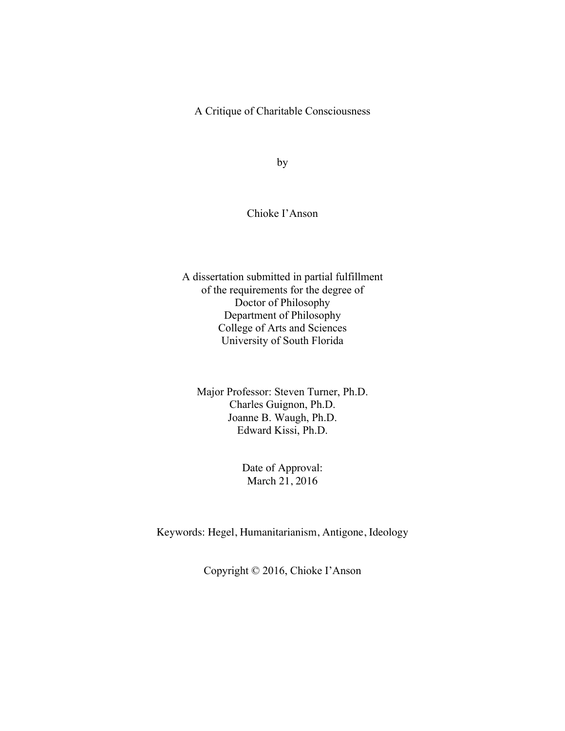A Critique of Charitable Consciousness

by

### Chioke I'Anson

A dissertation submitted in partial fulfillment of the requirements for the degree of Doctor of Philosophy Department of Philosophy College of Arts and Sciences University of South Florida

Major Professor: Steven Turner, Ph.D. Charles Guignon, Ph.D. Joanne B. Waugh, Ph.D. Edward Kissi, Ph.D.

> Date of Approval: March 21, 2016

Keywords: Hegel, Humanitarianism, Antigone, Ideology

Copyright © 2016, Chioke I'Anson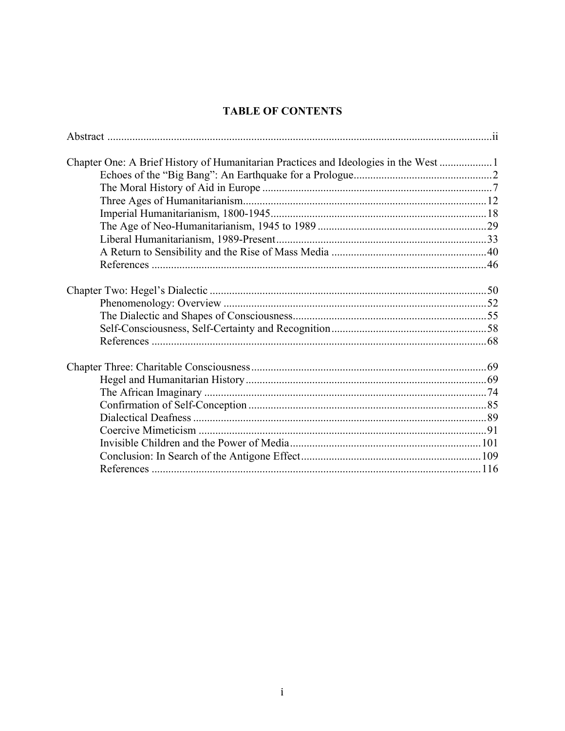## **TABLE OF CONTENTS**

| Chapter One: A Brief History of Humanitarian Practices and Ideologies in the West |  |
|-----------------------------------------------------------------------------------|--|
|                                                                                   |  |
|                                                                                   |  |
|                                                                                   |  |
|                                                                                   |  |
|                                                                                   |  |
|                                                                                   |  |
|                                                                                   |  |
|                                                                                   |  |
|                                                                                   |  |
|                                                                                   |  |
|                                                                                   |  |
|                                                                                   |  |
|                                                                                   |  |
|                                                                                   |  |
|                                                                                   |  |
|                                                                                   |  |
|                                                                                   |  |
|                                                                                   |  |
|                                                                                   |  |
|                                                                                   |  |
|                                                                                   |  |
|                                                                                   |  |
|                                                                                   |  |
|                                                                                   |  |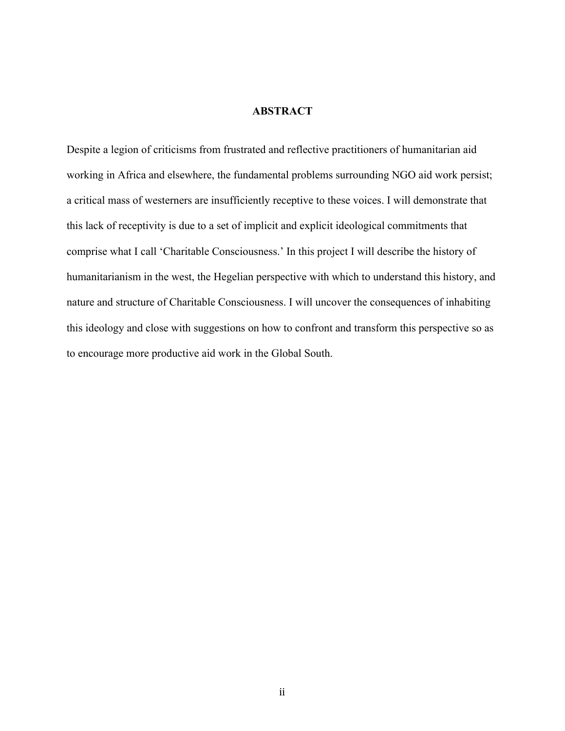### **ABSTRACT**

Despite a legion of criticisms from frustrated and reflective practitioners of humanitarian aid working in Africa and elsewhere, the fundamental problems surrounding NGO aid work persist; a critical mass of westerners are insufficiently receptive to these voices. I will demonstrate that this lack of receptivity is due to a set of implicit and explicit ideological commitments that comprise what I call 'Charitable Consciousness.' In this project I will describe the history of humanitarianism in the west, the Hegelian perspective with which to understand this history, and nature and structure of Charitable Consciousness. I will uncover the consequences of inhabiting this ideology and close with suggestions on how to confront and transform this perspective so as to encourage more productive aid work in the Global South.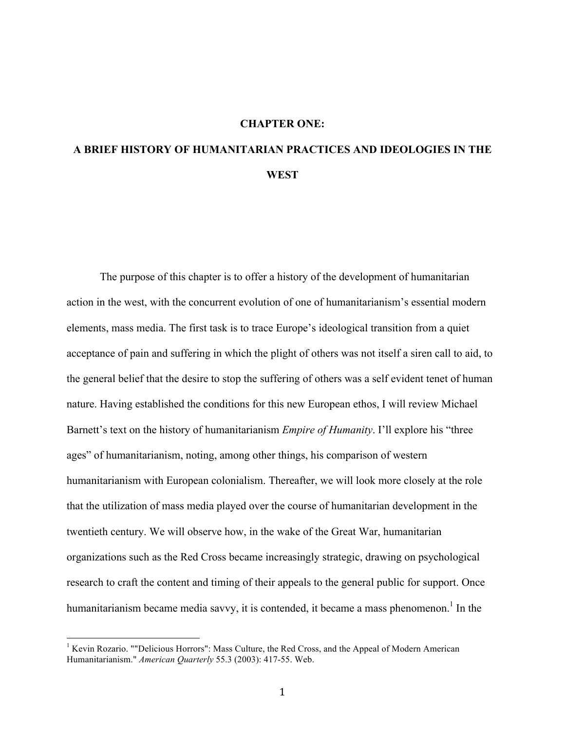### **CHAPTER ONE:**

# **A BRIEF HISTORY OF HUMANITARIAN PRACTICES AND IDEOLOGIES IN THE WEST**

The purpose of this chapter is to offer a history of the development of humanitarian action in the west, with the concurrent evolution of one of humanitarianism's essential modern elements, mass media. The first task is to trace Europe's ideological transition from a quiet acceptance of pain and suffering in which the plight of others was not itself a siren call to aid, to the general belief that the desire to stop the suffering of others was a self evident tenet of human nature. Having established the conditions for this new European ethos, I will review Michael Barnett's text on the history of humanitarianism *Empire of Humanity*. I'll explore his "three ages" of humanitarianism, noting, among other things, his comparison of western humanitarianism with European colonialism. Thereafter, we will look more closely at the role that the utilization of mass media played over the course of humanitarian development in the twentieth century. We will observe how, in the wake of the Great War, humanitarian organizations such as the Red Cross became increasingly strategic, drawing on psychological research to craft the content and timing of their appeals to the general public for support. Once humanitarianism became media savvy, it is contended, it became a mass phenomenon.<sup>1</sup> In the

 $\frac{1}{1}$ <sup>1</sup> Kevin Rozario. ""Delicious Horrors": Mass Culture, the Red Cross, and the Appeal of Modern American Humanitarianism." *American Quarterly* 55.3 (2003): 417-55. Web.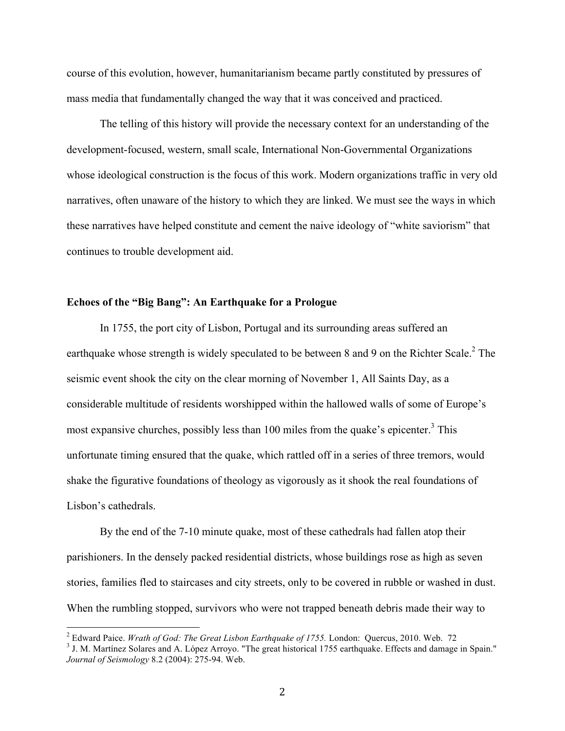course of this evolution, however, humanitarianism became partly constituted by pressures of mass media that fundamentally changed the way that it was conceived and practiced.

The telling of this history will provide the necessary context for an understanding of the development-focused, western, small scale, International Non-Governmental Organizations whose ideological construction is the focus of this work. Modern organizations traffic in very old narratives, often unaware of the history to which they are linked. We must see the ways in which these narratives have helped constitute and cement the naive ideology of "white saviorism" that continues to trouble development aid.

### **Echoes of the "Big Bang": An Earthquake for a Prologue**

In 1755, the port city of Lisbon, Portugal and its surrounding areas suffered an earthquake whose strength is widely speculated to be between 8 and 9 on the Richter Scale.<sup>2</sup> The seismic event shook the city on the clear morning of November 1, All Saints Day, as a considerable multitude of residents worshipped within the hallowed walls of some of Europe's most expansive churches, possibly less than 100 miles from the quake's epicenter.<sup>3</sup> This unfortunate timing ensured that the quake, which rattled off in a series of three tremors, would shake the figurative foundations of theology as vigorously as it shook the real foundations of Lisbon's cathedrals.

By the end of the 7-10 minute quake, most of these cathedrals had fallen atop their parishioners. In the densely packed residential districts, whose buildings rose as high as seven stories, families fled to staircases and city streets, only to be covered in rubble or washed in dust. When the rumbling stopped, survivors who were not trapped beneath debris made their way to

 $\frac{1}{2}$ <sup>2</sup> Edward Paice. *Wrath of God: The Great Lisbon Earthquake of 1755*. London: Quercus, 2010. Web. 72

<sup>&</sup>lt;sup>3</sup> J. M. Martínez Solares and A. López Arroyo. "The great historical 1755 earthquake. Effects and damage in Spain." *Journal of Seismology* 8.2 (2004): 275-94. Web.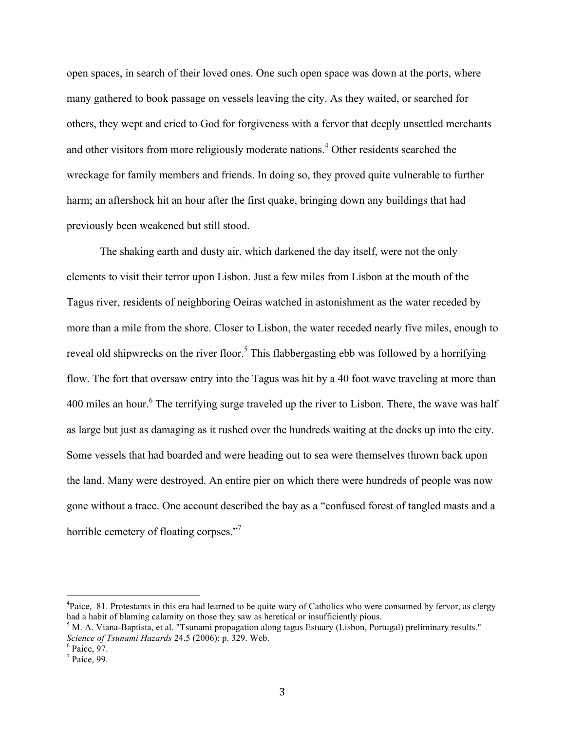open spaces, in search of their loved ones. One such open space was down at the ports, where many gathered to book passage on vessels leaving the city. As they waited, or searched for others, they wept and cried to God for forgiveness with a fervor that deeply unsettled merchants and other visitors from more religiously moderate nations.<sup>4</sup> Other residents searched the wreckage for family members and friends. In doing so, they proved quite vulnerable to further harm; an aftershock hit an hour after the first quake, bringing down any buildings that had previously been weakened but still stood.

The shaking earth and dusty air, which darkened the day itself, were not the only elements to visit their terror upon Lisbon. Just a few miles from Lisbon at the mouth of the Tagus river, residents of neighboring Oeiras watched in astonishment as the water receded by more than a mile from the shore. Closer to Lisbon, the water receded nearly five miles, enough to reveal old shipwrecks on the river floor.<sup>5</sup> This flabbergasting ebb was followed by a horrifying flow. The fort that oversaw entry into the Tagus was hit by a 40 foot wave traveling at more than 400 miles an hour.<sup>6</sup> The terrifying surge traveled up the river to Lisbon. There, the wave was half as large but just as damaging as it rushed over the hundreds waiting at the docks up into the city. Some vessels that had boarded and were heading out to sea were themselves thrown back upon the land. Many were destroyed. An entire pier on which there were hundreds of people was now gone without a trace. One account described the bay as a "confused forest of tangled masts and a horrible cemetery of floating corpses."<sup>7</sup>

 $\frac{1}{4}$ <sup>4</sup>Paice, 81. Protestants in this era had learned to be quite wary of Catholics who were consumed by fervor, as clergy had a habit of blaming calamity on those they saw as heretical or insufficiently pious.

<sup>&</sup>lt;sup>5</sup> M. A. Viana-Baptista, et al. "Tsunami propagation along tagus Estuary (Lisbon, Portugal) preliminary results." *Science of Tsunami Hazards* 24.5 (2006): p. 329. Web.

 $6$  Paice, 97.

 $<sup>7</sup>$  Paice, 99.</sup>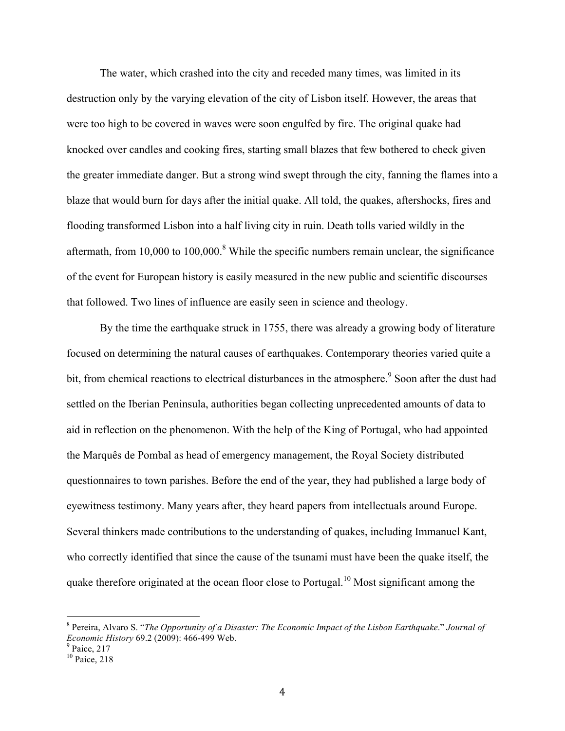The water, which crashed into the city and receded many times, was limited in its destruction only by the varying elevation of the city of Lisbon itself. However, the areas that were too high to be covered in waves were soon engulfed by fire. The original quake had knocked over candles and cooking fires, starting small blazes that few bothered to check given the greater immediate danger. But a strong wind swept through the city, fanning the flames into a blaze that would burn for days after the initial quake. All told, the quakes, aftershocks, fires and flooding transformed Lisbon into a half living city in ruin. Death tolls varied wildly in the aftermath, from 10,000 to 100,000.<sup>8</sup> While the specific numbers remain unclear, the significance of the event for European history is easily measured in the new public and scientific discourses that followed. Two lines of influence are easily seen in science and theology.

By the time the earthquake struck in 1755, there was already a growing body of literature focused on determining the natural causes of earthquakes. Contemporary theories varied quite a bit, from chemical reactions to electrical disturbances in the atmosphere.<sup>9</sup> Soon after the dust had settled on the Iberian Peninsula, authorities began collecting unprecedented amounts of data to aid in reflection on the phenomenon. With the help of the King of Portugal, who had appointed the Marquês de Pombal as head of emergency management, the Royal Society distributed questionnaires to town parishes. Before the end of the year, they had published a large body of eyewitness testimony. Many years after, they heard papers from intellectuals around Europe. Several thinkers made contributions to the understanding of quakes, including Immanuel Kant, who correctly identified that since the cause of the tsunami must have been the quake itself, the quake therefore originated at the ocean floor close to Portugal.10 Most significant among the

 <sup>8</sup> Pereira, Alvaro S. "*The Opportunity of a Disaster: The Economic Impact of the Lisbon Earthquake*." *Journal of Economic History* 69.2 (2009): 466-499 Web.<br><sup>9</sup> Paice, 217

<sup>&</sup>lt;sup>10</sup> Paice, 218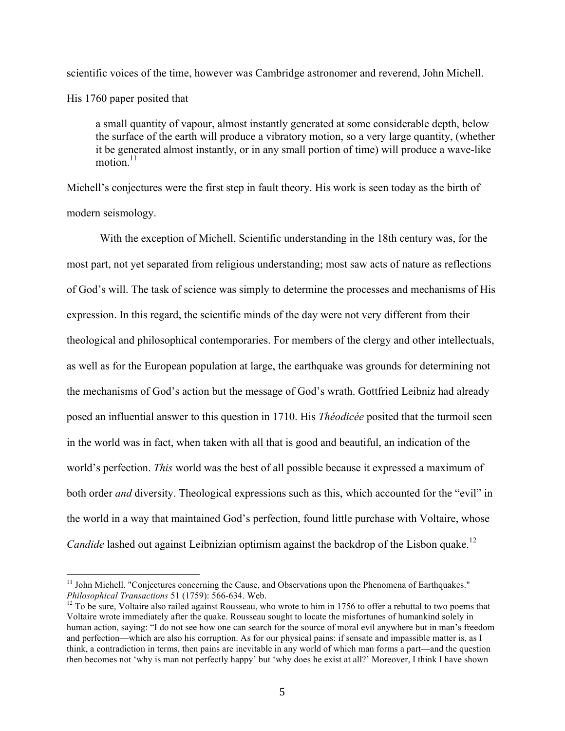scientific voices of the time, however was Cambridge astronomer and reverend, John Michell. His 1760 paper posited that

a small quantity of vapour, almost instantly generated at some considerable depth, below the surface of the earth will produce a vibratory motion, so a very large quantity, (whether it be generated almost instantly, or in any small portion of time) will produce a wave-like motion $11$ 

Michell's conjectures were the first step in fault theory. His work is seen today as the birth of modern seismology.

With the exception of Michell, Scientific understanding in the 18th century was, for the most part, not yet separated from religious understanding; most saw acts of nature as reflections of God's will. The task of science was simply to determine the processes and mechanisms of His expression. In this regard, the scientific minds of the day were not very different from their theological and philosophical contemporaries. For members of the clergy and other intellectuals, as well as for the European population at large, the earthquake was grounds for determining not the mechanisms of God's action but the message of God's wrath. Gottfried Leibniz had already posed an influential answer to this question in 1710. His *Théodicée* posited that the turmoil seen in the world was in fact, when taken with all that is good and beautiful, an indication of the world's perfection. *This* world was the best of all possible because it expressed a maximum of both order *and* diversity. Theological expressions such as this, which accounted for the "evil" in the world in a way that maintained God's perfection, found little purchase with Voltaire, whose *Candide* lashed out against Leibnizian optimism against the backdrop of the Lisbon quake.<sup>12</sup>

<sup>&</sup>lt;sup>11</sup> John Michell. "Conjectures concerning the Cause, and Observations upon the Phenomena of Earthquakes."<br>*Philosophical Transactions* 51 (1759): 566-634. Web.

<sup>&</sup>lt;sup>12</sup> To be sure, Voltaire also railed against Rousseau, who wrote to him in 1756 to offer a rebuttal to two poems that Voltaire wrote immediately after the quake. Rousseau sought to locate the misfortunes of humankind solely in human action, saying: "I do not see how one can search for the source of moral evil anywhere but in man's freedom and perfection—which are also his corruption. As for our physical pains: if sensate and impassible matter is, as I think, a contradiction in terms, then pains are inevitable in any world of which man forms a part—and the question then becomes not 'why is man not perfectly happy' but 'why does he exist at all?' Moreover, I think I have shown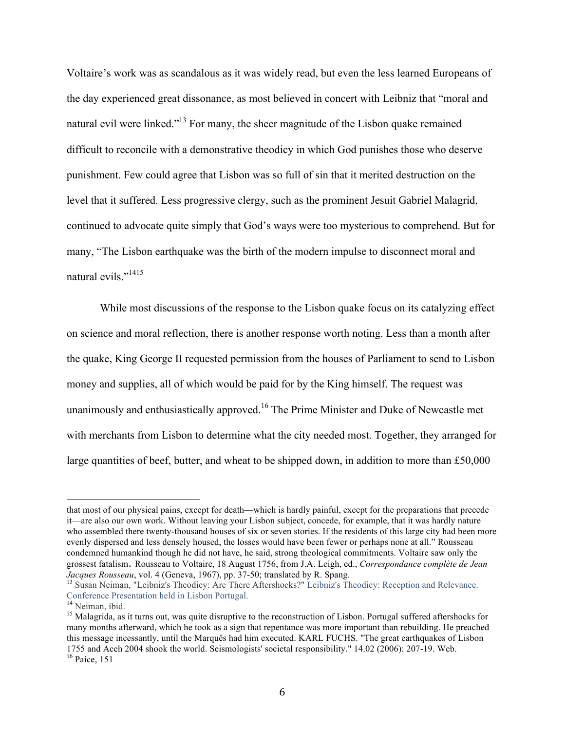Voltaire's work was as scandalous as it was widely read, but even the less learned Europeans of the day experienced great dissonance, as most believed in concert with Leibniz that "moral and natural evil were linked."<sup>13</sup> For many, the sheer magnitude of the Lisbon quake remained difficult to reconcile with a demonstrative theodicy in which God punishes those who deserve punishment. Few could agree that Lisbon was so full of sin that it merited destruction on the level that it suffered. Less progressive clergy, such as the prominent Jesuit Gabriel Malagrid, continued to advocate quite simply that God's ways were too mysterious to comprehend. But for many, "The Lisbon earthquake was the birth of the modern impulse to disconnect moral and natural evils."1415

While most discussions of the response to the Lisbon quake focus on its catalyzing effect on science and moral reflection, there is another response worth noting. Less than a month after the quake, King George II requested permission from the houses of Parliament to send to Lisbon money and supplies, all of which would be paid for by the King himself. The request was unanimously and enthusiastically approved.16 The Prime Minister and Duke of Newcastle met with merchants from Lisbon to determine what the city needed most. Together, they arranged for large quantities of beef, butter, and wheat to be shipped down, in addition to more than £50,000

that most of our physical pains, except for death—which is hardly painful, except for the preparations that precede it—are also our own work. Without leaving your Lisbon subject, concede, for example, that it was hardly nature who assembled there twenty-thousand houses of six or seven stories. If the residents of this large city had been more evenly dispersed and less densely housed, the losses would have been fewer or perhaps none at all." Rousseau condemned humankind though he did not have, he said, strong theological commitments. Voltaire saw only the grossest fatalism. Rousseau to Voltaire, 18 August 1756, from J.A. Leigh, ed., *Correspondance complète de Jean* 

<sup>&</sup>lt;sup>13</sup> Susan Neiman, "Leibniz's Theodicy: Are There Aftershocks?" Leibniz's Theodicy: Reception and Relevance. Conference Presentation held in Lisbon Portugal.

<sup>&</sup>lt;sup>15</sup> Malagrida, as it turns out, was quite disruptive to the reconstruction of Lisbon. Portugal suffered aftershocks for many months afterward, which he took as a sign that repentance was more important than rebuilding. He preached this message incessantly, until the Marquês had him executed. KARL FUCHS. "The great earthquakes of Lisbon 1755 and Aceh 2004 shook the world. Seismologists' societal responsibility." 14.02 (2006): 207-19. Web. <sup>16</sup> Paice, 151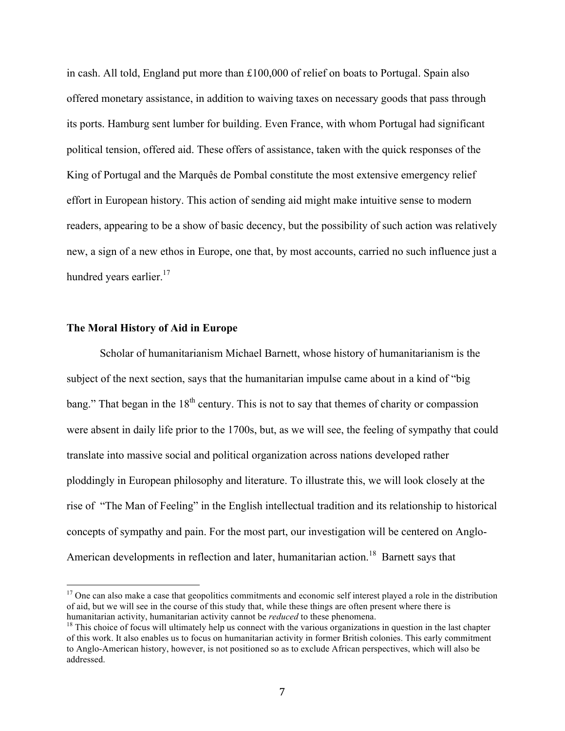in cash. All told, England put more than £100,000 of relief on boats to Portugal. Spain also offered monetary assistance, in addition to waiving taxes on necessary goods that pass through its ports. Hamburg sent lumber for building. Even France, with whom Portugal had significant political tension, offered aid. These offers of assistance, taken with the quick responses of the King of Portugal and the Marquês de Pombal constitute the most extensive emergency relief effort in European history. This action of sending aid might make intuitive sense to modern readers, appearing to be a show of basic decency, but the possibility of such action was relatively new, a sign of a new ethos in Europe, one that, by most accounts, carried no such influence just a hundred years earlier.<sup>17</sup>

### **The Moral History of Aid in Europe**

Scholar of humanitarianism Michael Barnett, whose history of humanitarianism is the subject of the next section, says that the humanitarian impulse came about in a kind of "big bang." That began in the  $18<sup>th</sup>$  century. This is not to say that themes of charity or compassion were absent in daily life prior to the 1700s, but, as we will see, the feeling of sympathy that could translate into massive social and political organization across nations developed rather ploddingly in European philosophy and literature. To illustrate this, we will look closely at the rise of "The Man of Feeling" in the English intellectual tradition and its relationship to historical concepts of sympathy and pain. For the most part, our investigation will be centered on Anglo-American developments in reflection and later, humanitarian action.<sup>18</sup> Barnett says that

<sup>&</sup>lt;sup>17</sup> One can also make a case that geopolitics commitments and economic self interest played a role in the distribution of aid, but we will see in the course of this study that, while these things are often present where there is humanitarian activity, humanitarian activity cannot be *reduced* to these phenomena.<br><sup>18</sup> This choice of focus will ultimately help us connect with the various organizations in question in the last chapter

of this work. It also enables us to focus on humanitarian activity in former British colonies. This early commitment to Anglo-American history, however, is not positioned so as to exclude African perspectives, which will also be addressed.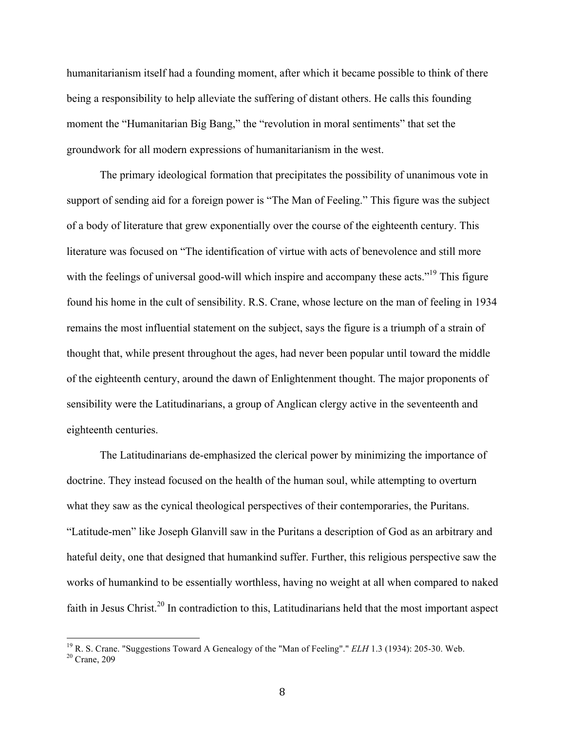humanitarianism itself had a founding moment, after which it became possible to think of there being a responsibility to help alleviate the suffering of distant others. He calls this founding moment the "Humanitarian Big Bang," the "revolution in moral sentiments" that set the groundwork for all modern expressions of humanitarianism in the west.

The primary ideological formation that precipitates the possibility of unanimous vote in support of sending aid for a foreign power is "The Man of Feeling." This figure was the subject of a body of literature that grew exponentially over the course of the eighteenth century. This literature was focused on "The identification of virtue with acts of benevolence and still more with the feelings of universal good-will which inspire and accompany these acts."<sup>19</sup> This figure found his home in the cult of sensibility. R.S. Crane, whose lecture on the man of feeling in 1934 remains the most influential statement on the subject, says the figure is a triumph of a strain of thought that, while present throughout the ages, had never been popular until toward the middle of the eighteenth century, around the dawn of Enlightenment thought. The major proponents of sensibility were the Latitudinarians, a group of Anglican clergy active in the seventeenth and eighteenth centuries.

The Latitudinarians de-emphasized the clerical power by minimizing the importance of doctrine. They instead focused on the health of the human soul, while attempting to overturn what they saw as the cynical theological perspectives of their contemporaries, the Puritans. "Latitude-men" like Joseph Glanvill saw in the Puritans a description of God as an arbitrary and hateful deity, one that designed that humankind suffer. Further, this religious perspective saw the works of humankind to be essentially worthless, having no weight at all when compared to naked faith in Jesus Christ.<sup>20</sup> In contradiction to this, Latitudinarians held that the most important aspect

<sup>&</sup>lt;sup>19</sup> R. S. Crane. "Suggestions Toward A Genealogy of the "Man of Feeling"." *ELH* 1.3 (1934): 205-30. Web. <sup>20</sup> Crane, 209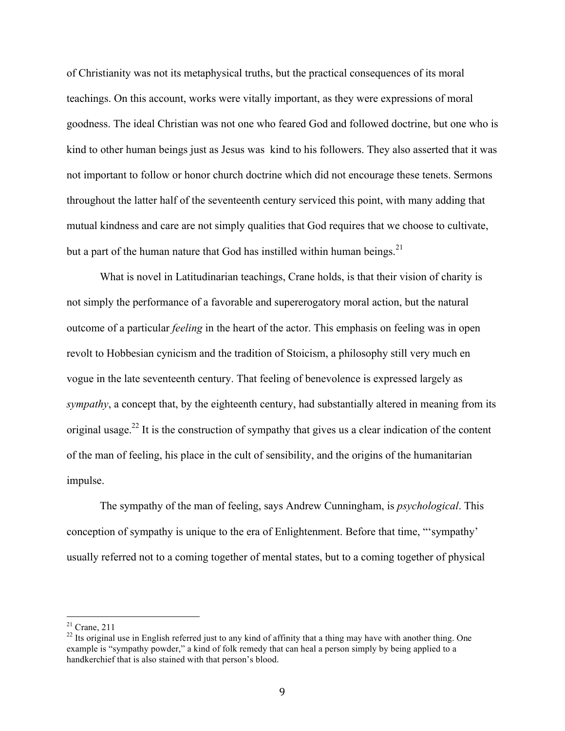of Christianity was not its metaphysical truths, but the practical consequences of its moral teachings. On this account, works were vitally important, as they were expressions of moral goodness. The ideal Christian was not one who feared God and followed doctrine, but one who is kind to other human beings just as Jesus was kind to his followers. They also asserted that it was not important to follow or honor church doctrine which did not encourage these tenets. Sermons throughout the latter half of the seventeenth century serviced this point, with many adding that mutual kindness and care are not simply qualities that God requires that we choose to cultivate, but a part of the human nature that God has instilled within human beings.<sup>21</sup>

What is novel in Latitudinarian teachings, Crane holds, is that their vision of charity is not simply the performance of a favorable and supererogatory moral action, but the natural outcome of a particular *feeling* in the heart of the actor. This emphasis on feeling was in open revolt to Hobbesian cynicism and the tradition of Stoicism, a philosophy still very much en vogue in the late seventeenth century. That feeling of benevolence is expressed largely as *sympathy*, a concept that, by the eighteenth century, had substantially altered in meaning from its original usage.<sup>22</sup> It is the construction of sympathy that gives us a clear indication of the content of the man of feeling, his place in the cult of sensibility, and the origins of the humanitarian impulse.

The sympathy of the man of feeling, says Andrew Cunningham, is *psychological*. This conception of sympathy is unique to the era of Enlightenment. Before that time, "'sympathy' usually referred not to a coming together of mental states, but to a coming together of physical

 $21$  Crane, 211

 $^{22}$  Its original use in English referred just to any kind of affinity that a thing may have with another thing. One example is "sympathy powder," a kind of folk remedy that can heal a person simply by being applied to a handkerchief that is also stained with that person's blood.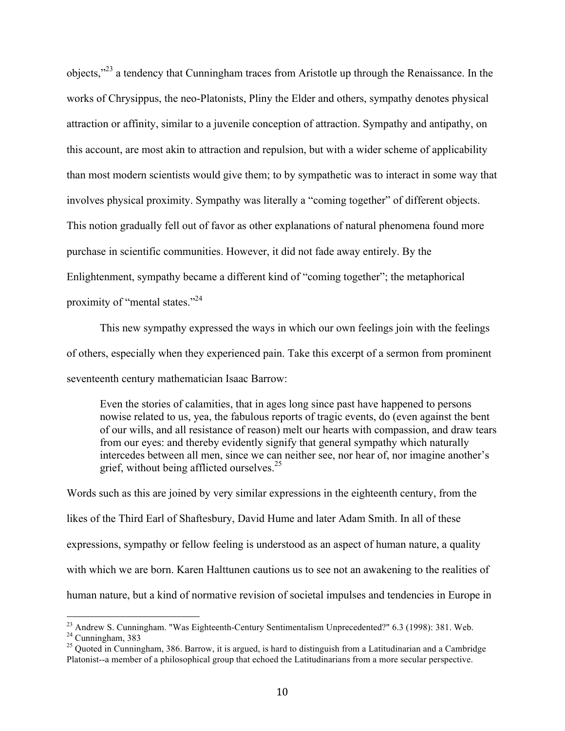objects,"23 a tendency that Cunningham traces from Aristotle up through the Renaissance. In the works of Chrysippus, the neo-Platonists, Pliny the Elder and others, sympathy denotes physical attraction or affinity, similar to a juvenile conception of attraction. Sympathy and antipathy, on this account, are most akin to attraction and repulsion, but with a wider scheme of applicability than most modern scientists would give them; to by sympathetic was to interact in some way that involves physical proximity. Sympathy was literally a "coming together" of different objects. This notion gradually fell out of favor as other explanations of natural phenomena found more purchase in scientific communities. However, it did not fade away entirely. By the Enlightenment, sympathy became a different kind of "coming together"; the metaphorical proximity of "mental states."<sup>24</sup>

This new sympathy expressed the ways in which our own feelings join with the feelings of others, especially when they experienced pain. Take this excerpt of a sermon from prominent seventeenth century mathematician Isaac Barrow:

Even the stories of calamities, that in ages long since past have happened to persons nowise related to us, yea, the fabulous reports of tragic events, do (even against the bent of our wills, and all resistance of reason) melt our hearts with compassion, and draw tears from our eyes: and thereby evidently signify that general sympathy which naturally intercedes between all men, since we can neither see, nor hear of, nor imagine another's grief, without being afflicted ourselves. $25$ 

Words such as this are joined by very similar expressions in the eighteenth century, from the likes of the Third Earl of Shaftesbury, David Hume and later Adam Smith. In all of these expressions, sympathy or fellow feeling is understood as an aspect of human nature, a quality with which we are born. Karen Halttunen cautions us to see not an awakening to the realities of human nature, but a kind of normative revision of societal impulses and tendencies in Europe in

 $23$  Andrew S. Cunningham. "Was Eighteenth-Century Sentimentalism Unprecedented?" 6.3 (1998): 381. Web.  $24$  Cunningham, 383

 $^{25}$  Quoted in Cunningham, 386. Barrow, it is argued, is hard to distinguish from a Latitudinarian and a Cambridge Platonist--a member of a philosophical group that echoed the Latitudinarians from a more secular perspective.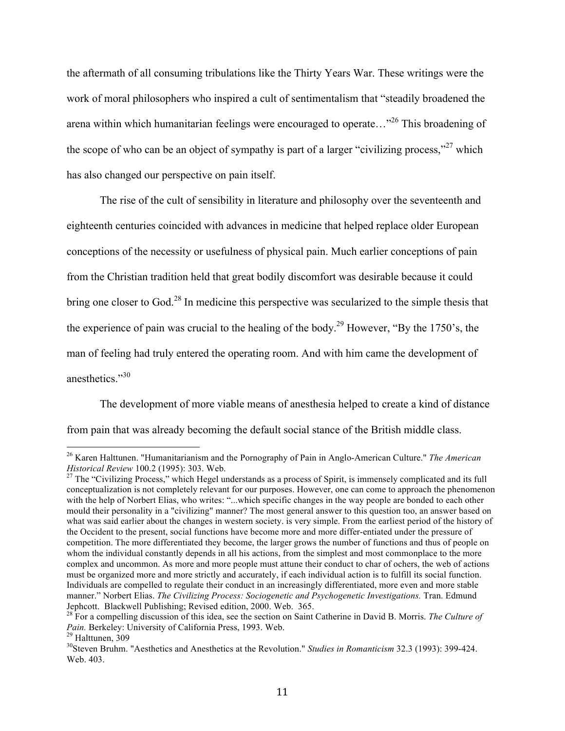the aftermath of all consuming tribulations like the Thirty Years War. These writings were the work of moral philosophers who inspired a cult of sentimentalism that "steadily broadened the arena within which humanitarian feelings were encouraged to operate...<sup>26</sup> This broadening of the scope of who can be an object of sympathy is part of a larger "civilizing process,"<sup>27</sup> which has also changed our perspective on pain itself.

The rise of the cult of sensibility in literature and philosophy over the seventeenth and eighteenth centuries coincided with advances in medicine that helped replace older European conceptions of the necessity or usefulness of physical pain. Much earlier conceptions of pain from the Christian tradition held that great bodily discomfort was desirable because it could bring one closer to God.<sup>28</sup> In medicine this perspective was secularized to the simple thesis that the experience of pain was crucial to the healing of the body.<sup>29</sup> However, "By the 1750's, the man of feeling had truly entered the operating room. And with him came the development of anesthetics."<sup>30</sup>

The development of more viable means of anesthesia helped to create a kind of distance from pain that was already becoming the default social stance of the British middle class.

 <sup>26</sup> Karen Halttunen. "Humanitarianism and the Pornography of Pain in Anglo-American Culture." *The American* 

<sup>&</sup>lt;sup>27</sup> The "Civilizing Process," which Hegel understands as a process of Spirit, is immensely complicated and its full conceptualization is not completely relevant for our purposes. However, one can come to approach the phenomenon with the help of Norbert Elias, who writes: "...which specific changes in the way people are bonded to each other mould their personality in a "civilizing" manner? The most general answer to this question too, an answer based on what was said earlier about the changes in western society. is very simple. From the earliest period of the history of the Occident to the present, social functions have become more and more differ-entiated under the pressure of competition. The more differentiated they become, the larger grows the number of functions and thus of people on whom the individual constantly depends in all his actions, from the simplest and most commonplace to the more complex and uncommon. As more and more people must attune their conduct to char of ochers, the web of actions must be organized more and more strictly and accurately, if each individual action is to fulfill its social function. Individuals are compelled to regulate their conduct in an increasingly differentiated, more even and more stable manner." Norbert Elias. *The Civilizing Process: Sociogenetic and Psychogenetic Investigations.* Tran. Edmund

<sup>&</sup>lt;sup>28</sup> For a compelling discussion of this idea, see the section on Saint Catherine in David B. Morris. *The Culture of Pain.* Berkeley: University of California Press, 1993. Web. <sup>29</sup> Halttunen, 309

<sup>30</sup>Steven Bruhm. "Aesthetics and Anesthetics at the Revolution." *Studies in Romanticism* 32.3 (1993): 399-424. Web. 403.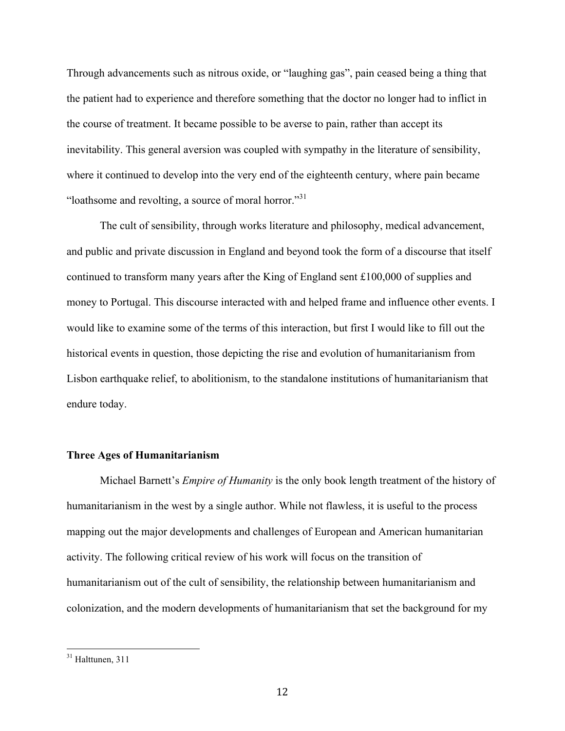Through advancements such as nitrous oxide, or "laughing gas", pain ceased being a thing that the patient had to experience and therefore something that the doctor no longer had to inflict in the course of treatment. It became possible to be averse to pain, rather than accept its inevitability. This general aversion was coupled with sympathy in the literature of sensibility, where it continued to develop into the very end of the eighteenth century, where pain became "loathsome and revolting, a source of moral horror."31

The cult of sensibility, through works literature and philosophy, medical advancement, and public and private discussion in England and beyond took the form of a discourse that itself continued to transform many years after the King of England sent £100,000 of supplies and money to Portugal. This discourse interacted with and helped frame and influence other events. I would like to examine some of the terms of this interaction, but first I would like to fill out the historical events in question, those depicting the rise and evolution of humanitarianism from Lisbon earthquake relief, to abolitionism, to the standalone institutions of humanitarianism that endure today.

### **Three Ages of Humanitarianism**

Michael Barnett's *Empire of Humanity* is the only book length treatment of the history of humanitarianism in the west by a single author. While not flawless, it is useful to the process mapping out the major developments and challenges of European and American humanitarian activity. The following critical review of his work will focus on the transition of humanitarianism out of the cult of sensibility, the relationship between humanitarianism and colonization, and the modern developments of humanitarianism that set the background for my

 $31$  Halttunen, 311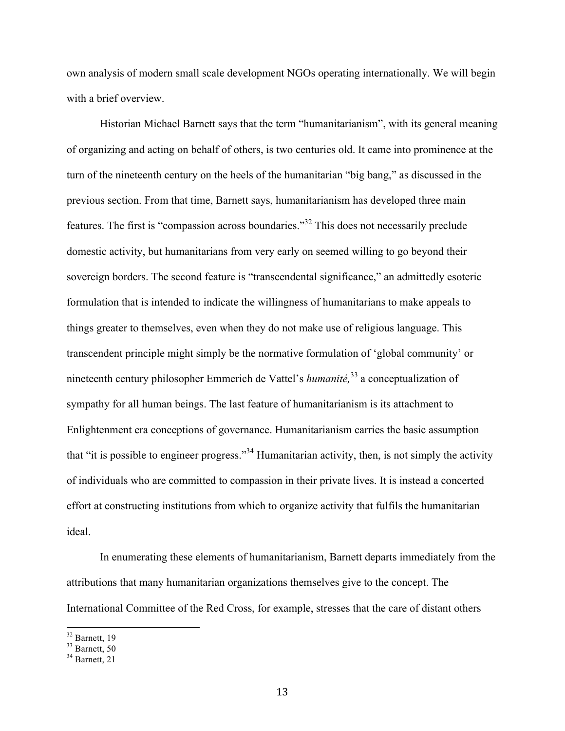own analysis of modern small scale development NGOs operating internationally. We will begin with a brief overview.

Historian Michael Barnett says that the term "humanitarianism", with its general meaning of organizing and acting on behalf of others, is two centuries old. It came into prominence at the turn of the nineteenth century on the heels of the humanitarian "big bang," as discussed in the previous section. From that time, Barnett says, humanitarianism has developed three main features. The first is "compassion across boundaries."32 This does not necessarily preclude domestic activity, but humanitarians from very early on seemed willing to go beyond their sovereign borders. The second feature is "transcendental significance," an admittedly esoteric formulation that is intended to indicate the willingness of humanitarians to make appeals to things greater to themselves, even when they do not make use of religious language. This transcendent principle might simply be the normative formulation of 'global community' or nineteenth century philosopher Emmerich de Vattel's *humanité,*<sup>33</sup> a conceptualization of sympathy for all human beings. The last feature of humanitarianism is its attachment to Enlightenment era conceptions of governance. Humanitarianism carries the basic assumption that "it is possible to engineer progress."34 Humanitarian activity, then, is not simply the activity of individuals who are committed to compassion in their private lives. It is instead a concerted effort at constructing institutions from which to organize activity that fulfils the humanitarian ideal.

In enumerating these elements of humanitarianism, Barnett departs immediately from the attributions that many humanitarian organizations themselves give to the concept. The International Committee of the Red Cross, for example, stresses that the care of distant others

 $\frac{32}{32}$  Barnett, 19

<sup>&</sup>lt;sup>33</sup> Barnett, 50

 $34$  Barnett, 21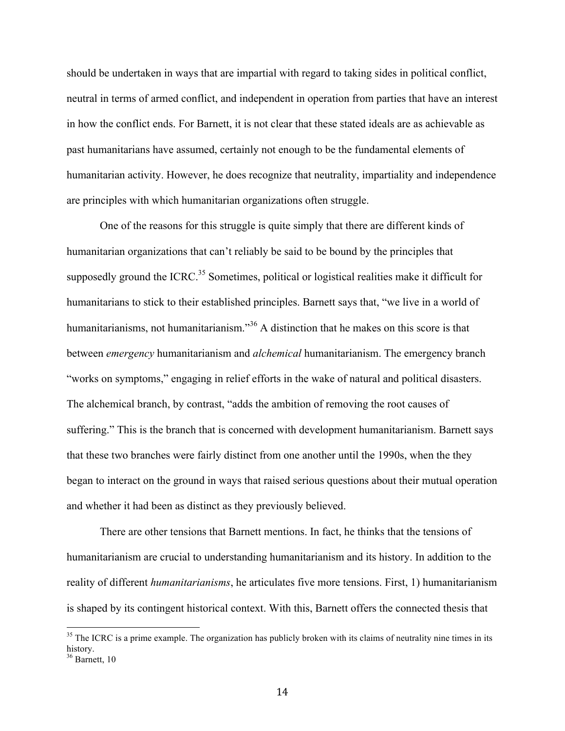should be undertaken in ways that are impartial with regard to taking sides in political conflict, neutral in terms of armed conflict, and independent in operation from parties that have an interest in how the conflict ends. For Barnett, it is not clear that these stated ideals are as achievable as past humanitarians have assumed, certainly not enough to be the fundamental elements of humanitarian activity. However, he does recognize that neutrality, impartiality and independence are principles with which humanitarian organizations often struggle.

One of the reasons for this struggle is quite simply that there are different kinds of humanitarian organizations that can't reliably be said to be bound by the principles that supposedly ground the ICRC.<sup>35</sup> Sometimes, political or logistical realities make it difficult for humanitarians to stick to their established principles. Barnett says that, "we live in a world of humanitarianisms, not humanitarianism."<sup>36</sup> A distinction that he makes on this score is that between *emergency* humanitarianism and *alchemical* humanitarianism. The emergency branch "works on symptoms," engaging in relief efforts in the wake of natural and political disasters. The alchemical branch, by contrast, "adds the ambition of removing the root causes of suffering." This is the branch that is concerned with development humanitarianism. Barnett says that these two branches were fairly distinct from one another until the 1990s, when the they began to interact on the ground in ways that raised serious questions about their mutual operation and whether it had been as distinct as they previously believed.

There are other tensions that Barnett mentions. In fact, he thinks that the tensions of humanitarianism are crucial to understanding humanitarianism and its history. In addition to the reality of different *humanitarianisms*, he articulates five more tensions. First, 1) humanitarianism is shaped by its contingent historical context. With this, Barnett offers the connected thesis that

 $35$  The ICRC is a prime example. The organization has publicly broken with its claims of neutrality nine times in its history.

 $36$  Barnett, 10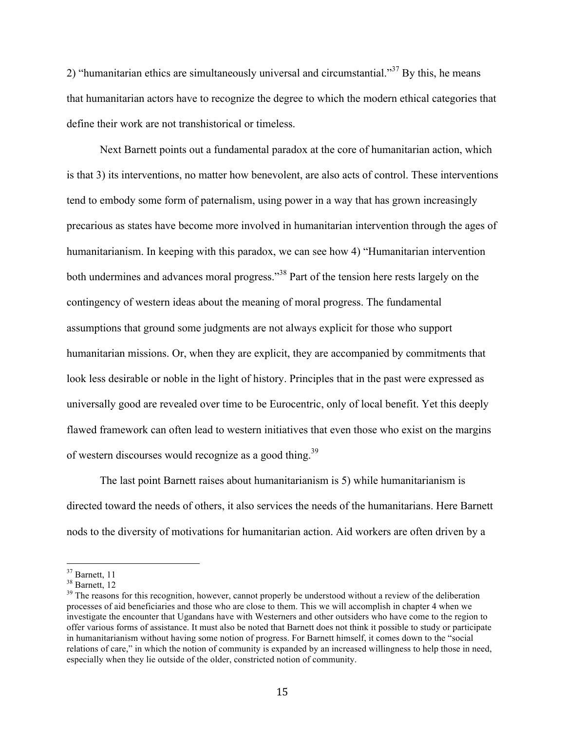2) "humanitarian ethics are simultaneously universal and circumstantial."<sup>37</sup> By this, he means that humanitarian actors have to recognize the degree to which the modern ethical categories that define their work are not transhistorical or timeless.

Next Barnett points out a fundamental paradox at the core of humanitarian action, which is that 3) its interventions, no matter how benevolent, are also acts of control. These interventions tend to embody some form of paternalism, using power in a way that has grown increasingly precarious as states have become more involved in humanitarian intervention through the ages of humanitarianism. In keeping with this paradox, we can see how 4) "Humanitarian intervention both undermines and advances moral progress."<sup>38</sup> Part of the tension here rests largely on the contingency of western ideas about the meaning of moral progress. The fundamental assumptions that ground some judgments are not always explicit for those who support humanitarian missions. Or, when they are explicit, they are accompanied by commitments that look less desirable or noble in the light of history. Principles that in the past were expressed as universally good are revealed over time to be Eurocentric, only of local benefit. Yet this deeply flawed framework can often lead to western initiatives that even those who exist on the margins of western discourses would recognize as a good thing.<sup>39</sup>

The last point Barnett raises about humanitarianism is 5) while humanitarianism is directed toward the needs of others, it also services the needs of the humanitarians. Here Barnett nods to the diversity of motivations for humanitarian action. Aid workers are often driven by a

 $37$  Barnett, 11

<sup>&</sup>lt;sup>38</sup> Barnett, 12

<sup>&</sup>lt;sup>39</sup> The reasons for this recognition, however, cannot properly be understood without a review of the deliberation processes of aid beneficiaries and those who are close to them. This we will accomplish in chapter 4 when we investigate the encounter that Ugandans have with Westerners and other outsiders who have come to the region to offer various forms of assistance. It must also be noted that Barnett does not think it possible to study or participate in humanitarianism without having some notion of progress. For Barnett himself, it comes down to the "social relations of care," in which the notion of community is expanded by an increased willingness to help those in need, especially when they lie outside of the older, constricted notion of community.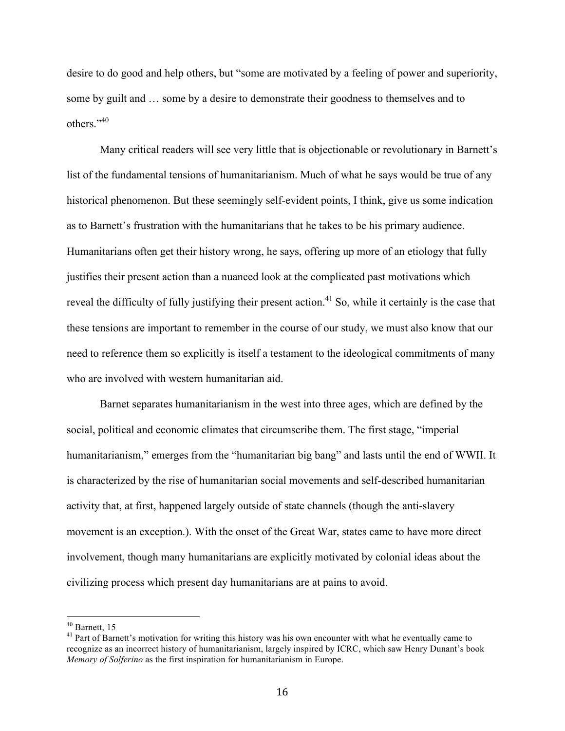desire to do good and help others, but "some are motivated by a feeling of power and superiority, some by guilt and … some by a desire to demonstrate their goodness to themselves and to others<sup>"40</sup>

Many critical readers will see very little that is objectionable or revolutionary in Barnett's list of the fundamental tensions of humanitarianism. Much of what he says would be true of any historical phenomenon. But these seemingly self-evident points, I think, give us some indication as to Barnett's frustration with the humanitarians that he takes to be his primary audience. Humanitarians often get their history wrong, he says, offering up more of an etiology that fully justifies their present action than a nuanced look at the complicated past motivations which reveal the difficulty of fully justifying their present action.<sup>41</sup> So, while it certainly is the case that these tensions are important to remember in the course of our study, we must also know that our need to reference them so explicitly is itself a testament to the ideological commitments of many who are involved with western humanitarian aid.

Barnet separates humanitarianism in the west into three ages, which are defined by the social, political and economic climates that circumscribe them. The first stage, "imperial humanitarianism," emerges from the "humanitarian big bang" and lasts until the end of WWII. It is characterized by the rise of humanitarian social movements and self-described humanitarian activity that, at first, happened largely outside of state channels (though the anti-slavery movement is an exception.). With the onset of the Great War, states came to have more direct involvement, though many humanitarians are explicitly motivated by colonial ideas about the civilizing process which present day humanitarians are at pains to avoid.

 $40$  Barnett, 15

<sup>&</sup>lt;sup>41</sup> Part of Barnett's motivation for writing this history was his own encounter with what he eventually came to recognize as an incorrect history of humanitarianism, largely inspired by ICRC, which saw Henry Dunant's book *Memory of Solferino* as the first inspiration for humanitarianism in Europe.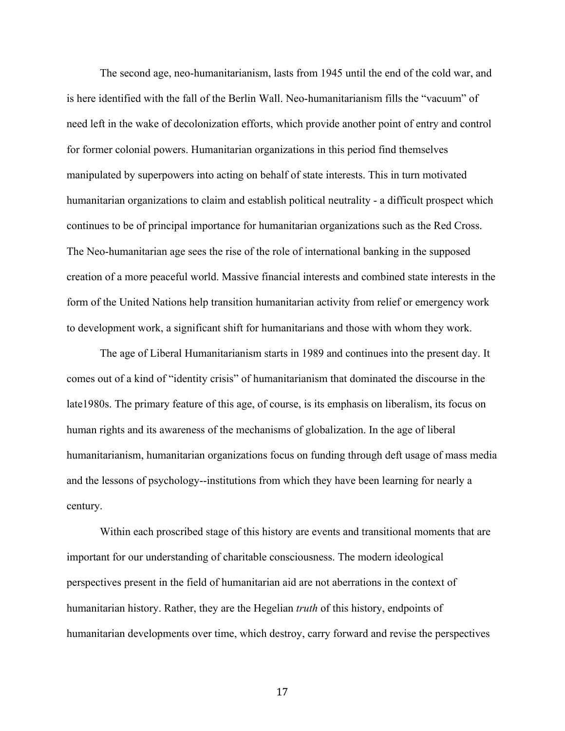The second age, neo-humanitarianism, lasts from 1945 until the end of the cold war, and is here identified with the fall of the Berlin Wall. Neo-humanitarianism fills the "vacuum" of need left in the wake of decolonization efforts, which provide another point of entry and control for former colonial powers. Humanitarian organizations in this period find themselves manipulated by superpowers into acting on behalf of state interests. This in turn motivated humanitarian organizations to claim and establish political neutrality - a difficult prospect which continues to be of principal importance for humanitarian organizations such as the Red Cross. The Neo-humanitarian age sees the rise of the role of international banking in the supposed creation of a more peaceful world. Massive financial interests and combined state interests in the form of the United Nations help transition humanitarian activity from relief or emergency work to development work, a significant shift for humanitarians and those with whom they work.

The age of Liberal Humanitarianism starts in 1989 and continues into the present day. It comes out of a kind of "identity crisis" of humanitarianism that dominated the discourse in the late1980s. The primary feature of this age, of course, is its emphasis on liberalism, its focus on human rights and its awareness of the mechanisms of globalization. In the age of liberal humanitarianism, humanitarian organizations focus on funding through deft usage of mass media and the lessons of psychology--institutions from which they have been learning for nearly a century.

Within each proscribed stage of this history are events and transitional moments that are important for our understanding of charitable consciousness. The modern ideological perspectives present in the field of humanitarian aid are not aberrations in the context of humanitarian history. Rather, they are the Hegelian *truth* of this history, endpoints of humanitarian developments over time, which destroy, carry forward and revise the perspectives

17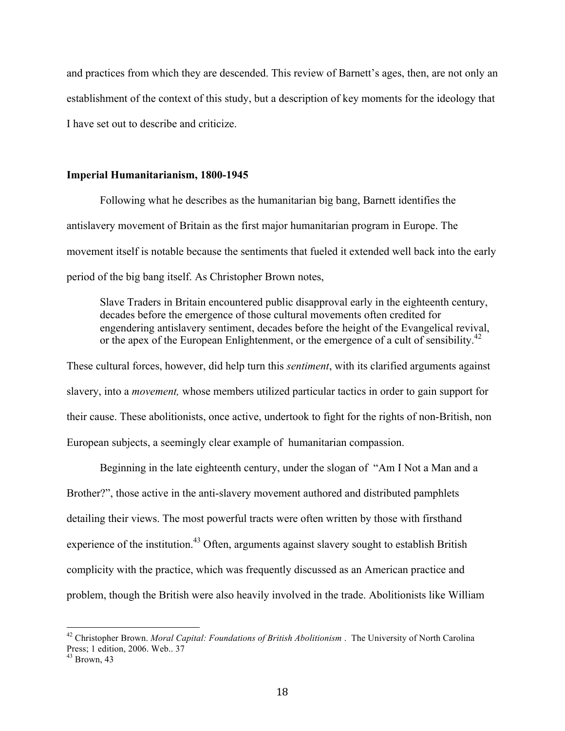and practices from which they are descended. This review of Barnett's ages, then, are not only an establishment of the context of this study, but a description of key moments for the ideology that I have set out to describe and criticize.

### **Imperial Humanitarianism, 1800-1945**

Following what he describes as the humanitarian big bang, Barnett identifies the antislavery movement of Britain as the first major humanitarian program in Europe. The movement itself is notable because the sentiments that fueled it extended well back into the early period of the big bang itself. As Christopher Brown notes,

Slave Traders in Britain encountered public disapproval early in the eighteenth century, decades before the emergence of those cultural movements often credited for engendering antislavery sentiment, decades before the height of the Evangelical revival, or the apex of the European Enlightenment, or the emergence of a cult of sensibility.<sup>42</sup>

These cultural forces, however, did help turn this *sentiment*, with its clarified arguments against slavery, into a *movement,* whose members utilized particular tactics in order to gain support for their cause. These abolitionists, once active, undertook to fight for the rights of non-British, non European subjects, a seemingly clear example of humanitarian compassion.

Beginning in the late eighteenth century, under the slogan of "Am I Not a Man and a Brother?", those active in the anti-slavery movement authored and distributed pamphlets detailing their views. The most powerful tracts were often written by those with firsthand experience of the institution.<sup>43</sup> Often, arguments against slavery sought to establish British complicity with the practice, which was frequently discussed as an American practice and problem, though the British were also heavily involved in the trade. Abolitionists like William

 <sup>42</sup> Christopher Brown. *Moral Capital: Foundations of British Abolitionism* . The University of North Carolina Press; 1 edition, 2006. Web.. 37

 $43$  Brown, 43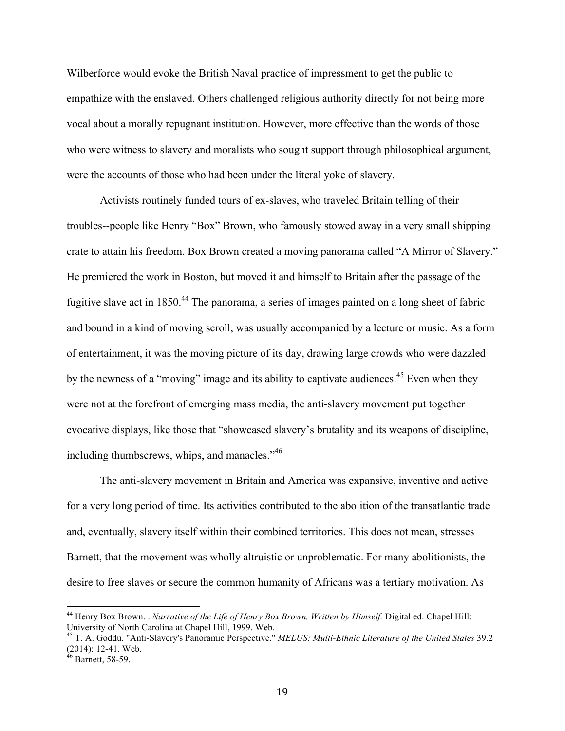Wilberforce would evoke the British Naval practice of impressment to get the public to empathize with the enslaved. Others challenged religious authority directly for not being more vocal about a morally repugnant institution. However, more effective than the words of those who were witness to slavery and moralists who sought support through philosophical argument, were the accounts of those who had been under the literal yoke of slavery.

Activists routinely funded tours of ex-slaves, who traveled Britain telling of their troubles--people like Henry "Box" Brown, who famously stowed away in a very small shipping crate to attain his freedom. Box Brown created a moving panorama called "A Mirror of Slavery." He premiered the work in Boston, but moved it and himself to Britain after the passage of the fugitive slave act in 1850.<sup>44</sup> The panorama, a series of images painted on a long sheet of fabric and bound in a kind of moving scroll, was usually accompanied by a lecture or music. As a form of entertainment, it was the moving picture of its day, drawing large crowds who were dazzled by the newness of a "moving" image and its ability to captivate audiences.<sup>45</sup> Even when they were not at the forefront of emerging mass media, the anti-slavery movement put together evocative displays, like those that "showcased slavery's brutality and its weapons of discipline, including thumbscrews, whips, and manacles."<sup>46</sup>

The anti-slavery movement in Britain and America was expansive, inventive and active for a very long period of time. Its activities contributed to the abolition of the transatlantic trade and, eventually, slavery itself within their combined territories. This does not mean, stresses Barnett, that the movement was wholly altruistic or unproblematic. For many abolitionists, the desire to free slaves or secure the common humanity of Africans was a tertiary motivation. As

 <sup>44</sup> Henry Box Brown. . *Narrative of the Life of Henry Box Brown, Written by Himself.* Digital ed. Chapel Hill: University of North Carolina at Chapel Hill, 1999. Web.

<sup>45</sup> T. A. Goddu. "Anti-Slavery's Panoramic Perspective." *MELUS: Multi-Ethnic Literature of the United States* 39.2 (2014): 12-41. Web.<br><sup>46</sup> Barnett, 58-59.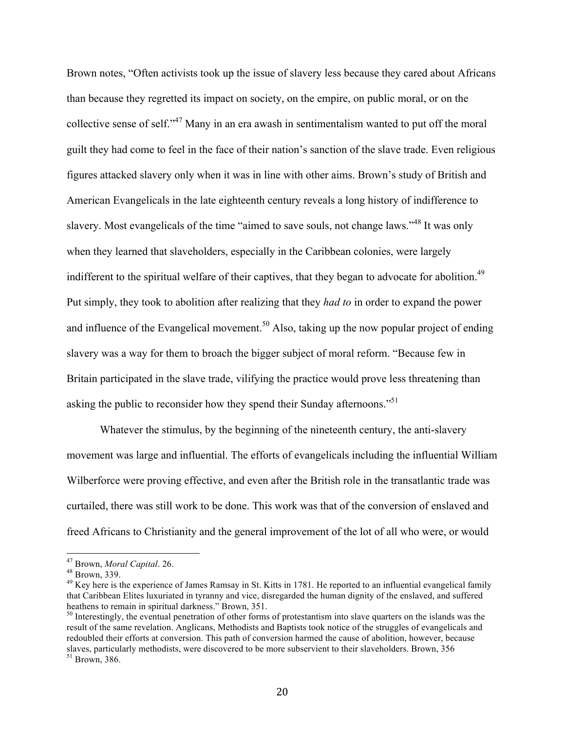Brown notes, "Often activists took up the issue of slavery less because they cared about Africans than because they regretted its impact on society, on the empire, on public moral, or on the collective sense of self."47 Many in an era awash in sentimentalism wanted to put off the moral guilt they had come to feel in the face of their nation's sanction of the slave trade. Even religious figures attacked slavery only when it was in line with other aims. Brown's study of British and American Evangelicals in the late eighteenth century reveals a long history of indifference to slavery. Most evangelicals of the time "aimed to save souls, not change laws."48 It was only when they learned that slaveholders, especially in the Caribbean colonies, were largely indifferent to the spiritual welfare of their captives, that they began to advocate for abolition.<sup>49</sup> Put simply, they took to abolition after realizing that they *had to* in order to expand the power and influence of the Evangelical movement.<sup>50</sup> Also, taking up the now popular project of ending slavery was a way for them to broach the bigger subject of moral reform. "Because few in Britain participated in the slave trade, vilifying the practice would prove less threatening than asking the public to reconsider how they spend their Sunday afternoons."<sup>51</sup>

Whatever the stimulus, by the beginning of the nineteenth century, the anti-slavery movement was large and influential. The efforts of evangelicals including the influential William Wilberforce were proving effective, and even after the British role in the transatlantic trade was curtailed, there was still work to be done. This work was that of the conversion of enslaved and freed Africans to Christianity and the general improvement of the lot of all who were, or would

 <sup>47</sup> Brown, *Moral Capital*. 26. 48 Brown, 339.

<sup>&</sup>lt;sup>49</sup> Key here is the experience of James Ramsay in St. Kitts in 1781. He reported to an influential evangelical family that Caribbean Elites luxuriated in tyranny and vice, disregarded the human dignity of the enslaved, and suffered heathens to remain in spiritual darkness." Brown, 351.

<sup>&</sup>lt;sup>50</sup> Interestingly, the eventual penetration of other forms of protestantism into slave quarters on the islands was the result of the same revelation. Anglicans, Methodists and Baptists took notice of the struggles of evangelicals and redoubled their efforts at conversion. This path of conversion harmed the cause of abolition, however, because slaves, particularly methodists, were discovered to be more subservient to their slaveholders. Brown, 356 <sup>51</sup> Brown, 386.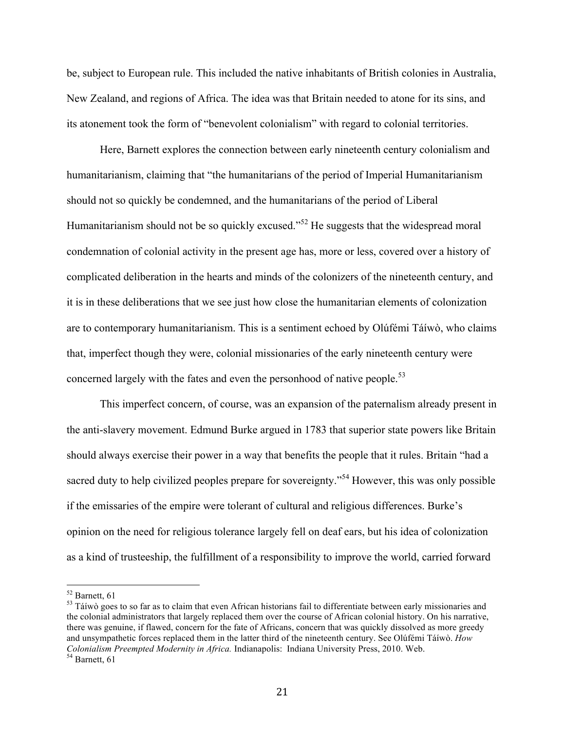be, subject to European rule. This included the native inhabitants of British colonies in Australia, New Zealand, and regions of Africa. The idea was that Britain needed to atone for its sins, and its atonement took the form of "benevolent colonialism" with regard to colonial territories.

Here, Barnett explores the connection between early nineteenth century colonialism and humanitarianism, claiming that "the humanitarians of the period of Imperial Humanitarianism should not so quickly be condemned, and the humanitarians of the period of Liberal Humanitarianism should not be so quickly excused."<sup>52</sup> He suggests that the widespread moral condemnation of colonial activity in the present age has, more or less, covered over a history of complicated deliberation in the hearts and minds of the colonizers of the nineteenth century, and it is in these deliberations that we see just how close the humanitarian elements of colonization are to contemporary humanitarianism. This is a sentiment echoed by Olúfémi Táíwò, who claims that, imperfect though they were, colonial missionaries of the early nineteenth century were concerned largely with the fates and even the personhood of native people.<sup>53</sup>

This imperfect concern, of course, was an expansion of the paternalism already present in the anti-slavery movement. Edmund Burke argued in 1783 that superior state powers like Britain should always exercise their power in a way that benefits the people that it rules. Britain "had a sacred duty to help civilized peoples prepare for sovereignty."<sup>54</sup> However, this was only possible if the emissaries of the empire were tolerant of cultural and religious differences. Burke's opinion on the need for religious tolerance largely fell on deaf ears, but his idea of colonization as a kind of trusteeship, the fulfillment of a responsibility to improve the world, carried forward

 <sup>52</sup> Barnett, 61

 $53$  Táíwò goes to so far as to claim that even African historians fail to differentiate between early missionaries and the colonial administrators that largely replaced them over the course of African colonial history. On his narrative, there was genuine, if flawed, concern for the fate of Africans, concern that was quickly dissolved as more greedy and unsympathetic forces replaced them in the latter third of the nineteenth century. See Olúfémi Táíwò. *How Colonialism Preempted Modernity in Africa.* Indianapolis: Indiana University Press, 2010. Web. <sup>54</sup> Barnett. 61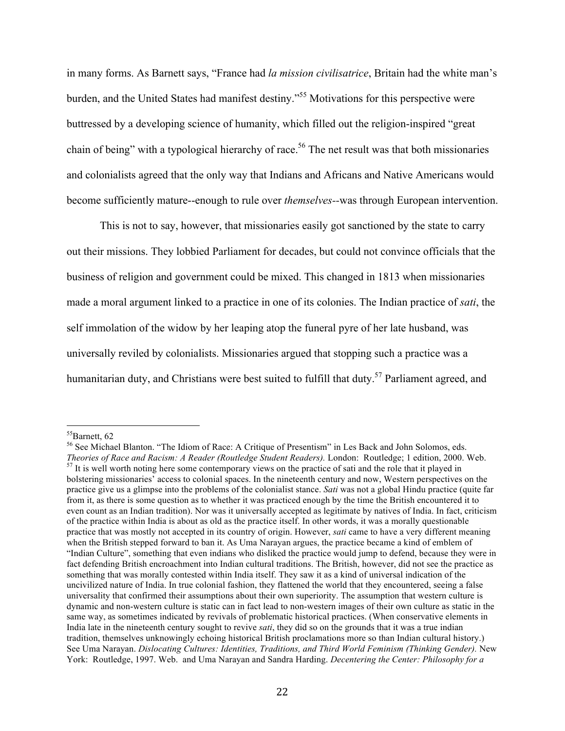in many forms. As Barnett says, "France had *la mission civilisatrice*, Britain had the white man's burden, and the United States had manifest destiny."55 Motivations for this perspective were buttressed by a developing science of humanity, which filled out the religion-inspired "great chain of being" with a typological hierarchy of race.<sup>56</sup> The net result was that both missionaries and colonialists agreed that the only way that Indians and Africans and Native Americans would become sufficiently mature--enough to rule over *themselves--*was through European intervention.

This is not to say, however, that missionaries easily got sanctioned by the state to carry out their missions. They lobbied Parliament for decades, but could not convince officials that the business of religion and government could be mixed. This changed in 1813 when missionaries made a moral argument linked to a practice in one of its colonies. The Indian practice of *sati*, the self immolation of the widow by her leaping atop the funeral pyre of her late husband, was universally reviled by colonialists. Missionaries argued that stopping such a practice was a humanitarian duty, and Christians were best suited to fulfill that duty.<sup>57</sup> Parliament agreed, and

 $55$ Barnett, 62

<sup>56</sup> See Michael Blanton. "The Idiom of Race: A Critique of Presentism" in Les Back and John Solomos, eds. *Theories of Race and Racism: A Reader (Routledge Student Readers)*. London: Routledge; 1 edition, 2000. Web.<br><sup>57</sup> It is well worth noting here some contemporary views on the practice of sati and the role that it played in bolstering missionaries' access to colonial spaces. In the nineteenth century and now, Western perspectives on the practice give us a glimpse into the problems of the colonialist stance. *Sati* was not a global Hindu practice (quite far from it, as there is some question as to whether it was practiced enough by the time the British encountered it to even count as an Indian tradition). Nor was it universally accepted as legitimate by natives of India. In fact, criticism of the practice within India is about as old as the practice itself. In other words, it was a morally questionable practice that was mostly not accepted in its country of origin. However, *sati* came to have a very different meaning when the British stepped forward to ban it. As Uma Narayan argues, the practice became a kind of emblem of "Indian Culture", something that even indians who disliked the practice would jump to defend, because they were in fact defending British encroachment into Indian cultural traditions. The British, however, did not see the practice as something that was morally contested within India itself. They saw it as a kind of universal indication of the uncivilized nature of India. In true colonial fashion, they flattened the world that they encountered, seeing a false universality that confirmed their assumptions about their own superiority. The assumption that western culture is dynamic and non-western culture is static can in fact lead to non-western images of their own culture as static in the same way, as sometimes indicated by revivals of problematic historical practices. (When conservative elements in India late in the nineteenth century sought to revive *sati*, they did so on the grounds that it was a true indian tradition, themselves unknowingly echoing historical British proclamations more so than Indian cultural history.) See Uma Narayan. *Dislocating Cultures: Identities, Traditions, and Third World Feminism (Thinking Gender).* New York: Routledge, 1997. Web. and Uma Narayan and Sandra Harding. *Decentering the Center: Philosophy for a*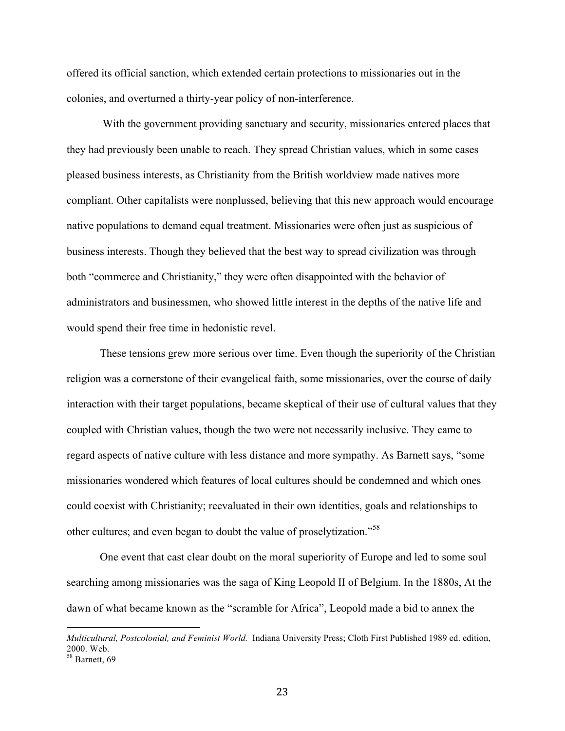offered its official sanction, which extended certain protections to missionaries out in the colonies, and overturned a thirty-year policy of non-interference.

 With the government providing sanctuary and security, missionaries entered places that they had previously been unable to reach. They spread Christian values, which in some cases pleased business interests, as Christianity from the British worldview made natives more compliant. Other capitalists were nonplussed, believing that this new approach would encourage native populations to demand equal treatment. Missionaries were often just as suspicious of business interests. Though they believed that the best way to spread civilization was through both "commerce and Christianity," they were often disappointed with the behavior of administrators and businessmen, who showed little interest in the depths of the native life and would spend their free time in hedonistic revel.

These tensions grew more serious over time. Even though the superiority of the Christian religion was a cornerstone of their evangelical faith, some missionaries, over the course of daily interaction with their target populations, became skeptical of their use of cultural values that they coupled with Christian values, though the two were not necessarily inclusive. They came to regard aspects of native culture with less distance and more sympathy. As Barnett says, "some missionaries wondered which features of local cultures should be condemned and which ones could coexist with Christianity; reevaluated in their own identities, goals and relationships to other cultures; and even began to doubt the value of proselytization."<sup>58</sup>

One event that cast clear doubt on the moral superiority of Europe and led to some soul searching among missionaries was the saga of King Leopold II of Belgium. In the 1880s, At the dawn of what became known as the "scramble for Africa", Leopold made a bid to annex the

<u>.</u>

*Multicultural, Postcolonial, and Feminist World.* Indiana University Press; Cloth First Published 1989 ed. edition, 2000. Web.

<sup>58</sup> Barnett, 69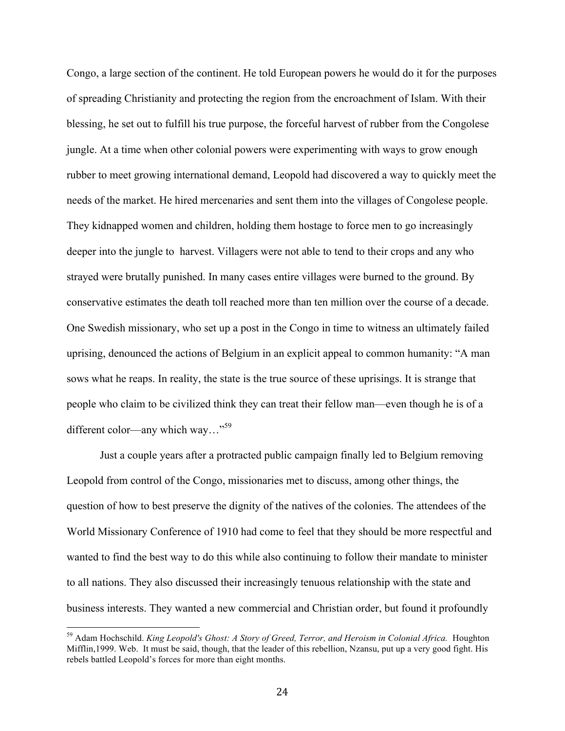Congo, a large section of the continent. He told European powers he would do it for the purposes of spreading Christianity and protecting the region from the encroachment of Islam. With their blessing, he set out to fulfill his true purpose, the forceful harvest of rubber from the Congolese jungle. At a time when other colonial powers were experimenting with ways to grow enough rubber to meet growing international demand, Leopold had discovered a way to quickly meet the needs of the market. He hired mercenaries and sent them into the villages of Congolese people. They kidnapped women and children, holding them hostage to force men to go increasingly deeper into the jungle to harvest. Villagers were not able to tend to their crops and any who strayed were brutally punished. In many cases entire villages were burned to the ground. By conservative estimates the death toll reached more than ten million over the course of a decade. One Swedish missionary, who set up a post in the Congo in time to witness an ultimately failed uprising, denounced the actions of Belgium in an explicit appeal to common humanity: "A man sows what he reaps. In reality, the state is the true source of these uprisings. It is strange that people who claim to be civilized think they can treat their fellow man—even though he is of a different color—any which way…"<sup>59</sup>

Just a couple years after a protracted public campaign finally led to Belgium removing Leopold from control of the Congo, missionaries met to discuss, among other things, the question of how to best preserve the dignity of the natives of the colonies. The attendees of the World Missionary Conference of 1910 had come to feel that they should be more respectful and wanted to find the best way to do this while also continuing to follow their mandate to minister to all nations. They also discussed their increasingly tenuous relationship with the state and business interests. They wanted a new commercial and Christian order, but found it profoundly

 <sup>59</sup> Adam Hochschild. *King Leopold's Ghost: A Story of Greed, Terror, and Heroism in Colonial Africa.* Houghton Mifflin,1999. Web. It must be said, though, that the leader of this rebellion, Nzansu, put up a very good fight. His rebels battled Leopold's forces for more than eight months.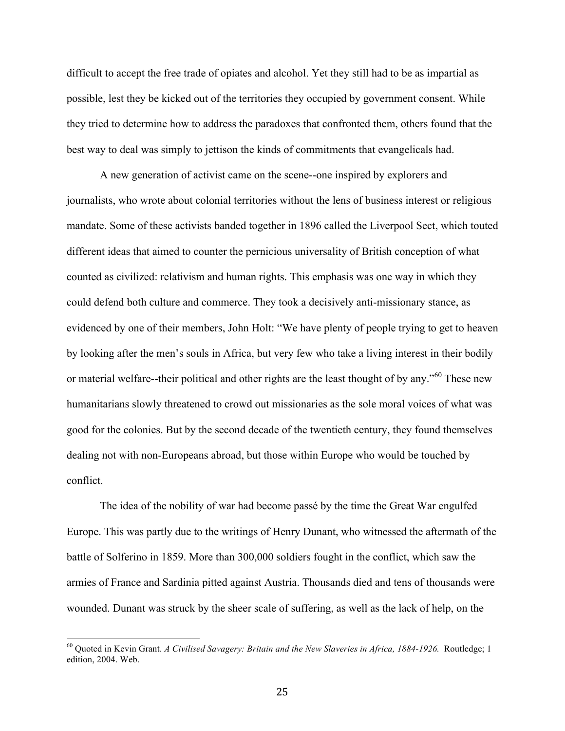difficult to accept the free trade of opiates and alcohol. Yet they still had to be as impartial as possible, lest they be kicked out of the territories they occupied by government consent. While they tried to determine how to address the paradoxes that confronted them, others found that the best way to deal was simply to jettison the kinds of commitments that evangelicals had.

A new generation of activist came on the scene--one inspired by explorers and journalists, who wrote about colonial territories without the lens of business interest or religious mandate. Some of these activists banded together in 1896 called the Liverpool Sect, which touted different ideas that aimed to counter the pernicious universality of British conception of what counted as civilized: relativism and human rights. This emphasis was one way in which they could defend both culture and commerce. They took a decisively anti-missionary stance, as evidenced by one of their members, John Holt: "We have plenty of people trying to get to heaven by looking after the men's souls in Africa, but very few who take a living interest in their bodily or material welfare--their political and other rights are the least thought of by any."<sup>60</sup> These new humanitarians slowly threatened to crowd out missionaries as the sole moral voices of what was good for the colonies. But by the second decade of the twentieth century, they found themselves dealing not with non-Europeans abroad, but those within Europe who would be touched by conflict.

The idea of the nobility of war had become passé by the time the Great War engulfed Europe. This was partly due to the writings of Henry Dunant, who witnessed the aftermath of the battle of Solferino in 1859. More than 300,000 soldiers fought in the conflict, which saw the armies of France and Sardinia pitted against Austria. Thousands died and tens of thousands were wounded. Dunant was struck by the sheer scale of suffering, as well as the lack of help, on the

 <sup>60</sup> Quoted in Kevin Grant. *A Civilised Savagery: Britain and the New Slaveries in Africa, 1884-1926.* Routledge; 1 edition, 2004. Web.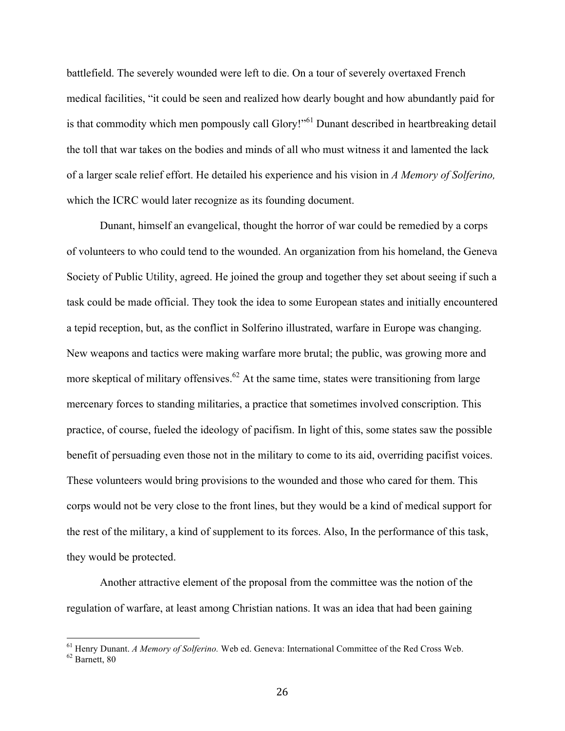battlefield. The severely wounded were left to die. On a tour of severely overtaxed French medical facilities, "it could be seen and realized how dearly bought and how abundantly paid for is that commodity which men pompously call Glory!"<sup>61</sup> Dunant described in heartbreaking detail the toll that war takes on the bodies and minds of all who must witness it and lamented the lack of a larger scale relief effort. He detailed his experience and his vision in *A Memory of Solferino,*  which the ICRC would later recognize as its founding document.

Dunant, himself an evangelical, thought the horror of war could be remedied by a corps of volunteers to who could tend to the wounded. An organization from his homeland, the Geneva Society of Public Utility, agreed. He joined the group and together they set about seeing if such a task could be made official. They took the idea to some European states and initially encountered a tepid reception, but, as the conflict in Solferino illustrated, warfare in Europe was changing. New weapons and tactics were making warfare more brutal; the public, was growing more and more skeptical of military offensives.<sup>62</sup> At the same time, states were transitioning from large mercenary forces to standing militaries, a practice that sometimes involved conscription. This practice, of course, fueled the ideology of pacifism. In light of this, some states saw the possible benefit of persuading even those not in the military to come to its aid, overriding pacifist voices. These volunteers would bring provisions to the wounded and those who cared for them. This corps would not be very close to the front lines, but they would be a kind of medical support for the rest of the military, a kind of supplement to its forces. Also, In the performance of this task, they would be protected.

Another attractive element of the proposal from the committee was the notion of the regulation of warfare, at least among Christian nations. It was an idea that had been gaining

 $^{61}$  Henry Dunant. *A Memory of Solferino*. Web ed. Geneva: International Committee of the Red Cross Web.  $^{62}$  Barnett. 80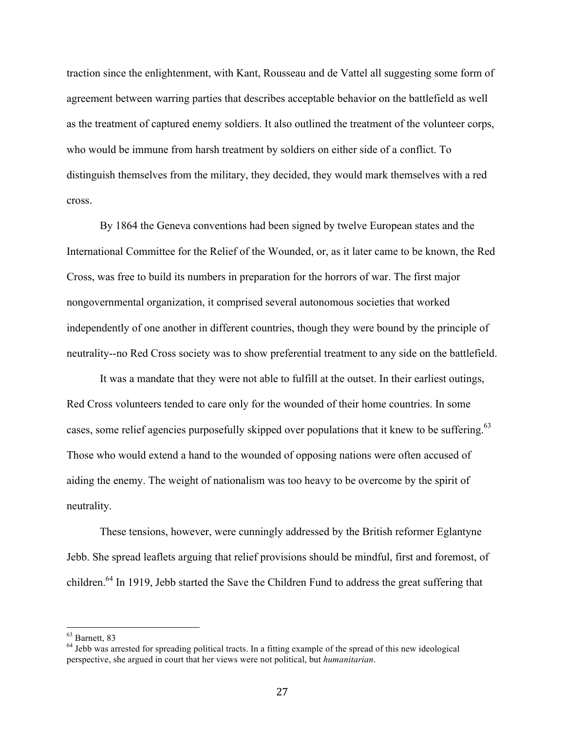traction since the enlightenment, with Kant, Rousseau and de Vattel all suggesting some form of agreement between warring parties that describes acceptable behavior on the battlefield as well as the treatment of captured enemy soldiers. It also outlined the treatment of the volunteer corps, who would be immune from harsh treatment by soldiers on either side of a conflict. To distinguish themselves from the military, they decided, they would mark themselves with a red cross.

By 1864 the Geneva conventions had been signed by twelve European states and the International Committee for the Relief of the Wounded, or, as it later came to be known, the Red Cross, was free to build its numbers in preparation for the horrors of war. The first major nongovernmental organization, it comprised several autonomous societies that worked independently of one another in different countries, though they were bound by the principle of neutrality--no Red Cross society was to show preferential treatment to any side on the battlefield.

It was a mandate that they were not able to fulfill at the outset. In their earliest outings, Red Cross volunteers tended to care only for the wounded of their home countries. In some cases, some relief agencies purposefully skipped over populations that it knew to be suffering.<sup>63</sup> Those who would extend a hand to the wounded of opposing nations were often accused of aiding the enemy. The weight of nationalism was too heavy to be overcome by the spirit of neutrality.

These tensions, however, were cunningly addressed by the British reformer Eglantyne Jebb. She spread leaflets arguing that relief provisions should be mindful, first and foremost, of children.64 In 1919, Jebb started the Save the Children Fund to address the great suffering that

 <sup>63</sup> Barnett, 83

 $64$  Jebb was arrested for spreading political tracts. In a fitting example of the spread of this new ideological perspective, she argued in court that her views were not political, but *humanitarian*.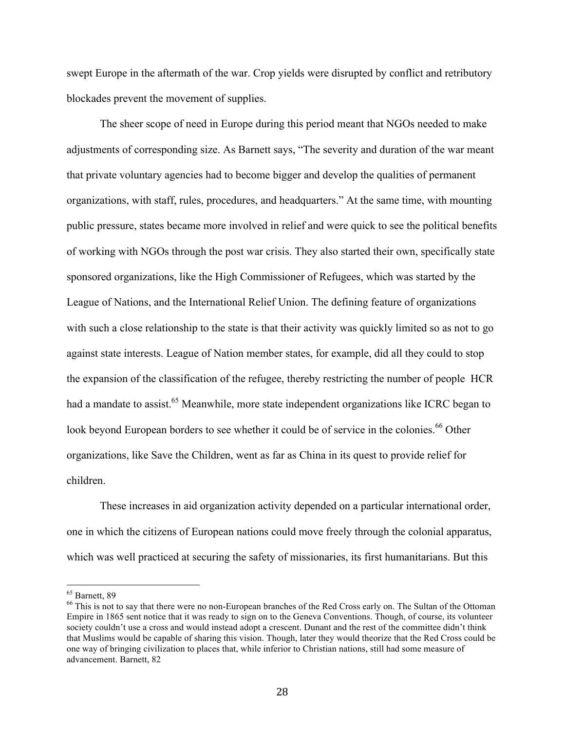swept Europe in the aftermath of the war. Crop yields were disrupted by conflict and retributory blockades prevent the movement of supplies.

The sheer scope of need in Europe during this period meant that NGOs needed to make adjustments of corresponding size. As Barnett says, "The severity and duration of the war meant that private voluntary agencies had to become bigger and develop the qualities of permanent organizations, with staff, rules, procedures, and headquarters." At the same time, with mounting public pressure, states became more involved in relief and were quick to see the political benefits of working with NGOs through the post war crisis. They also started their own, specifically state sponsored organizations, like the High Commissioner of Refugees, which was started by the League of Nations, and the International Relief Union. The defining feature of organizations with such a close relationship to the state is that their activity was quickly limited so as not to go against state interests. League of Nation member states, for example, did all they could to stop the expansion of the classification of the refugee, thereby restricting the number of people HCR had a mandate to assist.<sup>65</sup> Meanwhile, more state independent organizations like ICRC began to look beyond European borders to see whether it could be of service in the colonies.<sup>66</sup> Other organizations, like Save the Children, went as far as China in its quest to provide relief for children.

These increases in aid organization activity depended on a particular international order, one in which the citizens of European nations could move freely through the colonial apparatus, which was well practiced at securing the safety of missionaries, its first humanitarians. But this

 <sup>65</sup> Barnett, 89

<sup>&</sup>lt;sup>66</sup> This is not to say that there were no non-European branches of the Red Cross early on. The Sultan of the Ottoman Empire in 1865 sent notice that it was ready to sign on to the Geneva Conventions. Though, of course, its volunteer society couldn't use a cross and would instead adopt a crescent. Dunant and the rest of the committee didn't think that Muslims would be capable of sharing this vision. Though, later they would theorize that the Red Cross could be one way of bringing civilization to places that, while inferior to Christian nations, still had some measure of advancement. Barnett, 82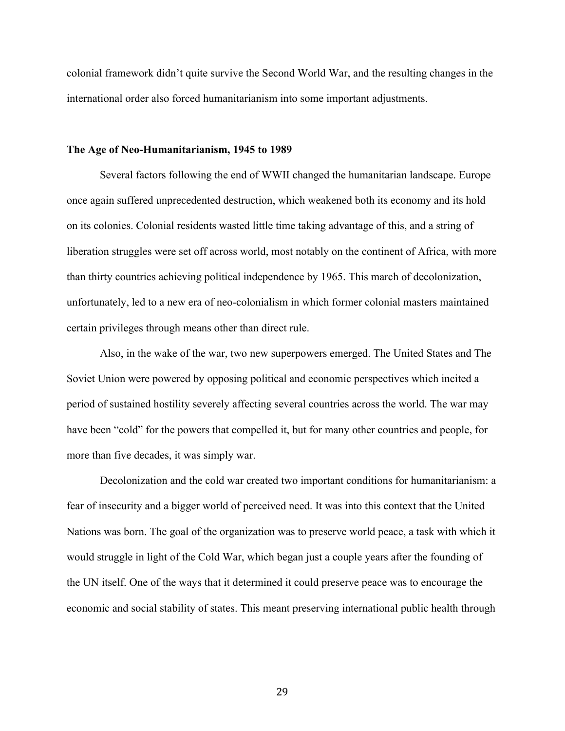colonial framework didn't quite survive the Second World War, and the resulting changes in the international order also forced humanitarianism into some important adjustments.

### **The Age of Neo-Humanitarianism, 1945 to 1989**

Several factors following the end of WWII changed the humanitarian landscape. Europe once again suffered unprecedented destruction, which weakened both its economy and its hold on its colonies. Colonial residents wasted little time taking advantage of this, and a string of liberation struggles were set off across world, most notably on the continent of Africa, with more than thirty countries achieving political independence by 1965. This march of decolonization, unfortunately, led to a new era of neo-colonialism in which former colonial masters maintained certain privileges through means other than direct rule.

Also, in the wake of the war, two new superpowers emerged. The United States and The Soviet Union were powered by opposing political and economic perspectives which incited a period of sustained hostility severely affecting several countries across the world. The war may have been "cold" for the powers that compelled it, but for many other countries and people, for more than five decades, it was simply war.

Decolonization and the cold war created two important conditions for humanitarianism: a fear of insecurity and a bigger world of perceived need. It was into this context that the United Nations was born. The goal of the organization was to preserve world peace, a task with which it would struggle in light of the Cold War, which began just a couple years after the founding of the UN itself. One of the ways that it determined it could preserve peace was to encourage the economic and social stability of states. This meant preserving international public health through

29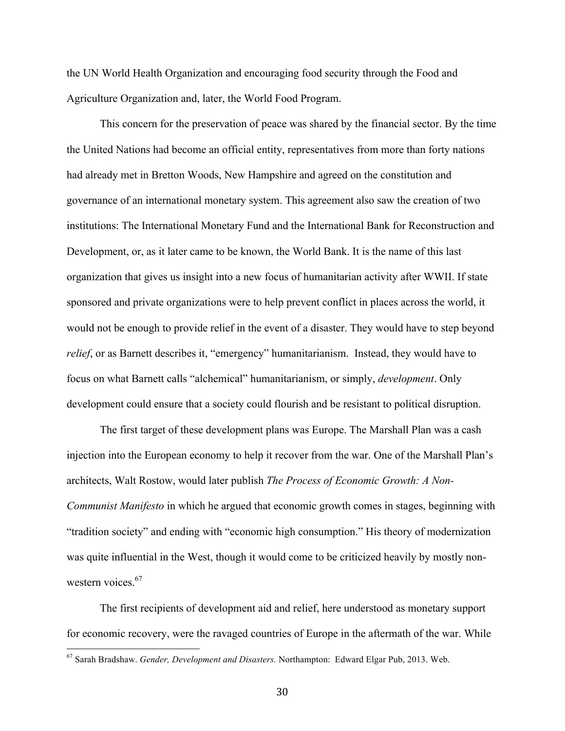the UN World Health Organization and encouraging food security through the Food and Agriculture Organization and, later, the World Food Program.

This concern for the preservation of peace was shared by the financial sector. By the time the United Nations had become an official entity, representatives from more than forty nations had already met in Bretton Woods, New Hampshire and agreed on the constitution and governance of an international monetary system. This agreement also saw the creation of two institutions: The International Monetary Fund and the International Bank for Reconstruction and Development, or, as it later came to be known, the World Bank. It is the name of this last organization that gives us insight into a new focus of humanitarian activity after WWII. If state sponsored and private organizations were to help prevent conflict in places across the world, it would not be enough to provide relief in the event of a disaster. They would have to step beyond *relief*, or as Barnett describes it, "emergency" humanitarianism. Instead, they would have to focus on what Barnett calls "alchemical" humanitarianism, or simply, *development*. Only development could ensure that a society could flourish and be resistant to political disruption.

The first target of these development plans was Europe. The Marshall Plan was a cash injection into the European economy to help it recover from the war. One of the Marshall Plan's architects, Walt Rostow, would later publish *The Process of Economic Growth: A Non-Communist Manifesto* in which he argued that economic growth comes in stages, beginning with "tradition society" and ending with "economic high consumption." His theory of modernization was quite influential in the West, though it would come to be criticized heavily by mostly nonwestern voices.<sup>67</sup>

The first recipients of development aid and relief, here understood as monetary support for economic recovery, were the ravaged countries of Europe in the aftermath of the war. While

 <sup>67</sup> Sarah Bradshaw. *Gender, Development and Disasters.* Northampton: Edward Elgar Pub, 2013. Web.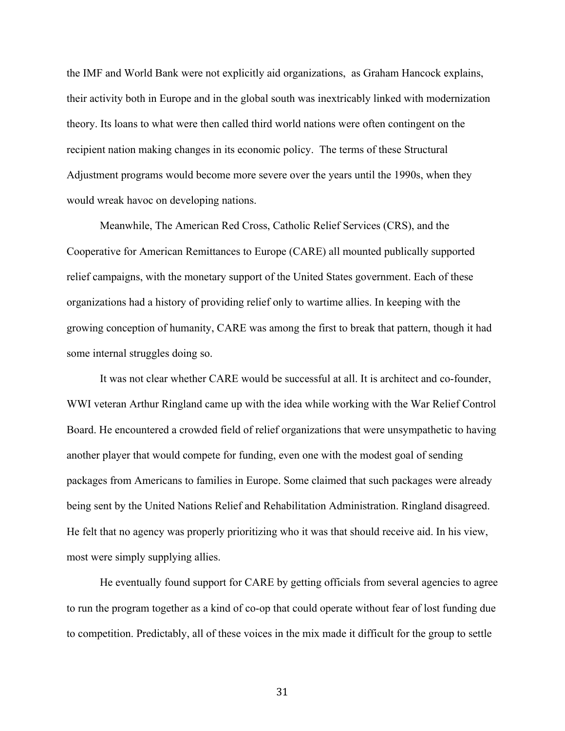the IMF and World Bank were not explicitly aid organizations, as Graham Hancock explains, their activity both in Europe and in the global south was inextricably linked with modernization theory. Its loans to what were then called third world nations were often contingent on the recipient nation making changes in its economic policy. The terms of these Structural Adjustment programs would become more severe over the years until the 1990s, when they would wreak havoc on developing nations.

Meanwhile, The American Red Cross, Catholic Relief Services (CRS), and the Cooperative for American Remittances to Europe (CARE) all mounted publically supported relief campaigns, with the monetary support of the United States government. Each of these organizations had a history of providing relief only to wartime allies. In keeping with the growing conception of humanity, CARE was among the first to break that pattern, though it had some internal struggles doing so.

It was not clear whether CARE would be successful at all. It is architect and co-founder, WWI veteran Arthur Ringland came up with the idea while working with the War Relief Control Board. He encountered a crowded field of relief organizations that were unsympathetic to having another player that would compete for funding, even one with the modest goal of sending packages from Americans to families in Europe. Some claimed that such packages were already being sent by the United Nations Relief and Rehabilitation Administration. Ringland disagreed. He felt that no agency was properly prioritizing who it was that should receive aid. In his view, most were simply supplying allies.

He eventually found support for CARE by getting officials from several agencies to agree to run the program together as a kind of co-op that could operate without fear of lost funding due to competition. Predictably, all of these voices in the mix made it difficult for the group to settle

31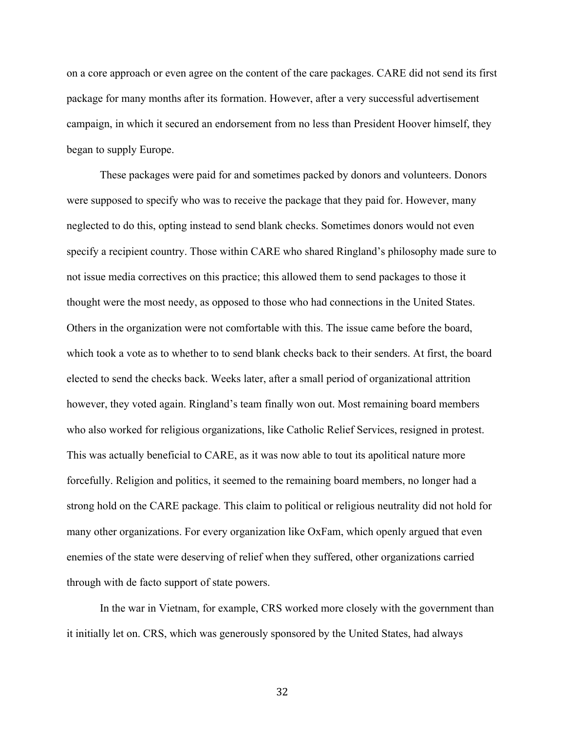on a core approach or even agree on the content of the care packages. CARE did not send its first package for many months after its formation. However, after a very successful advertisement campaign, in which it secured an endorsement from no less than President Hoover himself, they began to supply Europe.

These packages were paid for and sometimes packed by donors and volunteers. Donors were supposed to specify who was to receive the package that they paid for. However, many neglected to do this, opting instead to send blank checks. Sometimes donors would not even specify a recipient country. Those within CARE who shared Ringland's philosophy made sure to not issue media correctives on this practice; this allowed them to send packages to those it thought were the most needy, as opposed to those who had connections in the United States. Others in the organization were not comfortable with this. The issue came before the board, which took a vote as to whether to to send blank checks back to their senders. At first, the board elected to send the checks back. Weeks later, after a small period of organizational attrition however, they voted again. Ringland's team finally won out. Most remaining board members who also worked for religious organizations, like Catholic Relief Services, resigned in protest. This was actually beneficial to CARE, as it was now able to tout its apolitical nature more forcefully. Religion and politics, it seemed to the remaining board members, no longer had a strong hold on the CARE package. This claim to political or religious neutrality did not hold for many other organizations. For every organization like OxFam, which openly argued that even enemies of the state were deserving of relief when they suffered, other organizations carried through with de facto support of state powers.

In the war in Vietnam, for example, CRS worked more closely with the government than it initially let on. CRS, which was generously sponsored by the United States, had always

32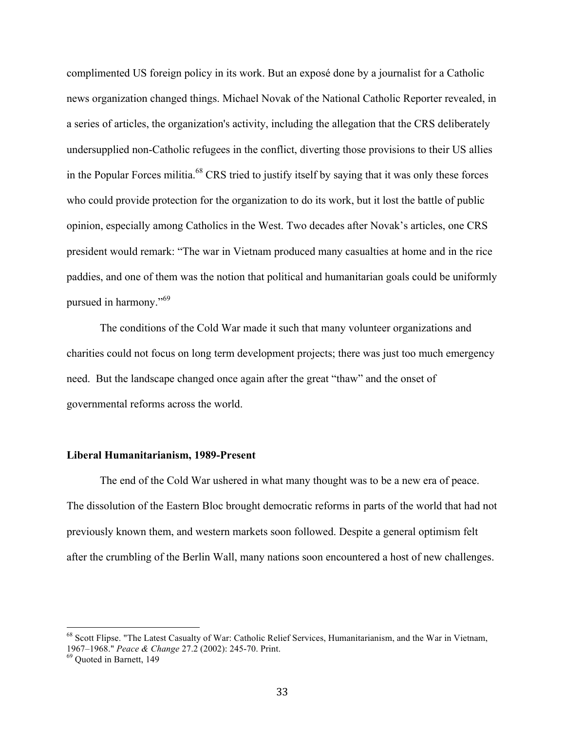complimented US foreign policy in its work. But an exposé done by a journalist for a Catholic news organization changed things. Michael Novak of the National Catholic Reporter revealed, in a series of articles, the organization's activity, including the allegation that the CRS deliberately undersupplied non-Catholic refugees in the conflict, diverting those provisions to their US allies in the Popular Forces militia.<sup>68</sup> CRS tried to justify itself by saying that it was only these forces who could provide protection for the organization to do its work, but it lost the battle of public opinion, especially among Catholics in the West. Two decades after Novak's articles, one CRS president would remark: "The war in Vietnam produced many casualties at home and in the rice paddies, and one of them was the notion that political and humanitarian goals could be uniformly pursued in harmony."<sup>69</sup>

The conditions of the Cold War made it such that many volunteer organizations and charities could not focus on long term development projects; there was just too much emergency need. But the landscape changed once again after the great "thaw" and the onset of governmental reforms across the world.

### **Liberal Humanitarianism, 1989-Present**

The end of the Cold War ushered in what many thought was to be a new era of peace. The dissolution of the Eastern Bloc brought democratic reforms in parts of the world that had not previously known them, and western markets soon followed. Despite a general optimism felt after the crumbling of the Berlin Wall, many nations soon encountered a host of new challenges.

<sup>&</sup>lt;sup>68</sup> Scott Flipse. "The Latest Casualty of War: Catholic Relief Services, Humanitarianism, and the War in Vietnam, 1967–1968." *Peace & Change* 27.2 (2002): 245-70. Print. 69 Quoted in Barnett, 149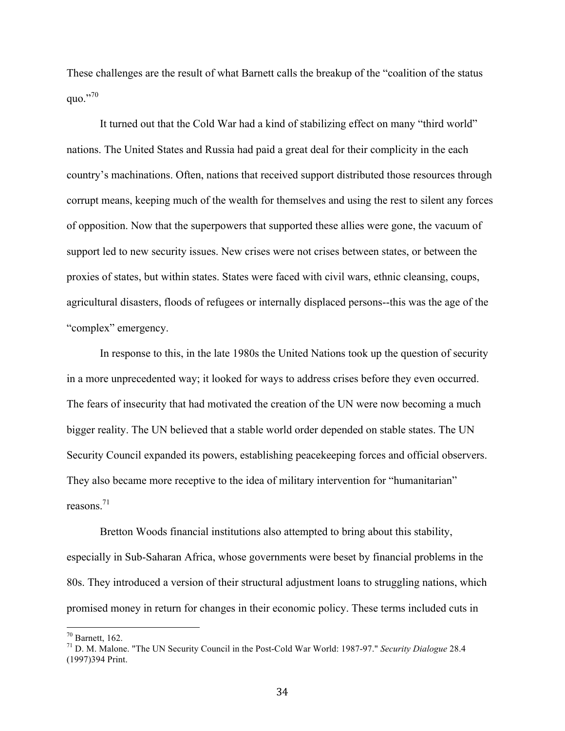These challenges are the result of what Barnett calls the breakup of the "coalition of the status quo."70

It turned out that the Cold War had a kind of stabilizing effect on many "third world" nations. The United States and Russia had paid a great deal for their complicity in the each country's machinations. Often, nations that received support distributed those resources through corrupt means, keeping much of the wealth for themselves and using the rest to silent any forces of opposition. Now that the superpowers that supported these allies were gone, the vacuum of support led to new security issues. New crises were not crises between states, or between the proxies of states, but within states. States were faced with civil wars, ethnic cleansing, coups, agricultural disasters, floods of refugees or internally displaced persons--this was the age of the "complex" emergency.

In response to this, in the late 1980s the United Nations took up the question of security in a more unprecedented way; it looked for ways to address crises before they even occurred. The fears of insecurity that had motivated the creation of the UN were now becoming a much bigger reality. The UN believed that a stable world order depended on stable states. The UN Security Council expanded its powers, establishing peacekeeping forces and official observers. They also became more receptive to the idea of military intervention for "humanitarian" reasons $^{71}$ 

Bretton Woods financial institutions also attempted to bring about this stability, especially in Sub-Saharan Africa, whose governments were beset by financial problems in the 80s. They introduced a version of their structural adjustment loans to struggling nations, which promised money in return for changes in their economic policy. These terms included cuts in

 <sup>70</sup> Barnett, 162.

<sup>71</sup> D. M. Malone. "The UN Security Council in the Post-Cold War World: 1987-97." *Security Dialogue* 28.4 (1997)394 Print.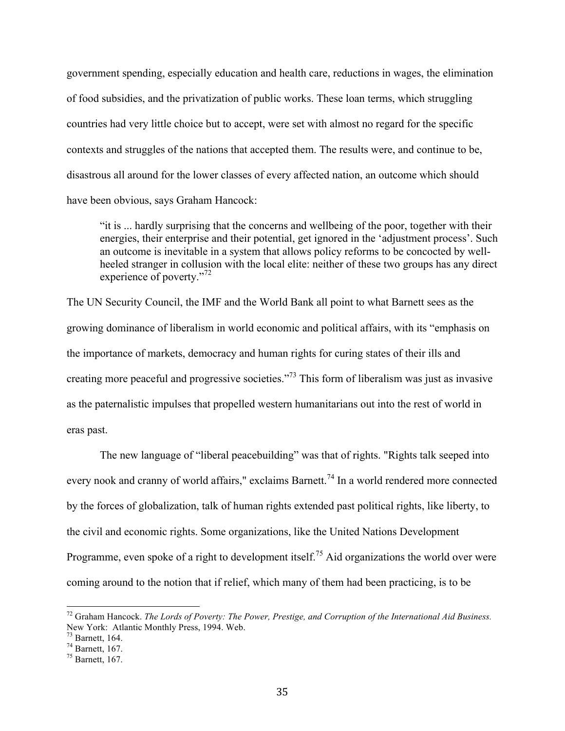government spending, especially education and health care, reductions in wages, the elimination of food subsidies, and the privatization of public works. These loan terms, which struggling countries had very little choice but to accept, were set with almost no regard for the specific contexts and struggles of the nations that accepted them. The results were, and continue to be, disastrous all around for the lower classes of every affected nation, an outcome which should have been obvious, says Graham Hancock:

"it is ... hardly surprising that the concerns and wellbeing of the poor, together with their energies, their enterprise and their potential, get ignored in the 'adjustment process'. Such an outcome is inevitable in a system that allows policy reforms to be concocted by wellheeled stranger in collusion with the local elite: neither of these two groups has any direct experience of poverty."<sup>72</sup>

The UN Security Council, the IMF and the World Bank all point to what Barnett sees as the growing dominance of liberalism in world economic and political affairs, with its "emphasis on the importance of markets, democracy and human rights for curing states of their ills and creating more peaceful and progressive societies."73 This form of liberalism was just as invasive as the paternalistic impulses that propelled western humanitarians out into the rest of world in eras past.

The new language of "liberal peacebuilding" was that of rights. "Rights talk seeped into every nook and cranny of world affairs," exclaims Barnett.<sup>74</sup> In a world rendered more connected by the forces of globalization, talk of human rights extended past political rights, like liberty, to the civil and economic rights. Some organizations, like the United Nations Development Programme, even spoke of a right to development itself.<sup>75</sup> Aid organizations the world over were coming around to the notion that if relief, which many of them had been practicing, is to be

 <sup>72</sup> Graham Hancock. *The Lords of Poverty: The Power, Prestige, and Corruption of the International Aid Business.* New York: Atlantic Monthly Press, 1994. Web.<br><sup>73</sup> Barnett, 164.

<sup>&</sup>lt;sup>74</sup> Barnett, 167.

<sup>75</sup> Barnett, 167.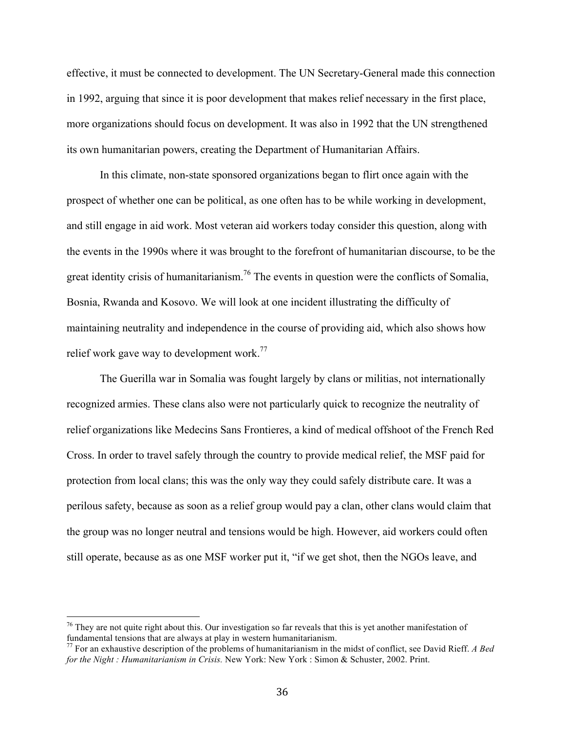effective, it must be connected to development. The UN Secretary-General made this connection in 1992, arguing that since it is poor development that makes relief necessary in the first place, more organizations should focus on development. It was also in 1992 that the UN strengthened its own humanitarian powers, creating the Department of Humanitarian Affairs.

In this climate, non-state sponsored organizations began to flirt once again with the prospect of whether one can be political, as one often has to be while working in development, and still engage in aid work. Most veteran aid workers today consider this question, along with the events in the 1990s where it was brought to the forefront of humanitarian discourse, to be the great identity crisis of humanitarianism.<sup>76</sup> The events in question were the conflicts of Somalia, Bosnia, Rwanda and Kosovo. We will look at one incident illustrating the difficulty of maintaining neutrality and independence in the course of providing aid, which also shows how relief work gave way to development work.<sup>77</sup>

The Guerilla war in Somalia was fought largely by clans or militias, not internationally recognized armies. These clans also were not particularly quick to recognize the neutrality of relief organizations like Medecins Sans Frontieres, a kind of medical offshoot of the French Red Cross. In order to travel safely through the country to provide medical relief, the MSF paid for protection from local clans; this was the only way they could safely distribute care. It was a perilous safety, because as soon as a relief group would pay a clan, other clans would claim that the group was no longer neutral and tensions would be high. However, aid workers could often still operate, because as as one MSF worker put it, "if we get shot, then the NGOs leave, and

 $76$  They are not quite right about this. Our investigation so far reveals that this is yet another manifestation of fundamental tensions that are always at play in western humanitarianism. 77 For an exhaustive description of the problems of humanitarianism in the midst of conflict, see David Rieff. *A Bed* 

*for the Night : Humanitarianism in Crisis.* New York: New York : Simon & Schuster, 2002. Print.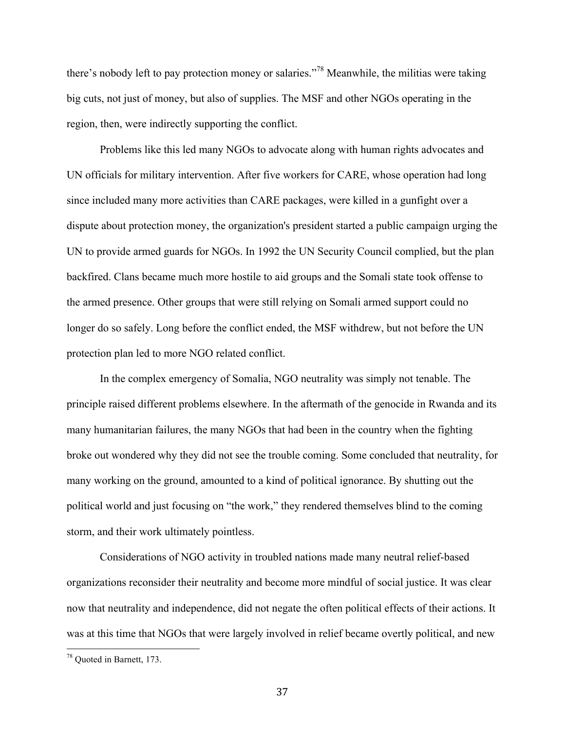there's nobody left to pay protection money or salaries."78 Meanwhile, the militias were taking big cuts, not just of money, but also of supplies. The MSF and other NGOs operating in the region, then, were indirectly supporting the conflict.

Problems like this led many NGOs to advocate along with human rights advocates and UN officials for military intervention. After five workers for CARE, whose operation had long since included many more activities than CARE packages, were killed in a gunfight over a dispute about protection money, the organization's president started a public campaign urging the UN to provide armed guards for NGOs. In 1992 the UN Security Council complied, but the plan backfired. Clans became much more hostile to aid groups and the Somali state took offense to the armed presence. Other groups that were still relying on Somali armed support could no longer do so safely. Long before the conflict ended, the MSF withdrew, but not before the UN protection plan led to more NGO related conflict.

In the complex emergency of Somalia, NGO neutrality was simply not tenable. The principle raised different problems elsewhere. In the aftermath of the genocide in Rwanda and its many humanitarian failures, the many NGOs that had been in the country when the fighting broke out wondered why they did not see the trouble coming. Some concluded that neutrality, for many working on the ground, amounted to a kind of political ignorance. By shutting out the political world and just focusing on "the work," they rendered themselves blind to the coming storm, and their work ultimately pointless.

Considerations of NGO activity in troubled nations made many neutral relief-based organizations reconsider their neutrality and become more mindful of social justice. It was clear now that neutrality and independence, did not negate the often political effects of their actions. It was at this time that NGOs that were largely involved in relief became overtly political, and new

 <sup>78</sup> Quoted in Barnett, 173.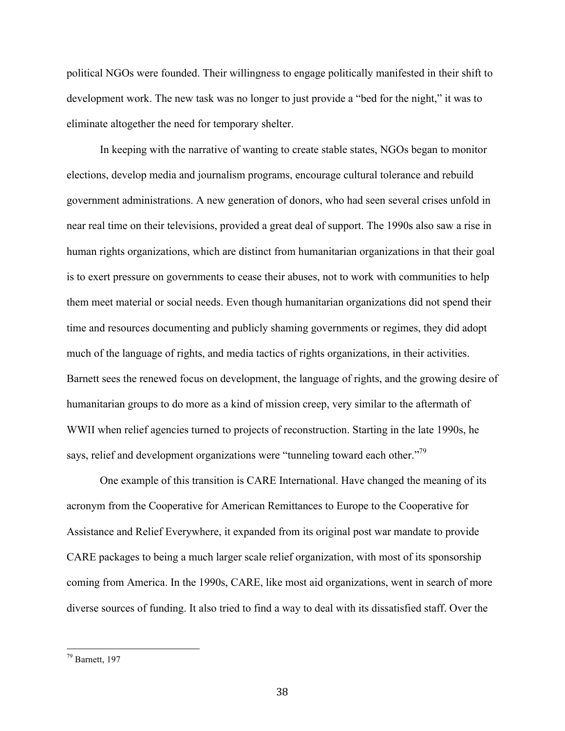political NGOs were founded. Their willingness to engage politically manifested in their shift to development work. The new task was no longer to just provide a "bed for the night," it was to eliminate altogether the need for temporary shelter.

In keeping with the narrative of wanting to create stable states, NGOs began to monitor elections, develop media and journalism programs, encourage cultural tolerance and rebuild government administrations. A new generation of donors, who had seen several crises unfold in near real time on their televisions, provided a great deal of support. The 1990s also saw a rise in human rights organizations, which are distinct from humanitarian organizations in that their goal is to exert pressure on governments to cease their abuses, not to work with communities to help them meet material or social needs. Even though humanitarian organizations did not spend their time and resources documenting and publicly shaming governments or regimes, they did adopt much of the language of rights, and media tactics of rights organizations, in their activities. Barnett sees the renewed focus on development, the language of rights, and the growing desire of humanitarian groups to do more as a kind of mission creep, very similar to the aftermath of WWII when relief agencies turned to projects of reconstruction. Starting in the late 1990s, he says, relief and development organizations were "tunneling toward each other."<sup>79</sup>

One example of this transition is CARE International. Have changed the meaning of its acronym from the Cooperative for American Remittances to Europe to the Cooperative for Assistance and Relief Everywhere, it expanded from its original post war mandate to provide CARE packages to being a much larger scale relief organization, with most of its sponsorship coming from America. In the 1990s, CARE, like most aid organizations, went in search of more diverse sources of funding. It also tried to find a way to deal with its dissatisfied staff. Over the

 $79$  Barnett, 197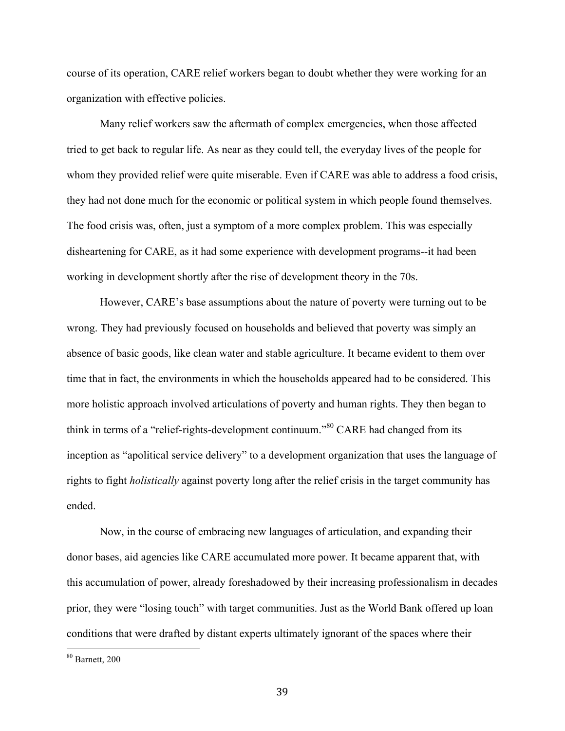course of its operation, CARE relief workers began to doubt whether they were working for an organization with effective policies.

Many relief workers saw the aftermath of complex emergencies, when those affected tried to get back to regular life. As near as they could tell, the everyday lives of the people for whom they provided relief were quite miserable. Even if CARE was able to address a food crisis, they had not done much for the economic or political system in which people found themselves. The food crisis was, often, just a symptom of a more complex problem. This was especially disheartening for CARE, as it had some experience with development programs--it had been working in development shortly after the rise of development theory in the 70s.

However, CARE's base assumptions about the nature of poverty were turning out to be wrong. They had previously focused on households and believed that poverty was simply an absence of basic goods, like clean water and stable agriculture. It became evident to them over time that in fact, the environments in which the households appeared had to be considered. This more holistic approach involved articulations of poverty and human rights. They then began to think in terms of a "relief-rights-development continuum."80 CARE had changed from its inception as "apolitical service delivery" to a development organization that uses the language of rights to fight *holistically* against poverty long after the relief crisis in the target community has ended.

Now, in the course of embracing new languages of articulation, and expanding their donor bases, aid agencies like CARE accumulated more power. It became apparent that, with this accumulation of power, already foreshadowed by their increasing professionalism in decades prior, they were "losing touch" with target communities. Just as the World Bank offered up loan conditions that were drafted by distant experts ultimately ignorant of the spaces where their

 $80$  Barnett, 200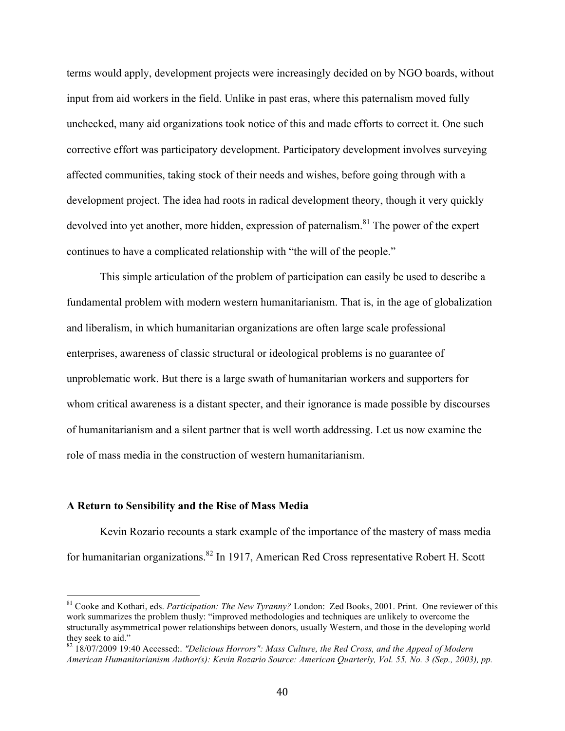terms would apply, development projects were increasingly decided on by NGO boards, without input from aid workers in the field. Unlike in past eras, where this paternalism moved fully unchecked, many aid organizations took notice of this and made efforts to correct it. One such corrective effort was participatory development. Participatory development involves surveying affected communities, taking stock of their needs and wishes, before going through with a development project. The idea had roots in radical development theory, though it very quickly devolved into yet another, more hidden, expression of paternalism.<sup>81</sup> The power of the expert continues to have a complicated relationship with "the will of the people."

This simple articulation of the problem of participation can easily be used to describe a fundamental problem with modern western humanitarianism. That is, in the age of globalization and liberalism, in which humanitarian organizations are often large scale professional enterprises, awareness of classic structural or ideological problems is no guarantee of unproblematic work. But there is a large swath of humanitarian workers and supporters for whom critical awareness is a distant specter, and their ignorance is made possible by discourses of humanitarianism and a silent partner that is well worth addressing. Let us now examine the role of mass media in the construction of western humanitarianism.

#### **A Return to Sensibility and the Rise of Mass Media**

Kevin Rozario recounts a stark example of the importance of the mastery of mass media for humanitarian organizations.<sup>82</sup> In 1917, American Red Cross representative Robert H. Scott

 <sup>81</sup> Cooke and Kothari, eds. *Participation: The New Tyranny?* London: Zed Books, 2001. Print. One reviewer of this work summarizes the problem thusly: "improved methodologies and techniques are unlikely to overcome the structurally asymmetrical power relationships between donors, usually Western, and those in the developing world they seek to aid."

<sup>82 18/07/2009 19:40</sup> Accessed:. *"Delicious Horrors": Mass Culture, the Red Cross, and the Appeal of Modern American Humanitarianism Author(s): Kevin Rozario Source: American Quarterly, Vol. 55, No. 3 (Sep., 2003), pp.*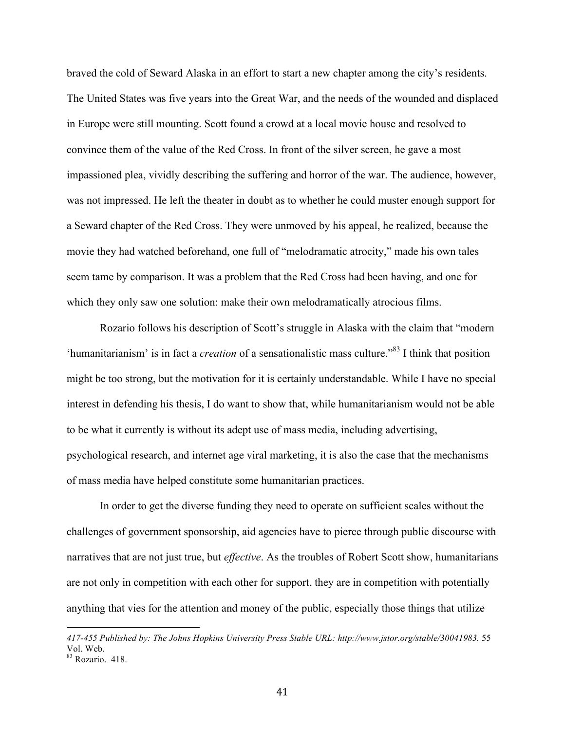braved the cold of Seward Alaska in an effort to start a new chapter among the city's residents. The United States was five years into the Great War, and the needs of the wounded and displaced in Europe were still mounting. Scott found a crowd at a local movie house and resolved to convince them of the value of the Red Cross. In front of the silver screen, he gave a most impassioned plea, vividly describing the suffering and horror of the war. The audience, however, was not impressed. He left the theater in doubt as to whether he could muster enough support for a Seward chapter of the Red Cross. They were unmoved by his appeal, he realized, because the movie they had watched beforehand, one full of "melodramatic atrocity," made his own tales seem tame by comparison. It was a problem that the Red Cross had been having, and one for which they only saw one solution: make their own melodramatically atrocious films.

Rozario follows his description of Scott's struggle in Alaska with the claim that "modern 'humanitarianism' is in fact a *creation* of a sensationalistic mass culture."83 I think that position might be too strong, but the motivation for it is certainly understandable. While I have no special interest in defending his thesis, I do want to show that, while humanitarianism would not be able to be what it currently is without its adept use of mass media, including advertising, psychological research, and internet age viral marketing, it is also the case that the mechanisms of mass media have helped constitute some humanitarian practices.

In order to get the diverse funding they need to operate on sufficient scales without the challenges of government sponsorship, aid agencies have to pierce through public discourse with narratives that are not just true, but *effective*. As the troubles of Robert Scott show, humanitarians are not only in competition with each other for support, they are in competition with potentially anything that vies for the attention and money of the public, especially those things that utilize

<u>.</u>

*<sup>417-455</sup> Published by: The Johns Hopkins University Press Stable URL: http://www.jstor.org/stable/30041983.* 55 Vol. Web.

<sup>83</sup> Rozario. 418.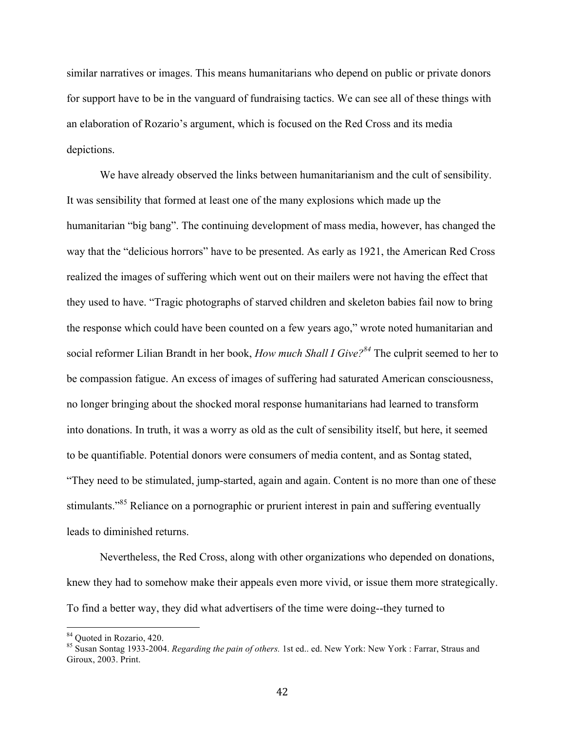similar narratives or images. This means humanitarians who depend on public or private donors for support have to be in the vanguard of fundraising tactics. We can see all of these things with an elaboration of Rozario's argument, which is focused on the Red Cross and its media depictions.

We have already observed the links between humanitarianism and the cult of sensibility. It was sensibility that formed at least one of the many explosions which made up the humanitarian "big bang". The continuing development of mass media, however, has changed the way that the "delicious horrors" have to be presented. As early as 1921, the American Red Cross realized the images of suffering which went out on their mailers were not having the effect that they used to have. "Tragic photographs of starved children and skeleton babies fail now to bring the response which could have been counted on a few years ago," wrote noted humanitarian and social reformer Lilian Brandt in her book, *How much Shall I Give*?<sup>84</sup> The culprit seemed to her to be compassion fatigue. An excess of images of suffering had saturated American consciousness, no longer bringing about the shocked moral response humanitarians had learned to transform into donations. In truth, it was a worry as old as the cult of sensibility itself, but here, it seemed to be quantifiable. Potential donors were consumers of media content, and as Sontag stated, "They need to be stimulated, jump-started, again and again. Content is no more than one of these stimulants.<sup>85</sup> Reliance on a pornographic or prurient interest in pain and suffering eventually leads to diminished returns.

Nevertheless, the Red Cross, along with other organizations who depended on donations, knew they had to somehow make their appeals even more vivid, or issue them more strategically. To find a better way, they did what advertisers of the time were doing--they turned to

 <sup>84</sup> Quoted in Rozario, 420.

<sup>85</sup> Susan Sontag 1933-2004. *Regarding the pain of others.* 1st ed.. ed. New York: New York : Farrar, Straus and Giroux, 2003. Print.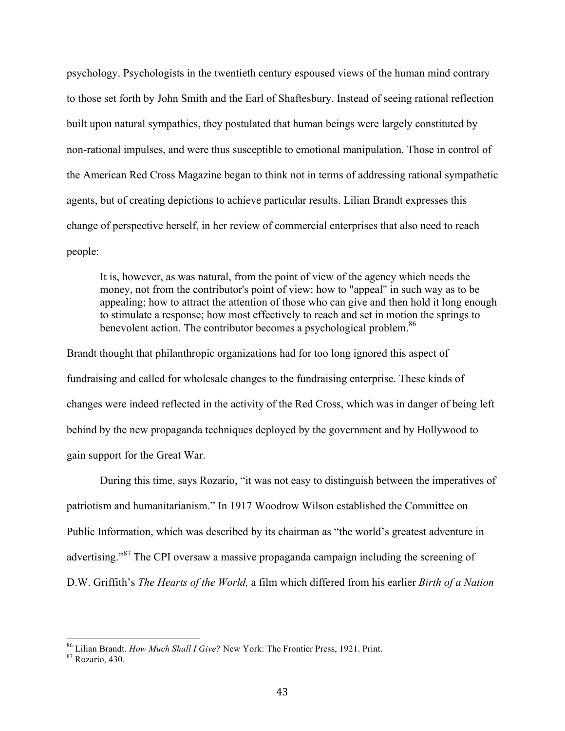psychology. Psychologists in the twentieth century espoused views of the human mind contrary to those set forth by John Smith and the Earl of Shaftesbury. Instead of seeing rational reflection built upon natural sympathies, they postulated that human beings were largely constituted by non-rational impulses, and were thus susceptible to emotional manipulation. Those in control of the American Red Cross Magazine began to think not in terms of addressing rational sympathetic agents, but of creating depictions to achieve particular results. Lilian Brandt expresses this change of perspective herself, in her review of commercial enterprises that also need to reach people:

It is, however, as was natural, from the point of view of the agency which needs the money, not from the contributor's point of view: how to "appeal" in such way as to be appealing; how to attract the attention of those who can give and then hold it long enough to stimulate a response; how most effectively to reach and set in motion the springs to benevolent action. The contributor becomes a psychological problem.<sup>86</sup>

Brandt thought that philanthropic organizations had for too long ignored this aspect of fundraising and called for wholesale changes to the fundraising enterprise. These kinds of changes were indeed reflected in the activity of the Red Cross, which was in danger of being left behind by the new propaganda techniques deployed by the government and by Hollywood to gain support for the Great War.

During this time, says Rozario, "it was not easy to distinguish between the imperatives of patriotism and humanitarianism." In 1917 Woodrow Wilson established the Committee on Public Information, which was described by its chairman as "the world's greatest adventure in advertising."87 The CPI oversaw a massive propaganda campaign including the screening of D.W. Griffith's *The Hearts of the World,* a film which differed from his earlier *Birth of a Nation* 

 <sup>86</sup> Lilian Brandt. *How Much Shall I Give?* New York: The Frontier Press, 1921. Print. 87 Rozario, 430.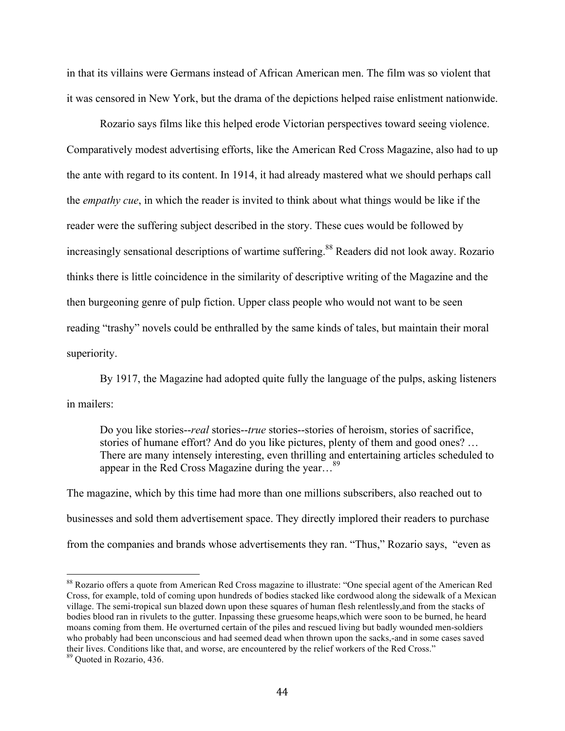in that its villains were Germans instead of African American men. The film was so violent that it was censored in New York, but the drama of the depictions helped raise enlistment nationwide.

Rozario says films like this helped erode Victorian perspectives toward seeing violence. Comparatively modest advertising efforts, like the American Red Cross Magazine, also had to up the ante with regard to its content. In 1914, it had already mastered what we should perhaps call the *empathy cue*, in which the reader is invited to think about what things would be like if the reader were the suffering subject described in the story. These cues would be followed by increasingly sensational descriptions of wartime suffering.<sup>88</sup> Readers did not look away. Rozario thinks there is little coincidence in the similarity of descriptive writing of the Magazine and the then burgeoning genre of pulp fiction. Upper class people who would not want to be seen reading "trashy" novels could be enthralled by the same kinds of tales, but maintain their moral superiority.

By 1917, the Magazine had adopted quite fully the language of the pulps, asking listeners in mailers:

Do you like stories--*real* stories--*true* stories--stories of heroism, stories of sacrifice, stories of humane effort? And do you like pictures, plenty of them and good ones? … There are many intensely interesting, even thrilling and entertaining articles scheduled to appear in the Red Cross Magazine during the year...<sup>89</sup>

The magazine, which by this time had more than one millions subscribers, also reached out to businesses and sold them advertisement space. They directly implored their readers to purchase from the companies and brands whose advertisements they ran. "Thus," Rozario says, "even as

<sup>88</sup> Rozario offers a quote from American Red Cross magazine to illustrate: "One special agent of the American Red Cross, for example, told of coming upon hundreds of bodies stacked like cordwood along the sidewalk of a Mexican village. The semi-tropical sun blazed down upon these squares of human flesh relentlessly,and from the stacks of bodies blood ran in rivulets to the gutter. Inpassing these gruesome heaps,which were soon to be burned, he heard moans coming from them. He overturned certain of the piles and rescued living but badly wounded men-soldiers who probably had been unconscious and had seemed dead when thrown upon the sacks,-and in some cases saved their lives. Conditions like that, and worse, are encountered by the relief workers of the Red Cross."

<sup>89</sup> Quoted in Rozario, 436.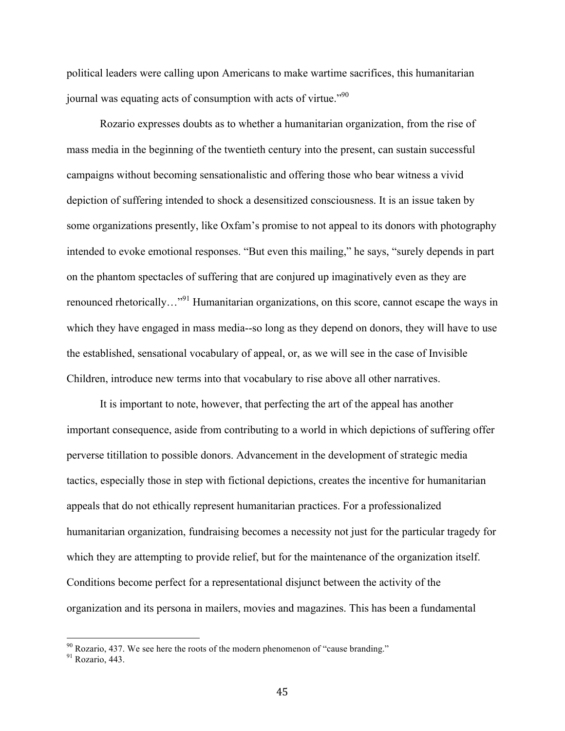political leaders were calling upon Americans to make wartime sacrifices, this humanitarian journal was equating acts of consumption with acts of virtue."<sup>90</sup>

Rozario expresses doubts as to whether a humanitarian organization, from the rise of mass media in the beginning of the twentieth century into the present, can sustain successful campaigns without becoming sensationalistic and offering those who bear witness a vivid depiction of suffering intended to shock a desensitized consciousness. It is an issue taken by some organizations presently, like Oxfam's promise to not appeal to its donors with photography intended to evoke emotional responses. "But even this mailing," he says, "surely depends in part on the phantom spectacles of suffering that are conjured up imaginatively even as they are renounced rhetorically…"91 Humanitarian organizations, on this score, cannot escape the ways in which they have engaged in mass media--so long as they depend on donors, they will have to use the established, sensational vocabulary of appeal, or, as we will see in the case of Invisible Children, introduce new terms into that vocabulary to rise above all other narratives.

It is important to note, however, that perfecting the art of the appeal has another important consequence, aside from contributing to a world in which depictions of suffering offer perverse titillation to possible donors. Advancement in the development of strategic media tactics, especially those in step with fictional depictions, creates the incentive for humanitarian appeals that do not ethically represent humanitarian practices. For a professionalized humanitarian organization, fundraising becomes a necessity not just for the particular tragedy for which they are attempting to provide relief, but for the maintenance of the organization itself. Conditions become perfect for a representational disjunct between the activity of the organization and its persona in mailers, movies and magazines. This has been a fundamental

 $^{90}$  Rozario, 437. We see here the roots of the modern phenomenon of "cause branding." Rozario. 443.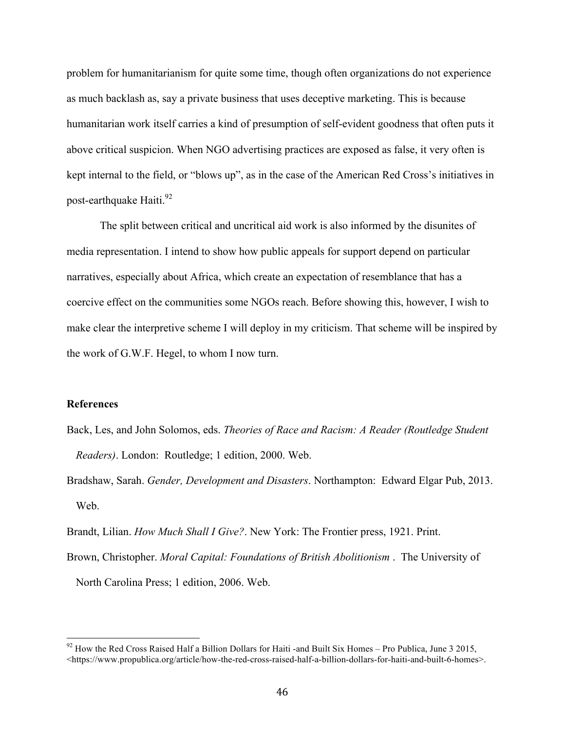problem for humanitarianism for quite some time, though often organizations do not experience as much backlash as, say a private business that uses deceptive marketing. This is because humanitarian work itself carries a kind of presumption of self-evident goodness that often puts it above critical suspicion. When NGO advertising practices are exposed as false, it very often is kept internal to the field, or "blows up", as in the case of the American Red Cross's initiatives in post-earthquake Haiti.<sup>92</sup>

The split between critical and uncritical aid work is also informed by the disunites of media representation. I intend to show how public appeals for support depend on particular narratives, especially about Africa, which create an expectation of resemblance that has a coercive effect on the communities some NGOs reach. Before showing this, however, I wish to make clear the interpretive scheme I will deploy in my criticism. That scheme will be inspired by the work of G.W.F. Hegel, to whom I now turn.

## **References**

- Back, Les, and John Solomos, eds. *Theories of Race and Racism: A Reader (Routledge Student Readers)*. London: Routledge; 1 edition, 2000. Web.
- Bradshaw, Sarah. *Gender, Development and Disasters*. Northampton: Edward Elgar Pub, 2013. Web.
- Brandt, Lilian. *How Much Shall I Give?*. New York: The Frontier press, 1921. Print.
- Brown, Christopher. *Moral Capital: Foundations of British Abolitionism* . The University of North Carolina Press; 1 edition, 2006. Web.

 $92$  How the Red Cross Raised Half a Billion Dollars for Haiti -and Built Six Homes – Pro Publica, June 3 2015, <https://www.propublica.org/article/how-the-red-cross-raised-half-a-billion-dollars-for-haiti-and-built-6-homes>.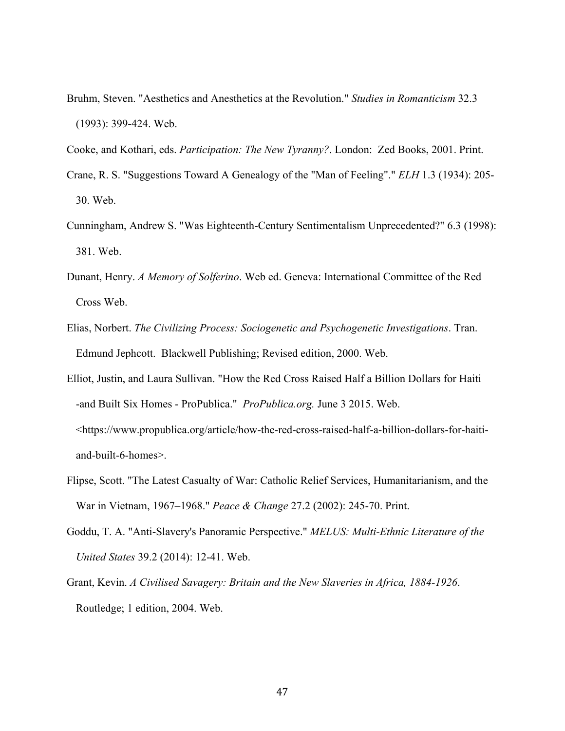Bruhm, Steven. "Aesthetics and Anesthetics at the Revolution." *Studies in Romanticism* 32.3 (1993): 399-424. Web.

Cooke, and Kothari, eds. *Participation: The New Tyranny?*. London: Zed Books, 2001. Print.

- Crane, R. S. "Suggestions Toward A Genealogy of the "Man of Feeling"." *ELH* 1.3 (1934): 205- 30. Web.
- Cunningham, Andrew S. "Was Eighteenth-Century Sentimentalism Unprecedented?" 6.3 (1998): 381. Web.
- Dunant, Henry. *A Memory of Solferino*. Web ed. Geneva: International Committee of the Red Cross Web.
- Elias, Norbert. *The Civilizing Process: Sociogenetic and Psychogenetic Investigations*. Tran. Edmund Jephcott. Blackwell Publishing; Revised edition, 2000. Web.
- Elliot, Justin, and Laura Sullivan. "How the Red Cross Raised Half a Billion Dollars for Haiti -and Built Six Homes - ProPublica." *ProPublica.org.* June 3 2015. Web. <https://www.propublica.org/article/how-the-red-cross-raised-half-a-billion-dollars-for-haitiand-built-6-homes>.
- Flipse, Scott. "The Latest Casualty of War: Catholic Relief Services, Humanitarianism, and the War in Vietnam, 1967–1968." *Peace & Change* 27.2 (2002): 245-70. Print.
- Goddu, T. A. "Anti-Slavery's Panoramic Perspective." *MELUS: Multi-Ethnic Literature of the United States* 39.2 (2014): 12-41. Web.
- Grant, Kevin. *A Civilised Savagery: Britain and the New Slaveries in Africa, 1884-1926*. Routledge; 1 edition, 2004. Web.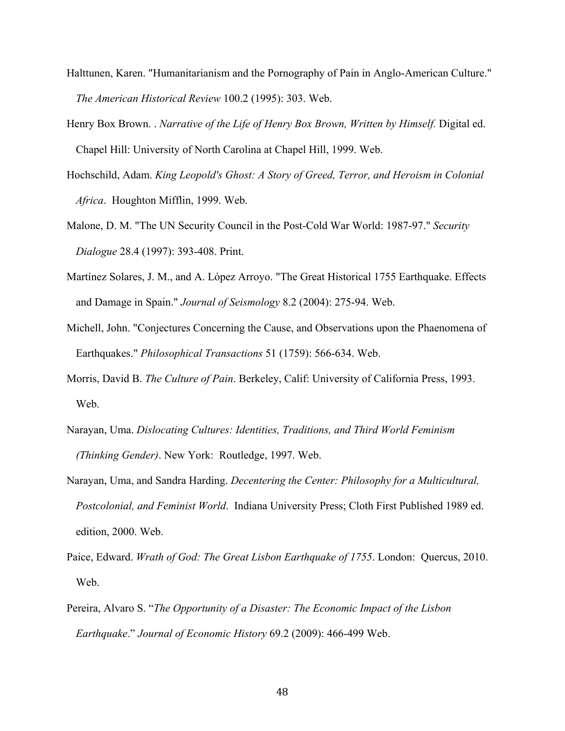- Halttunen, Karen. "Humanitarianism and the Pornography of Pain in Anglo-American Culture." *The American Historical Review* 100.2 (1995): 303. Web.
- Henry Box Brown. . *Narrative of the Life of Henry Box Brown, Written by Himself.* Digital ed. Chapel Hill: University of North Carolina at Chapel Hill, 1999. Web.
- Hochschild, Adam. *King Leopold's Ghost: A Story of Greed, Terror, and Heroism in Colonial Africa*. Houghton Mifflin, 1999. Web.
- Malone, D. M. "The UN Security Council in the Post-Cold War World: 1987-97." *Security Dialogue* 28.4 (1997): 393-408. Print.
- Martínez Solares, J. M., and A. López Arroyo. "The Great Historical 1755 Earthquake. Effects and Damage in Spain." *Journal of Seismology* 8.2 (2004): 275-94. Web.
- Michell, John. "Conjectures Concerning the Cause, and Observations upon the Phaenomena of Earthquakes." *Philosophical Transactions* 51 (1759): 566-634. Web.
- Morris, David B. *The Culture of Pain*. Berkeley, Calif: University of California Press, 1993. Web.
- Narayan, Uma. *Dislocating Cultures: Identities, Traditions, and Third World Feminism (Thinking Gender)*. New York: Routledge, 1997. Web.
- Narayan, Uma, and Sandra Harding. *Decentering the Center: Philosophy for a Multicultural, Postcolonial, and Feminist World*. Indiana University Press; Cloth First Published 1989 ed. edition, 2000. Web.
- Paice, Edward. *Wrath of God: The Great Lisbon Earthquake of 1755*. London: Quercus, 2010. Web.
- Pereira, Alvaro S. "*The Opportunity of a Disaster: The Economic Impact of the Lisbon Earthquake*." *Journal of Economic History* 69.2 (2009): 466-499 Web.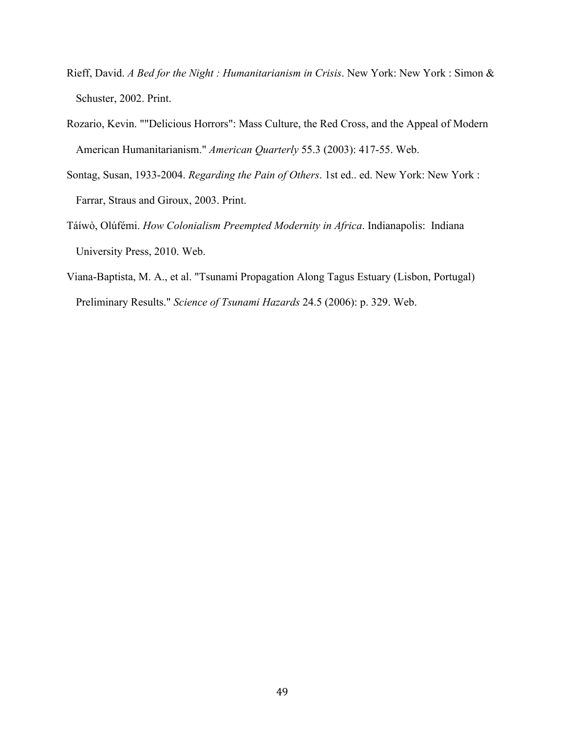- Rieff, David. *A Bed for the Night : Humanitarianism in Crisis*. New York: New York : Simon & Schuster, 2002. Print.
- Rozario, Kevin. ""Delicious Horrors": Mass Culture, the Red Cross, and the Appeal of Modern American Humanitarianism." *American Quarterly* 55.3 (2003): 417-55. Web.
- Sontag, Susan, 1933-2004. *Regarding the Pain of Others*. 1st ed.. ed. New York: New York : Farrar, Straus and Giroux, 2003. Print.
- Táíwò, Olúfémi. *How Colonialism Preempted Modernity in Africa*. Indianapolis: Indiana University Press, 2010. Web.
- Viana-Baptista, M. A., et al. "Tsunami Propagation Along Tagus Estuary (Lisbon, Portugal) Preliminary Results." *Science of Tsunami Hazards* 24.5 (2006): p. 329. Web.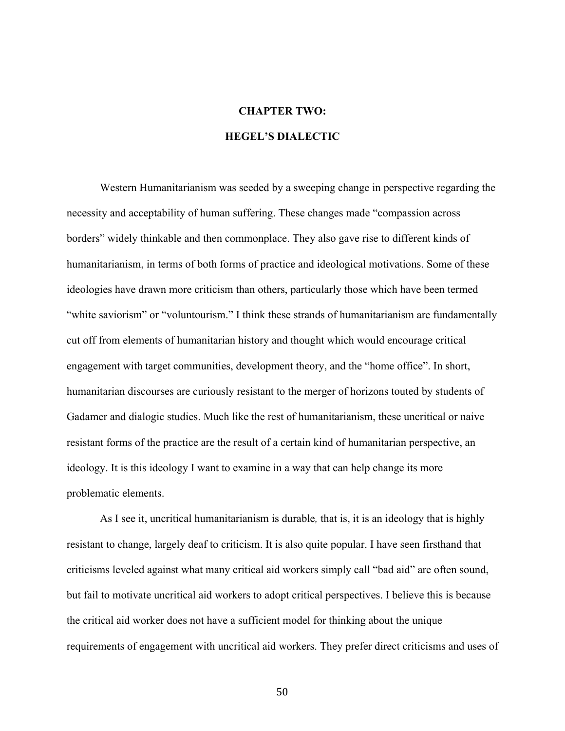# **CHAPTER TWO:**

# **HEGEL'S DIALECTIC**

Western Humanitarianism was seeded by a sweeping change in perspective regarding the necessity and acceptability of human suffering. These changes made "compassion across borders" widely thinkable and then commonplace. They also gave rise to different kinds of humanitarianism, in terms of both forms of practice and ideological motivations. Some of these ideologies have drawn more criticism than others, particularly those which have been termed "white saviorism" or "voluntourism." I think these strands of humanitarianism are fundamentally cut off from elements of humanitarian history and thought which would encourage critical engagement with target communities, development theory, and the "home office". In short, humanitarian discourses are curiously resistant to the merger of horizons touted by students of Gadamer and dialogic studies. Much like the rest of humanitarianism, these uncritical or naive resistant forms of the practice are the result of a certain kind of humanitarian perspective, an ideology. It is this ideology I want to examine in a way that can help change its more problematic elements.

As I see it, uncritical humanitarianism is durable*,* that is, it is an ideology that is highly resistant to change, largely deaf to criticism. It is also quite popular. I have seen firsthand that criticisms leveled against what many critical aid workers simply call "bad aid" are often sound, but fail to motivate uncritical aid workers to adopt critical perspectives. I believe this is because the critical aid worker does not have a sufficient model for thinking about the unique requirements of engagement with uncritical aid workers. They prefer direct criticisms and uses of

50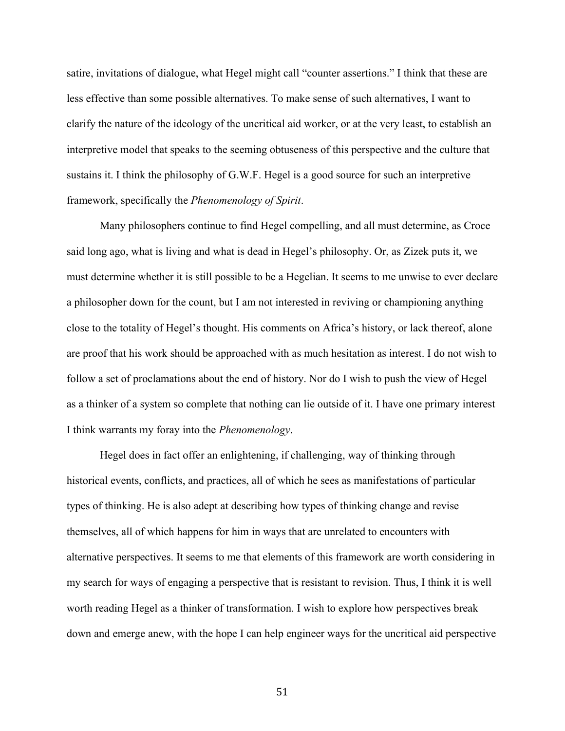satire, invitations of dialogue, what Hegel might call "counter assertions." I think that these are less effective than some possible alternatives. To make sense of such alternatives, I want to clarify the nature of the ideology of the uncritical aid worker, or at the very least, to establish an interpretive model that speaks to the seeming obtuseness of this perspective and the culture that sustains it. I think the philosophy of G.W.F. Hegel is a good source for such an interpretive framework, specifically the *Phenomenology of Spirit*.

Many philosophers continue to find Hegel compelling, and all must determine, as Croce said long ago, what is living and what is dead in Hegel's philosophy. Or, as Zizek puts it, we must determine whether it is still possible to be a Hegelian. It seems to me unwise to ever declare a philosopher down for the count, but I am not interested in reviving or championing anything close to the totality of Hegel's thought. His comments on Africa's history, or lack thereof, alone are proof that his work should be approached with as much hesitation as interest. I do not wish to follow a set of proclamations about the end of history. Nor do I wish to push the view of Hegel as a thinker of a system so complete that nothing can lie outside of it. I have one primary interest I think warrants my foray into the *Phenomenology*.

Hegel does in fact offer an enlightening, if challenging, way of thinking through historical events, conflicts, and practices, all of which he sees as manifestations of particular types of thinking. He is also adept at describing how types of thinking change and revise themselves, all of which happens for him in ways that are unrelated to encounters with alternative perspectives. It seems to me that elements of this framework are worth considering in my search for ways of engaging a perspective that is resistant to revision. Thus, I think it is well worth reading Hegel as a thinker of transformation. I wish to explore how perspectives break down and emerge anew, with the hope I can help engineer ways for the uncritical aid perspective

51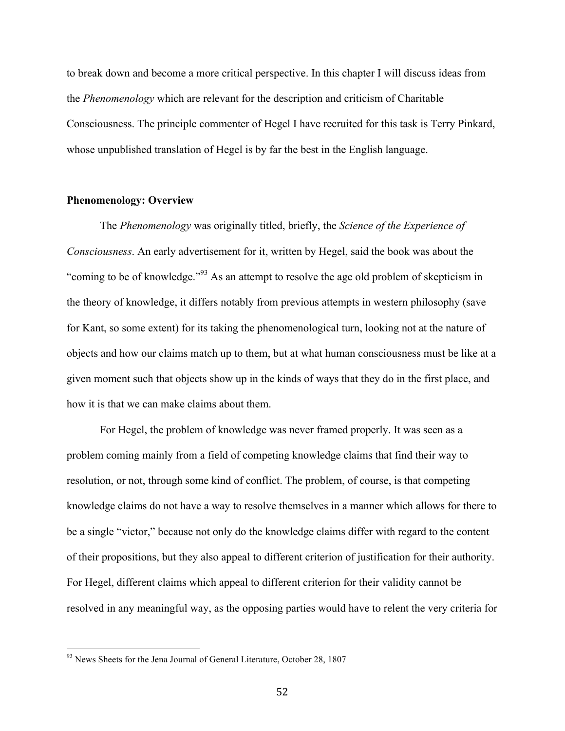to break down and become a more critical perspective. In this chapter I will discuss ideas from the *Phenomenology* which are relevant for the description and criticism of Charitable Consciousness. The principle commenter of Hegel I have recruited for this task is Terry Pinkard, whose unpublished translation of Hegel is by far the best in the English language.

## **Phenomenology: Overview**

The *Phenomenology* was originally titled, briefly, the *Science of the Experience of Consciousness*. An early advertisement for it, written by Hegel, said the book was about the "coming to be of knowledge."93 As an attempt to resolve the age old problem of skepticism in the theory of knowledge, it differs notably from previous attempts in western philosophy (save for Kant, so some extent) for its taking the phenomenological turn, looking not at the nature of objects and how our claims match up to them, but at what human consciousness must be like at a given moment such that objects show up in the kinds of ways that they do in the first place, and how it is that we can make claims about them.

For Hegel, the problem of knowledge was never framed properly. It was seen as a problem coming mainly from a field of competing knowledge claims that find their way to resolution, or not, through some kind of conflict. The problem, of course, is that competing knowledge claims do not have a way to resolve themselves in a manner which allows for there to be a single "victor," because not only do the knowledge claims differ with regard to the content of their propositions, but they also appeal to different criterion of justification for their authority. For Hegel, different claims which appeal to different criterion for their validity cannot be resolved in any meaningful way, as the opposing parties would have to relent the very criteria for

<sup>&</sup>lt;sup>93</sup> News Sheets for the Jena Journal of General Literature, October 28, 1807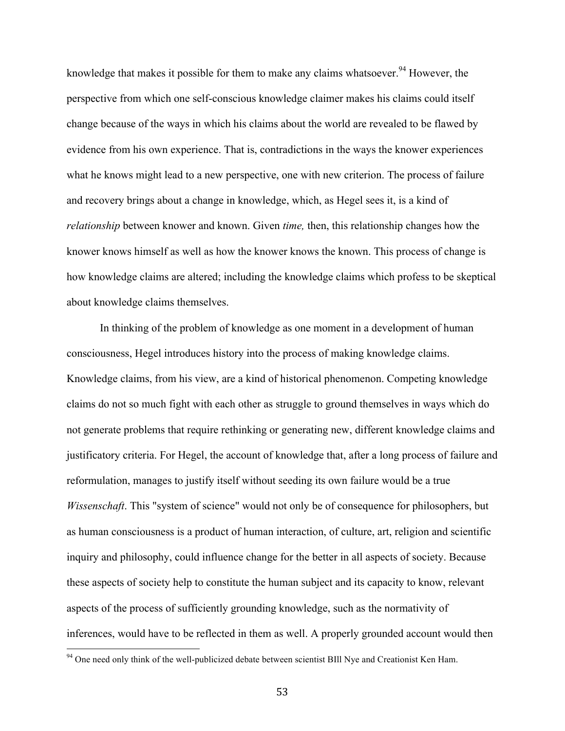knowledge that makes it possible for them to make any claims whatsoever.<sup>94</sup> However, the perspective from which one self-conscious knowledge claimer makes his claims could itself change because of the ways in which his claims about the world are revealed to be flawed by evidence from his own experience. That is, contradictions in the ways the knower experiences what he knows might lead to a new perspective, one with new criterion. The process of failure and recovery brings about a change in knowledge, which, as Hegel sees it, is a kind of *relationship* between knower and known. Given *time,* then, this relationship changes how the knower knows himself as well as how the knower knows the known. This process of change is how knowledge claims are altered; including the knowledge claims which profess to be skeptical about knowledge claims themselves.

In thinking of the problem of knowledge as one moment in a development of human consciousness, Hegel introduces history into the process of making knowledge claims. Knowledge claims, from his view, are a kind of historical phenomenon. Competing knowledge claims do not so much fight with each other as struggle to ground themselves in ways which do not generate problems that require rethinking or generating new, different knowledge claims and justificatory criteria. For Hegel, the account of knowledge that, after a long process of failure and reformulation, manages to justify itself without seeding its own failure would be a true *Wissenschaft*. This "system of science" would not only be of consequence for philosophers, but as human consciousness is a product of human interaction, of culture, art, religion and scientific inquiry and philosophy, could influence change for the better in all aspects of society. Because these aspects of society help to constitute the human subject and its capacity to know, relevant aspects of the process of sufficiently grounding knowledge, such as the normativity of inferences, would have to be reflected in them as well. A properly grounded account would then

<sup>&</sup>lt;sup>94</sup> One need only think of the well-publicized debate between scientist BIll Nye and Creationist Ken Ham.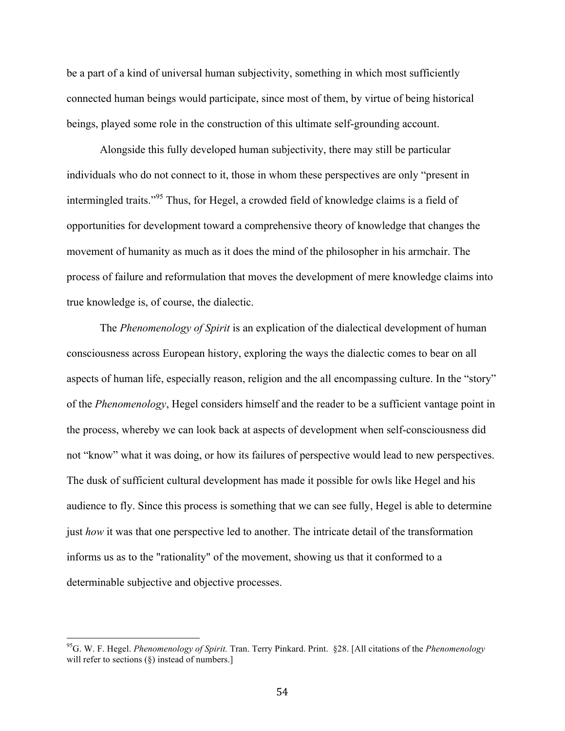be a part of a kind of universal human subjectivity, something in which most sufficiently connected human beings would participate, since most of them, by virtue of being historical beings, played some role in the construction of this ultimate self-grounding account.

Alongside this fully developed human subjectivity, there may still be particular individuals who do not connect to it, those in whom these perspectives are only "present in intermingled traits."95 Thus, for Hegel, a crowded field of knowledge claims is a field of opportunities for development toward a comprehensive theory of knowledge that changes the movement of humanity as much as it does the mind of the philosopher in his armchair. The process of failure and reformulation that moves the development of mere knowledge claims into true knowledge is, of course, the dialectic.

The *Phenomenology of Spirit* is an explication of the dialectical development of human consciousness across European history, exploring the ways the dialectic comes to bear on all aspects of human life, especially reason, religion and the all encompassing culture. In the "story" of the *Phenomenology*, Hegel considers himself and the reader to be a sufficient vantage point in the process, whereby we can look back at aspects of development when self-consciousness did not "know" what it was doing, or how its failures of perspective would lead to new perspectives. The dusk of sufficient cultural development has made it possible for owls like Hegel and his audience to fly. Since this process is something that we can see fully, Hegel is able to determine just *how* it was that one perspective led to another. The intricate detail of the transformation informs us as to the "rationality" of the movement, showing us that it conformed to a determinable subjective and objective processes.

 <sup>95</sup>G. W. F. Hegel. *Phenomenology of Spirit.* Tran. Terry Pinkard. Print. §28. [All citations of the *Phenomenology* will refer to sections (§) instead of numbers.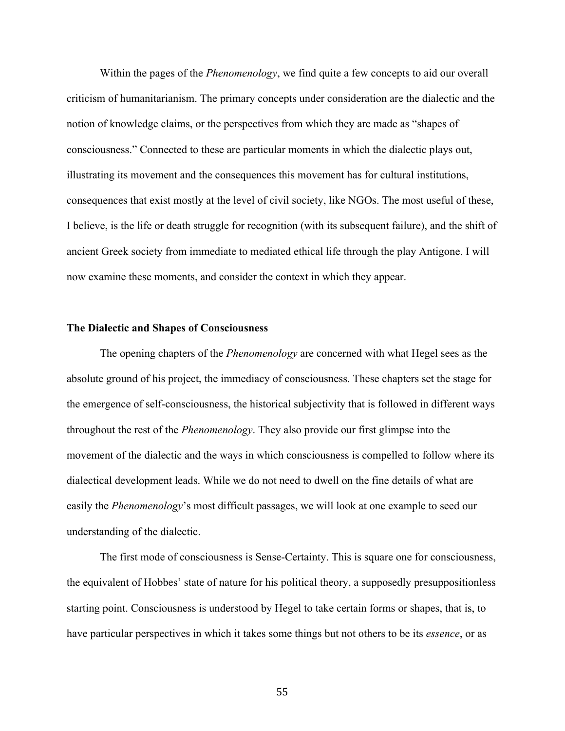Within the pages of the *Phenomenology*, we find quite a few concepts to aid our overall criticism of humanitarianism. The primary concepts under consideration are the dialectic and the notion of knowledge claims, or the perspectives from which they are made as "shapes of consciousness." Connected to these are particular moments in which the dialectic plays out, illustrating its movement and the consequences this movement has for cultural institutions, consequences that exist mostly at the level of civil society, like NGOs. The most useful of these, I believe, is the life or death struggle for recognition (with its subsequent failure), and the shift of ancient Greek society from immediate to mediated ethical life through the play Antigone. I will now examine these moments, and consider the context in which they appear.

### **The Dialectic and Shapes of Consciousness**

The opening chapters of the *Phenomenology* are concerned with what Hegel sees as the absolute ground of his project, the immediacy of consciousness. These chapters set the stage for the emergence of self-consciousness, the historical subjectivity that is followed in different ways throughout the rest of the *Phenomenology*. They also provide our first glimpse into the movement of the dialectic and the ways in which consciousness is compelled to follow where its dialectical development leads. While we do not need to dwell on the fine details of what are easily the *Phenomenology*'s most difficult passages, we will look at one example to seed our understanding of the dialectic.

The first mode of consciousness is Sense-Certainty. This is square one for consciousness, the equivalent of Hobbes' state of nature for his political theory, a supposedly presuppositionless starting point. Consciousness is understood by Hegel to take certain forms or shapes, that is, to have particular perspectives in which it takes some things but not others to be its *essence*, or as

55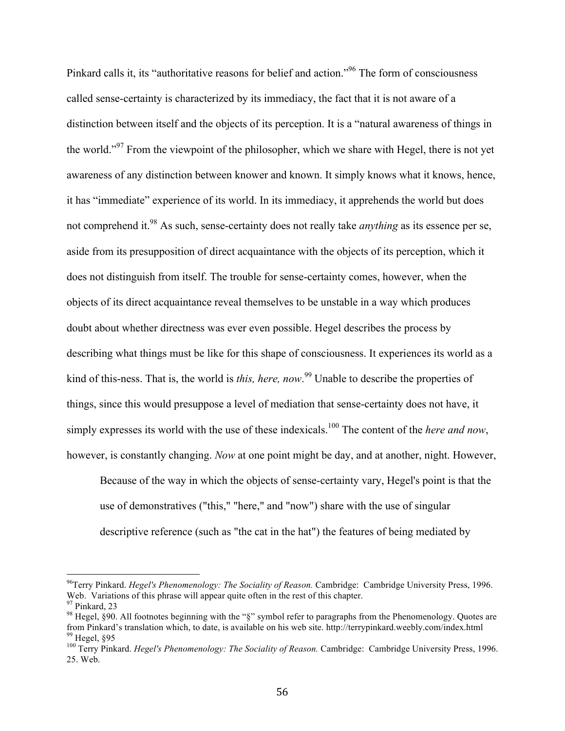Pinkard calls it, its "authoritative reasons for belief and action."96 The form of consciousness called sense-certainty is characterized by its immediacy, the fact that it is not aware of a distinction between itself and the objects of its perception. It is a "natural awareness of things in the world."97 From the viewpoint of the philosopher, which we share with Hegel, there is not yet awareness of any distinction between knower and known. It simply knows what it knows, hence, it has "immediate" experience of its world. In its immediacy, it apprehends the world but does not comprehend it.98 As such, sense-certainty does not really take *anything* as its essence per se, aside from its presupposition of direct acquaintance with the objects of its perception, which it does not distinguish from itself. The trouble for sense-certainty comes, however, when the objects of its direct acquaintance reveal themselves to be unstable in a way which produces doubt about whether directness was ever even possible. Hegel describes the process by describing what things must be like for this shape of consciousness. It experiences its world as a kind of this-ness. That is, the world is *this, here, now*. 99 Unable to describe the properties of things, since this would presuppose a level of mediation that sense-certainty does not have, it simply expresses its world with the use of these indexicals.<sup>100</sup> The content of the *here and now*, however, is constantly changing. *Now* at one point might be day, and at another, night. However,

Because of the way in which the objects of sense-certainty vary, Hegel's point is that the use of demonstratives ("this," "here," and "now") share with the use of singular descriptive reference (such as "the cat in the hat") the features of being mediated by

 <sup>96</sup>Terry Pinkard. *Hegel's Phenomenology: The Sociality of Reason.* Cambridge: Cambridge University Press, 1996. Web. Variations of this phrase will appear quite often in the rest of this chapter.

 $97$  Pinkard, 23

<sup>&</sup>lt;sup>98</sup> Hegel, §90. All footnotes beginning with the "§" symbol refer to paragraphs from the Phenomenology. Quotes are from Pinkard's translation which, to date, is available on his web site. http://terrypinkard.weebly.com/index.html 99 Hegel, §95

<sup>100</sup> Terry Pinkard. *Hegel's Phenomenology: The Sociality of Reason.* Cambridge: Cambridge University Press, 1996. 25. Web.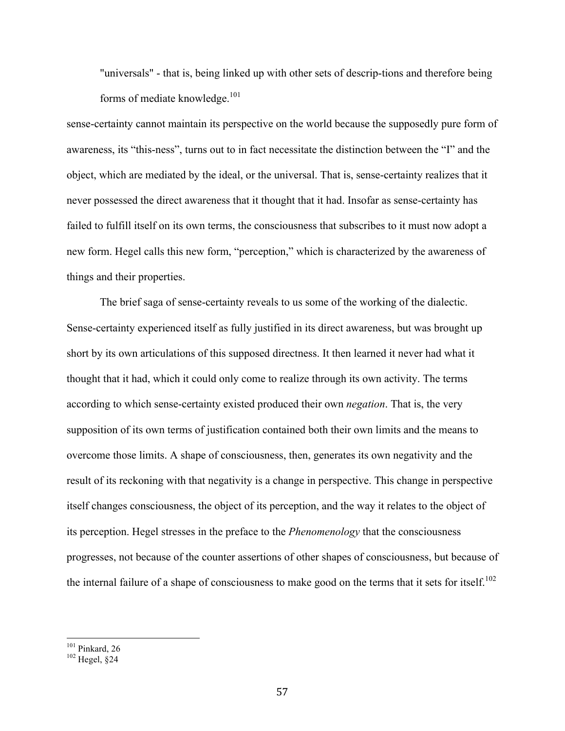"universals" - that is, being linked up with other sets of descrip-tions and therefore being forms of mediate knowledge.<sup>101</sup>

sense-certainty cannot maintain its perspective on the world because the supposedly pure form of awareness, its "this-ness", turns out to in fact necessitate the distinction between the "I" and the object, which are mediated by the ideal, or the universal. That is, sense-certainty realizes that it never possessed the direct awareness that it thought that it had. Insofar as sense-certainty has failed to fulfill itself on its own terms, the consciousness that subscribes to it must now adopt a new form. Hegel calls this new form, "perception," which is characterized by the awareness of things and their properties.

The brief saga of sense-certainty reveals to us some of the working of the dialectic. Sense-certainty experienced itself as fully justified in its direct awareness, but was brought up short by its own articulations of this supposed directness. It then learned it never had what it thought that it had, which it could only come to realize through its own activity. The terms according to which sense-certainty existed produced their own *negation*. That is, the very supposition of its own terms of justification contained both their own limits and the means to overcome those limits. A shape of consciousness, then, generates its own negativity and the result of its reckoning with that negativity is a change in perspective. This change in perspective itself changes consciousness, the object of its perception, and the way it relates to the object of its perception. Hegel stresses in the preface to the *Phenomenology* that the consciousness progresses, not because of the counter assertions of other shapes of consciousness, but because of the internal failure of a shape of consciousness to make good on the terms that it sets for itself.<sup>102</sup>

 $^{101}_{102}$  Pinkard, 26<br> $^{102}$  Hegel, §24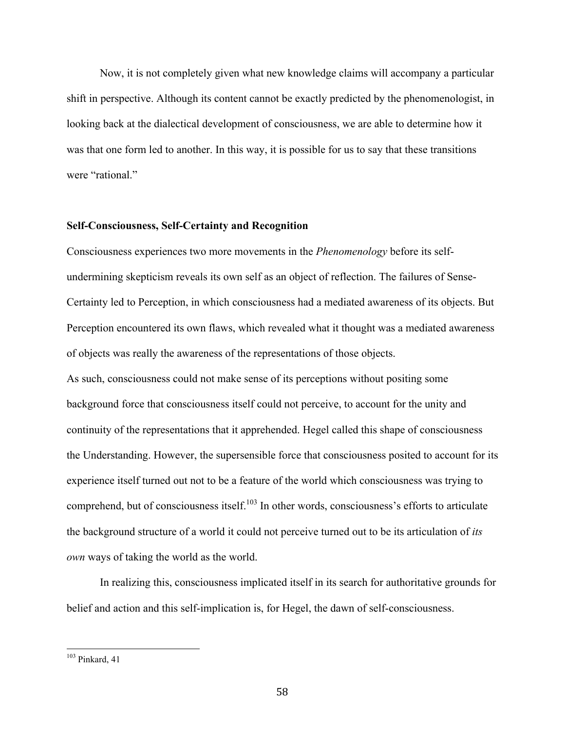Now, it is not completely given what new knowledge claims will accompany a particular shift in perspective. Although its content cannot be exactly predicted by the phenomenologist, in looking back at the dialectical development of consciousness, we are able to determine how it was that one form led to another. In this way, it is possible for us to say that these transitions were "rational."

### **Self-Consciousness, Self-Certainty and Recognition**

Consciousness experiences two more movements in the *Phenomenology* before its selfundermining skepticism reveals its own self as an object of reflection. The failures of Sense-Certainty led to Perception, in which consciousness had a mediated awareness of its objects. But Perception encountered its own flaws, which revealed what it thought was a mediated awareness of objects was really the awareness of the representations of those objects.

As such, consciousness could not make sense of its perceptions without positing some background force that consciousness itself could not perceive, to account for the unity and continuity of the representations that it apprehended. Hegel called this shape of consciousness the Understanding. However, the supersensible force that consciousness posited to account for its experience itself turned out not to be a feature of the world which consciousness was trying to comprehend, but of consciousness itself.<sup>103</sup> In other words, consciousness's efforts to articulate the background structure of a world it could not perceive turned out to be its articulation of *its own* ways of taking the world as the world.

In realizing this, consciousness implicated itself in its search for authoritative grounds for belief and action and this self-implication is, for Hegel, the dawn of self-consciousness.

 $103$  Pinkard, 41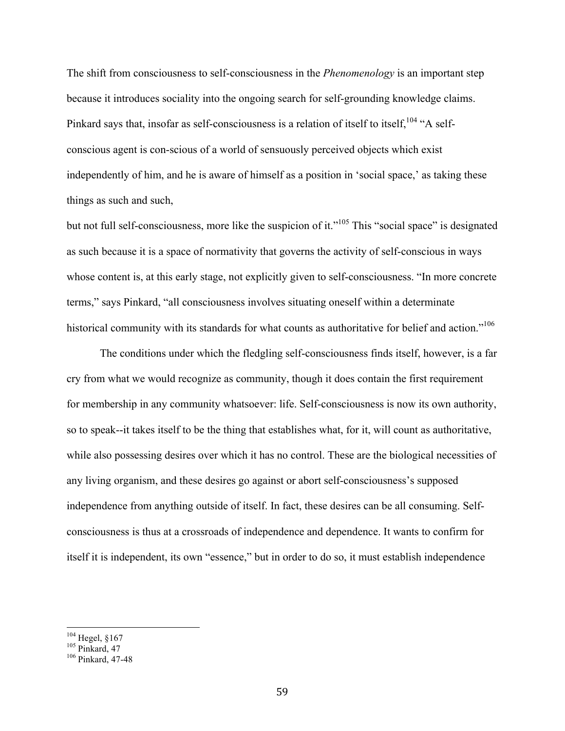The shift from consciousness to self-consciousness in the *Phenomenology* is an important step because it introduces sociality into the ongoing search for self-grounding knowledge claims. Pinkard says that, insofar as self-consciousness is a relation of itself to itself, <sup>104</sup> "A selfconscious agent is con-scious of a world of sensuously perceived objects which exist independently of him, and he is aware of himself as a position in 'social space,' as taking these things as such and such,

but not full self-consciousness, more like the suspicion of it."<sup>105</sup> This "social space" is designated as such because it is a space of normativity that governs the activity of self-conscious in ways whose content is, at this early stage, not explicitly given to self-consciousness. "In more concrete terms," says Pinkard, "all consciousness involves situating oneself within a determinate historical community with its standards for what counts as authoritative for belief and action."<sup>106</sup>

The conditions under which the fledgling self-consciousness finds itself, however, is a far cry from what we would recognize as community, though it does contain the first requirement for membership in any community whatsoever: life. Self-consciousness is now its own authority, so to speak--it takes itself to be the thing that establishes what, for it, will count as authoritative, while also possessing desires over which it has no control. These are the biological necessities of any living organism, and these desires go against or abort self-consciousness's supposed independence from anything outside of itself. In fact, these desires can be all consuming. Selfconsciousness is thus at a crossroads of independence and dependence. It wants to confirm for itself it is independent, its own "essence," but in order to do so, it must establish independence

<sup>&</sup>lt;sup>104</sup> Hegel, §167<br><sup>105</sup> Pinkard, 47<br><sup>106</sup> Pinkard, 47-48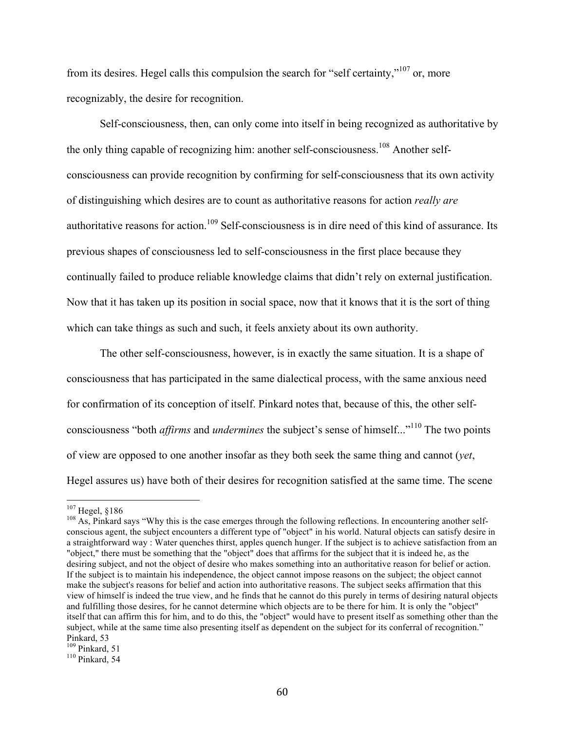from its desires. Hegel calls this compulsion the search for "self certainty,"107 or, more recognizably, the desire for recognition.

Self-consciousness, then, can only come into itself in being recognized as authoritative by the only thing capable of recognizing him: another self-consciousness.<sup>108</sup> Another selfconsciousness can provide recognition by confirming for self-consciousness that its own activity of distinguishing which desires are to count as authoritative reasons for action *really are*  authoritative reasons for action.<sup>109</sup> Self-consciousness is in dire need of this kind of assurance. Its previous shapes of consciousness led to self-consciousness in the first place because they continually failed to produce reliable knowledge claims that didn't rely on external justification. Now that it has taken up its position in social space, now that it knows that it is the sort of thing which can take things as such and such, it feels anxiety about its own authority.

The other self-consciousness, however, is in exactly the same situation. It is a shape of consciousness that has participated in the same dialectical process, with the same anxious need for confirmation of its conception of itself. Pinkard notes that, because of this, the other selfconsciousness "both *affirms* and *undermines* the subject's sense of himself..."110 The two points of view are opposed to one another insofar as they both seek the same thing and cannot (*yet*, Hegel assures us) have both of their desires for recognition satisfied at the same time. The scene

<sup>&</sup>lt;sup>107</sup> Hegel, §186<br><sup>108</sup> As, Pinkard says "Why this is the case emerges through the following reflections. In encountering another selfconscious agent, the subject encounters a different type of "object" in his world. Natural objects can satisfy desire in a straightforward way : Water quenches thirst, apples quench hunger. If the subject is to achieve satisfaction from an "object," there must be something that the "object" does that affirms for the subject that it is indeed he, as the desiring subject, and not the object of desire who makes something into an authoritative reason for belief or action. If the subject is to maintain his independence, the object cannot impose reasons on the subject; the object cannot make the subject's reasons for belief and action into authoritative reasons. The subject seeks affirmation that this view of himself is indeed the true view, and he finds that he cannot do this purely in terms of desiring natural objects and fulfilling those desires, for he cannot determine which objects are to be there for him. It is only the "object" itself that can affirm this for him, and to do this, the "object" would have to present itself as something other than the subject, while at the same time also presenting itself as dependent on the subject for its conferral of recognition." Pinkard, 53<br> $109$  Pinkard, 51

 $110$  Pinkard, 54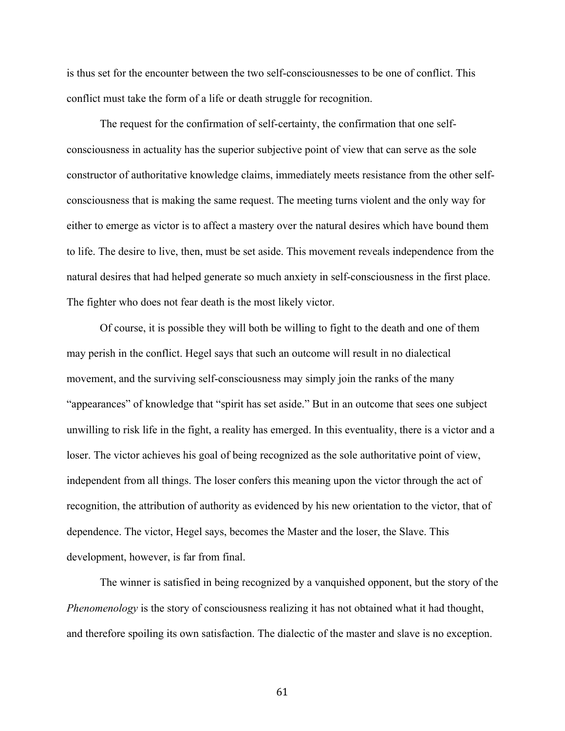is thus set for the encounter between the two self-consciousnesses to be one of conflict. This conflict must take the form of a life or death struggle for recognition.

The request for the confirmation of self-certainty, the confirmation that one selfconsciousness in actuality has the superior subjective point of view that can serve as the sole constructor of authoritative knowledge claims, immediately meets resistance from the other selfconsciousness that is making the same request. The meeting turns violent and the only way for either to emerge as victor is to affect a mastery over the natural desires which have bound them to life. The desire to live, then, must be set aside. This movement reveals independence from the natural desires that had helped generate so much anxiety in self-consciousness in the first place. The fighter who does not fear death is the most likely victor.

Of course, it is possible they will both be willing to fight to the death and one of them may perish in the conflict. Hegel says that such an outcome will result in no dialectical movement, and the surviving self-consciousness may simply join the ranks of the many "appearances" of knowledge that "spirit has set aside." But in an outcome that sees one subject unwilling to risk life in the fight, a reality has emerged. In this eventuality, there is a victor and a loser. The victor achieves his goal of being recognized as the sole authoritative point of view, independent from all things. The loser confers this meaning upon the victor through the act of recognition, the attribution of authority as evidenced by his new orientation to the victor, that of dependence. The victor, Hegel says, becomes the Master and the loser, the Slave. This development, however, is far from final.

The winner is satisfied in being recognized by a vanquished opponent, but the story of the *Phenomenology* is the story of consciousness realizing it has not obtained what it had thought, and therefore spoiling its own satisfaction. The dialectic of the master and slave is no exception.

61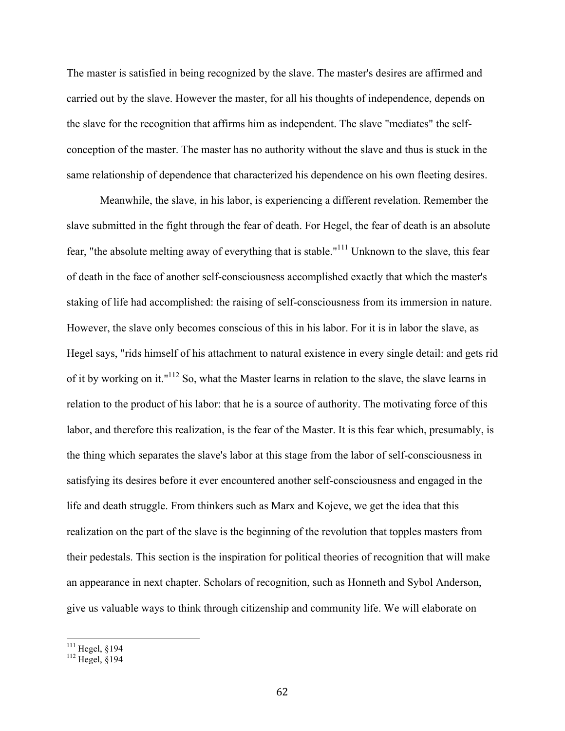The master is satisfied in being recognized by the slave. The master's desires are affirmed and carried out by the slave. However the master, for all his thoughts of independence, depends on the slave for the recognition that affirms him as independent. The slave "mediates" the selfconception of the master. The master has no authority without the slave and thus is stuck in the same relationship of dependence that characterized his dependence on his own fleeting desires.

 Meanwhile, the slave, in his labor, is experiencing a different revelation. Remember the slave submitted in the fight through the fear of death. For Hegel, the fear of death is an absolute fear, "the absolute melting away of everything that is stable."111 Unknown to the slave, this fear of death in the face of another self-consciousness accomplished exactly that which the master's staking of life had accomplished: the raising of self-consciousness from its immersion in nature. However, the slave only becomes conscious of this in his labor. For it is in labor the slave, as Hegel says, "rids himself of his attachment to natural existence in every single detail: and gets rid of it by working on it."112 So, what the Master learns in relation to the slave, the slave learns in relation to the product of his labor: that he is a source of authority. The motivating force of this labor, and therefore this realization, is the fear of the Master. It is this fear which, presumably, is the thing which separates the slave's labor at this stage from the labor of self-consciousness in satisfying its desires before it ever encountered another self-consciousness and engaged in the life and death struggle. From thinkers such as Marx and Kojeve, we get the idea that this realization on the part of the slave is the beginning of the revolution that topples masters from their pedestals. This section is the inspiration for political theories of recognition that will make an appearance in next chapter. Scholars of recognition, such as Honneth and Sybol Anderson, give us valuable ways to think through citizenship and community life. We will elaborate on

 $^{111}_{112}$  Hegel, §194<br> $^{112}$  Hegel, §194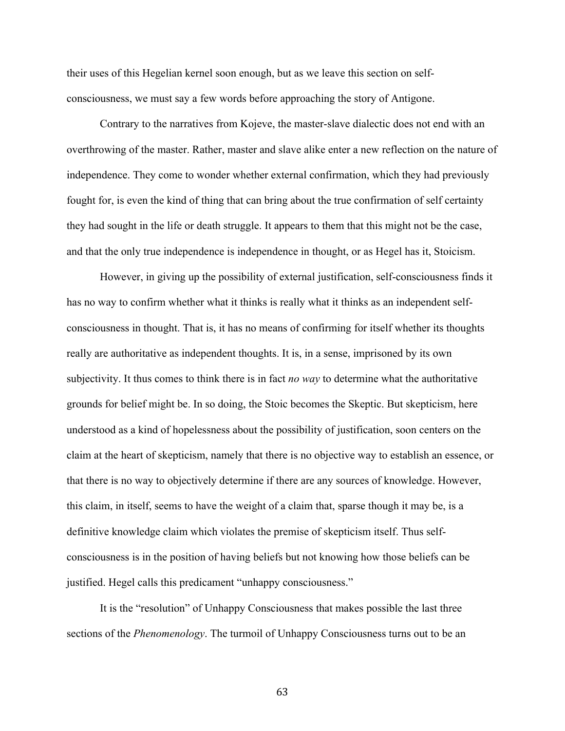their uses of this Hegelian kernel soon enough, but as we leave this section on selfconsciousness, we must say a few words before approaching the story of Antigone.

Contrary to the narratives from Kojeve, the master-slave dialectic does not end with an overthrowing of the master. Rather, master and slave alike enter a new reflection on the nature of independence. They come to wonder whether external confirmation, which they had previously fought for, is even the kind of thing that can bring about the true confirmation of self certainty they had sought in the life or death struggle. It appears to them that this might not be the case, and that the only true independence is independence in thought, or as Hegel has it, Stoicism.

However, in giving up the possibility of external justification, self-consciousness finds it has no way to confirm whether what it thinks is really what it thinks as an independent selfconsciousness in thought. That is, it has no means of confirming for itself whether its thoughts really are authoritative as independent thoughts. It is, in a sense, imprisoned by its own subjectivity. It thus comes to think there is in fact *no way* to determine what the authoritative grounds for belief might be. In so doing, the Stoic becomes the Skeptic. But skepticism, here understood as a kind of hopelessness about the possibility of justification, soon centers on the claim at the heart of skepticism, namely that there is no objective way to establish an essence, or that there is no way to objectively determine if there are any sources of knowledge. However, this claim, in itself, seems to have the weight of a claim that, sparse though it may be, is a definitive knowledge claim which violates the premise of skepticism itself. Thus selfconsciousness is in the position of having beliefs but not knowing how those beliefs can be justified. Hegel calls this predicament "unhappy consciousness."

It is the "resolution" of Unhappy Consciousness that makes possible the last three sections of the *Phenomenology*. The turmoil of Unhappy Consciousness turns out to be an

63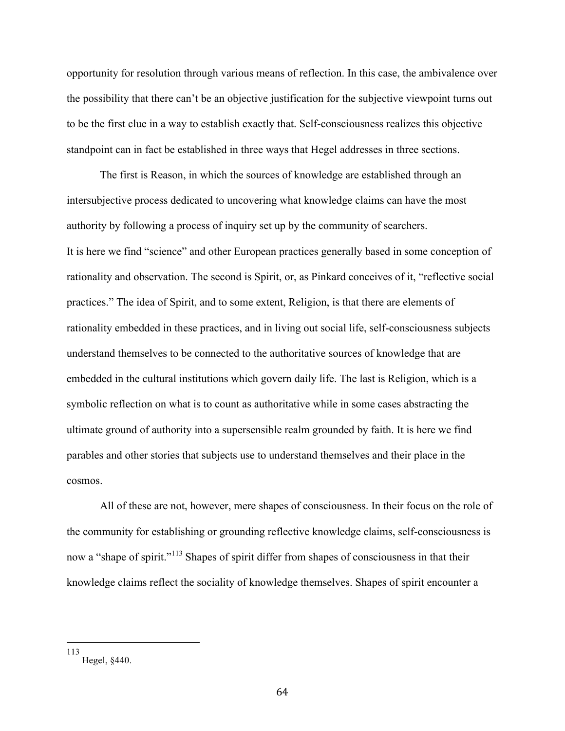opportunity for resolution through various means of reflection. In this case, the ambivalence over the possibility that there can't be an objective justification for the subjective viewpoint turns out to be the first clue in a way to establish exactly that. Self-consciousness realizes this objective standpoint can in fact be established in three ways that Hegel addresses in three sections.

The first is Reason, in which the sources of knowledge are established through an intersubjective process dedicated to uncovering what knowledge claims can have the most authority by following a process of inquiry set up by the community of searchers. It is here we find "science" and other European practices generally based in some conception of rationality and observation. The second is Spirit, or, as Pinkard conceives of it, "reflective social practices." The idea of Spirit, and to some extent, Religion, is that there are elements of rationality embedded in these practices, and in living out social life, self-consciousness subjects understand themselves to be connected to the authoritative sources of knowledge that are embedded in the cultural institutions which govern daily life. The last is Religion, which is a symbolic reflection on what is to count as authoritative while in some cases abstracting the ultimate ground of authority into a supersensible realm grounded by faith. It is here we find parables and other stories that subjects use to understand themselves and their place in the cosmos.

All of these are not, however, mere shapes of consciousness. In their focus on the role of the community for establishing or grounding reflective knowledge claims, self-consciousness is now a "shape of spirit."<sup>113</sup> Shapes of spirit differ from shapes of consciousness in that their knowledge claims reflect the sociality of knowledge themselves. Shapes of spirit encounter a

 <sup>113</sup> Hegel, §440.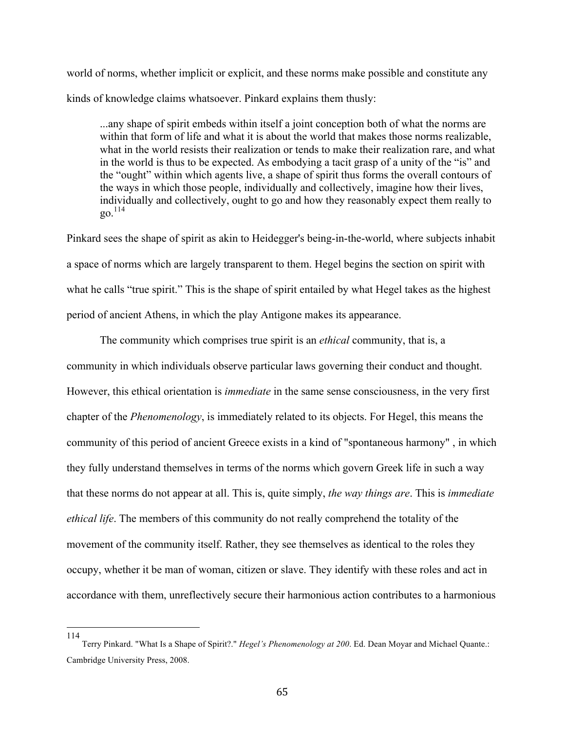world of norms, whether implicit or explicit, and these norms make possible and constitute any kinds of knowledge claims whatsoever. Pinkard explains them thusly:

...any shape of spirit embeds within itself a joint conception both of what the norms are within that form of life and what it is about the world that makes those norms realizable, what in the world resists their realization or tends to make their realization rare, and what in the world is thus to be expected. As embodying a tacit grasp of a unity of the "is" and the "ought" within which agents live, a shape of spirit thus forms the overall contours of the ways in which those people, individually and collectively, imagine how their lives, individually and collectively, ought to go and how they reasonably expect them really to  $20^{114}$ 

Pinkard sees the shape of spirit as akin to Heidegger's being-in-the-world, where subjects inhabit a space of norms which are largely transparent to them. Hegel begins the section on spirit with what he calls "true spirit." This is the shape of spirit entailed by what Hegel takes as the highest period of ancient Athens, in which the play Antigone makes its appearance.

The community which comprises true spirit is an *ethical* community, that is, a community in which individuals observe particular laws governing their conduct and thought. However, this ethical orientation is *immediate* in the same sense consciousness, in the very first chapter of the *Phenomenology*, is immediately related to its objects. For Hegel, this means the community of this period of ancient Greece exists in a kind of "spontaneous harmony" , in which they fully understand themselves in terms of the norms which govern Greek life in such a way that these norms do not appear at all. This is, quite simply, *the way things are*. This is *immediate ethical life*. The members of this community do not really comprehend the totality of the movement of the community itself. Rather, they see themselves as identical to the roles they occupy, whether it be man of woman, citizen or slave. They identify with these roles and act in accordance with them, unreflectively secure their harmonious action contributes to a harmonious

114

Terry Pinkard. "What Is a Shape of Spirit?." *Hegel's Phenomenology at 200*. Ed. Dean Moyar and Michael Quante.: Cambridge University Press, 2008.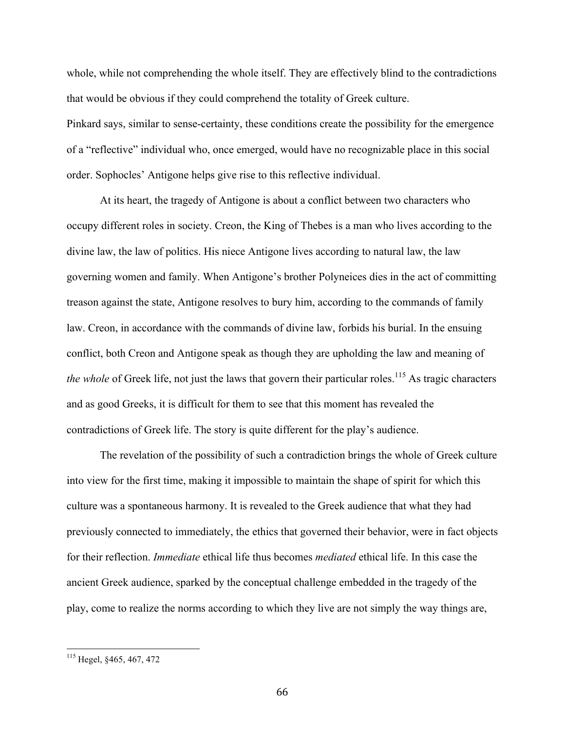whole, while not comprehending the whole itself. They are effectively blind to the contradictions that would be obvious if they could comprehend the totality of Greek culture. Pinkard says, similar to sense-certainty, these conditions create the possibility for the emergence of a "reflective" individual who, once emerged, would have no recognizable place in this social

order. Sophocles' Antigone helps give rise to this reflective individual.

At its heart, the tragedy of Antigone is about a conflict between two characters who occupy different roles in society. Creon, the King of Thebes is a man who lives according to the divine law, the law of politics. His niece Antigone lives according to natural law, the law governing women and family. When Antigone's brother Polyneices dies in the act of committing treason against the state, Antigone resolves to bury him, according to the commands of family law. Creon, in accordance with the commands of divine law, forbids his burial. In the ensuing conflict, both Creon and Antigone speak as though they are upholding the law and meaning of *the whole* of Greek life, not just the laws that govern their particular roles.<sup>115</sup> As tragic characters and as good Greeks, it is difficult for them to see that this moment has revealed the contradictions of Greek life. The story is quite different for the play's audience.

The revelation of the possibility of such a contradiction brings the whole of Greek culture into view for the first time, making it impossible to maintain the shape of spirit for which this culture was a spontaneous harmony. It is revealed to the Greek audience that what they had previously connected to immediately, the ethics that governed their behavior, were in fact objects for their reflection. *Immediate* ethical life thus becomes *mediated* ethical life. In this case the ancient Greek audience, sparked by the conceptual challenge embedded in the tragedy of the play, come to realize the norms according to which they live are not simply the way things are,

 <sup>115</sup> Hegel, §465, 467, 472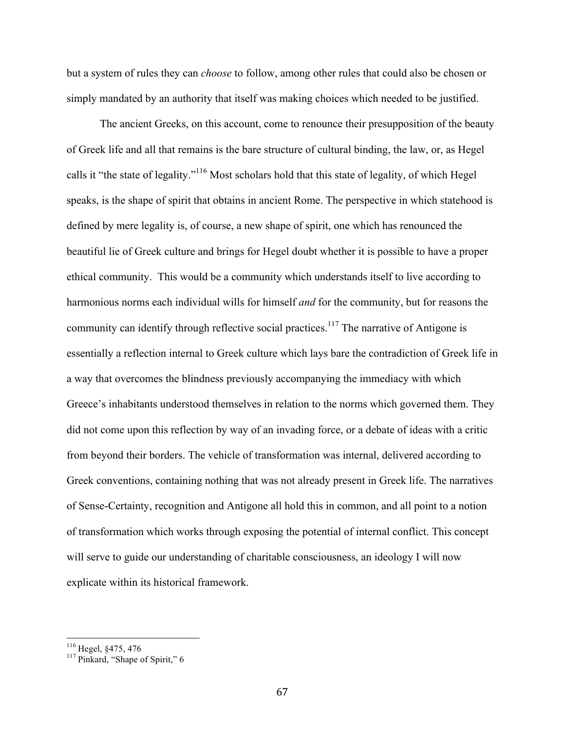but a system of rules they can *choose* to follow, among other rules that could also be chosen or simply mandated by an authority that itself was making choices which needed to be justified.

The ancient Greeks, on this account, come to renounce their presupposition of the beauty of Greek life and all that remains is the bare structure of cultural binding, the law, or, as Hegel calls it "the state of legality."116 Most scholars hold that this state of legality, of which Hegel speaks, is the shape of spirit that obtains in ancient Rome. The perspective in which statehood is defined by mere legality is, of course, a new shape of spirit, one which has renounced the beautiful lie of Greek culture and brings for Hegel doubt whether it is possible to have a proper ethical community. This would be a community which understands itself to live according to harmonious norms each individual wills for himself *and* for the community, but for reasons the community can identify through reflective social practices.<sup>117</sup> The narrative of Antigone is essentially a reflection internal to Greek culture which lays bare the contradiction of Greek life in a way that overcomes the blindness previously accompanying the immediacy with which Greece's inhabitants understood themselves in relation to the norms which governed them. They did not come upon this reflection by way of an invading force, or a debate of ideas with a critic from beyond their borders. The vehicle of transformation was internal, delivered according to Greek conventions, containing nothing that was not already present in Greek life. The narratives of Sense-Certainty, recognition and Antigone all hold this in common, and all point to a notion of transformation which works through exposing the potential of internal conflict. This concept will serve to guide our understanding of charitable consciousness, an ideology I will now explicate within its historical framework.

<sup>&</sup>lt;sup>116</sup> Hegel, §475, 476<br><sup>117</sup> Pinkard, "Shape of Spirit," 6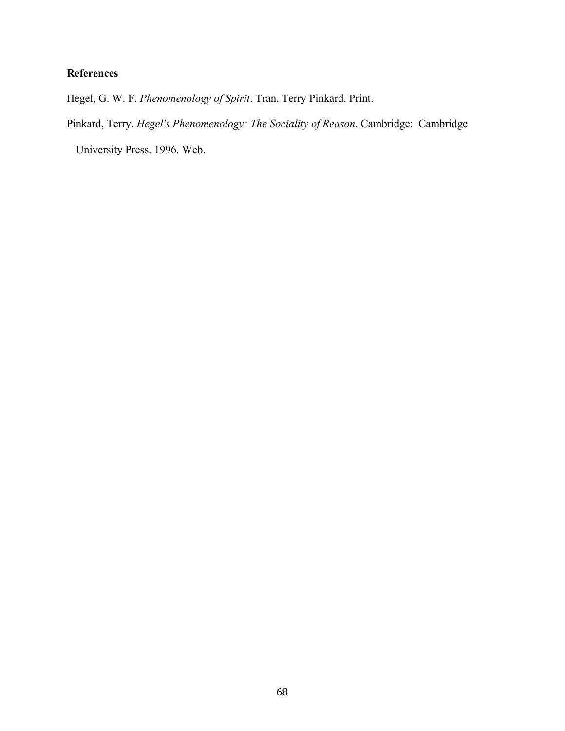# **References**

Hegel, G. W. F. *Phenomenology of Spirit*. Tran. Terry Pinkard. Print.

Pinkard, Terry. *Hegel's Phenomenology: The Sociality of Reason*. Cambridge: Cambridge

University Press, 1996. Web.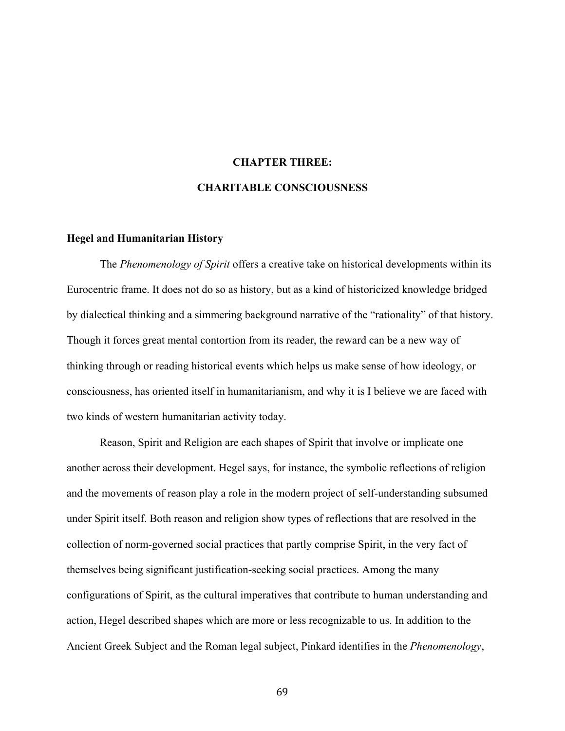### **CHAPTER THREE:**

### **CHARITABLE CONSCIOUSNESS**

#### **Hegel and Humanitarian History**

The *Phenomenology of Spirit* offers a creative take on historical developments within its Eurocentric frame. It does not do so as history, but as a kind of historicized knowledge bridged by dialectical thinking and a simmering background narrative of the "rationality" of that history. Though it forces great mental contortion from its reader, the reward can be a new way of thinking through or reading historical events which helps us make sense of how ideology, or consciousness, has oriented itself in humanitarianism, and why it is I believe we are faced with two kinds of western humanitarian activity today.

Reason, Spirit and Religion are each shapes of Spirit that involve or implicate one another across their development. Hegel says, for instance, the symbolic reflections of religion and the movements of reason play a role in the modern project of self-understanding subsumed under Spirit itself. Both reason and religion show types of reflections that are resolved in the collection of norm-governed social practices that partly comprise Spirit, in the very fact of themselves being significant justification-seeking social practices. Among the many configurations of Spirit, as the cultural imperatives that contribute to human understanding and action, Hegel described shapes which are more or less recognizable to us. In addition to the Ancient Greek Subject and the Roman legal subject, Pinkard identifies in the *Phenomenology*,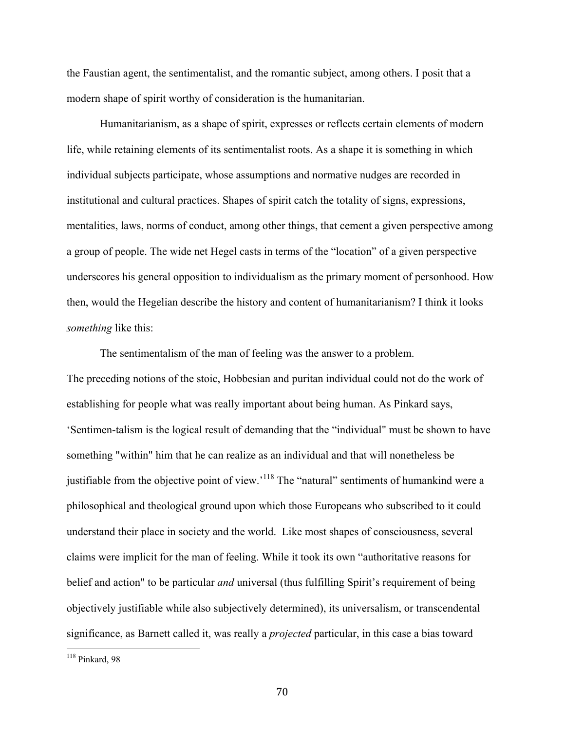the Faustian agent, the sentimentalist, and the romantic subject, among others. I posit that a modern shape of spirit worthy of consideration is the humanitarian.

Humanitarianism, as a shape of spirit, expresses or reflects certain elements of modern life, while retaining elements of its sentimentalist roots. As a shape it is something in which individual subjects participate, whose assumptions and normative nudges are recorded in institutional and cultural practices. Shapes of spirit catch the totality of signs, expressions, mentalities, laws, norms of conduct, among other things, that cement a given perspective among a group of people. The wide net Hegel casts in terms of the "location" of a given perspective underscores his general opposition to individualism as the primary moment of personhood. How then, would the Hegelian describe the history and content of humanitarianism? I think it looks *something* like this:

The sentimentalism of the man of feeling was the answer to a problem. The preceding notions of the stoic, Hobbesian and puritan individual could not do the work of establishing for people what was really important about being human. As Pinkard says, 'Sentimen-talism is the logical result of demanding that the "individual" must be shown to have something "within" him that he can realize as an individual and that will nonetheless be justifiable from the objective point of view.<sup>118</sup> The "natural" sentiments of humankind were a philosophical and theological ground upon which those Europeans who subscribed to it could understand their place in society and the world. Like most shapes of consciousness, several claims were implicit for the man of feeling. While it took its own "authoritative reasons for belief and action" to be particular *and* universal (thus fulfilling Spirit's requirement of being objectively justifiable while also subjectively determined), its universalism, or transcendental significance, as Barnett called it, was really a *projected* particular, in this case a bias toward

 $118$  Pinkard, 98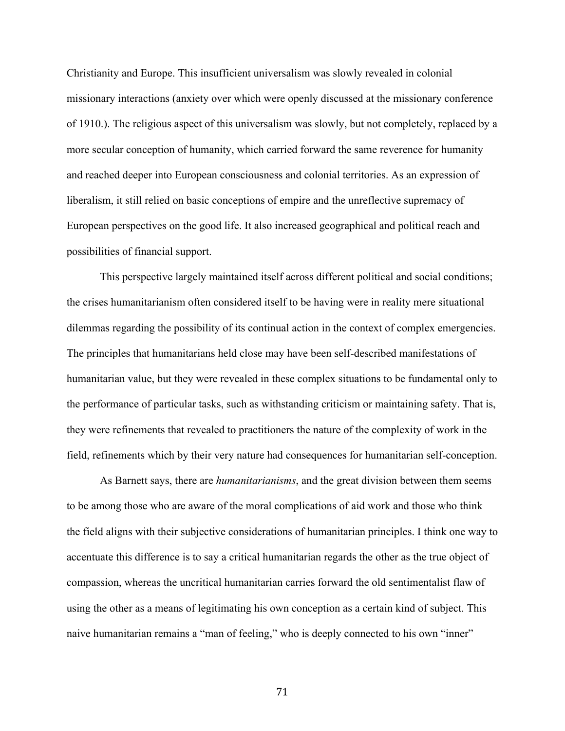Christianity and Europe. This insufficient universalism was slowly revealed in colonial missionary interactions (anxiety over which were openly discussed at the missionary conference of 1910.). The religious aspect of this universalism was slowly, but not completely, replaced by a more secular conception of humanity, which carried forward the same reverence for humanity and reached deeper into European consciousness and colonial territories. As an expression of liberalism, it still relied on basic conceptions of empire and the unreflective supremacy of European perspectives on the good life. It also increased geographical and political reach and possibilities of financial support.

This perspective largely maintained itself across different political and social conditions; the crises humanitarianism often considered itself to be having were in reality mere situational dilemmas regarding the possibility of its continual action in the context of complex emergencies. The principles that humanitarians held close may have been self-described manifestations of humanitarian value, but they were revealed in these complex situations to be fundamental only to the performance of particular tasks, such as withstanding criticism or maintaining safety. That is, they were refinements that revealed to practitioners the nature of the complexity of work in the field, refinements which by their very nature had consequences for humanitarian self-conception.

As Barnett says, there are *humanitarianisms*, and the great division between them seems to be among those who are aware of the moral complications of aid work and those who think the field aligns with their subjective considerations of humanitarian principles. I think one way to accentuate this difference is to say a critical humanitarian regards the other as the true object of compassion, whereas the uncritical humanitarian carries forward the old sentimentalist flaw of using the other as a means of legitimating his own conception as a certain kind of subject. This naive humanitarian remains a "man of feeling," who is deeply connected to his own "inner"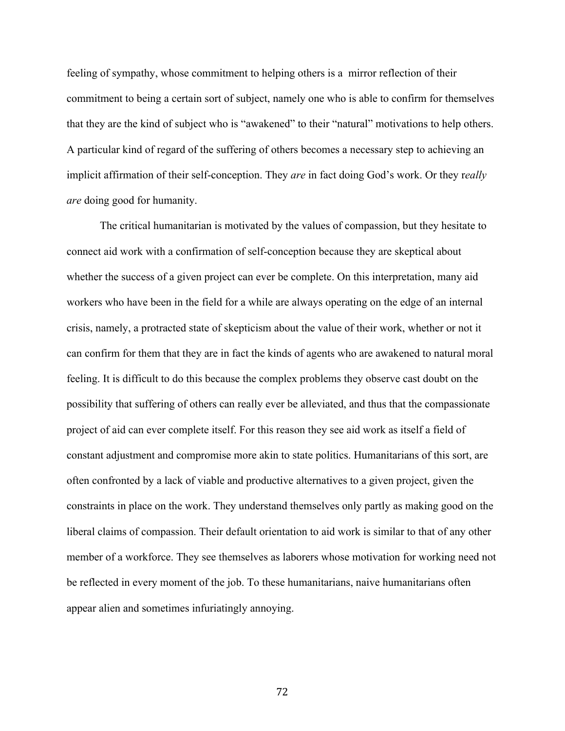feeling of sympathy, whose commitment to helping others is a mirror reflection of their commitment to being a certain sort of subject, namely one who is able to confirm for themselves that they are the kind of subject who is "awakened" to their "natural" motivations to help others. A particular kind of regard of the suffering of others becomes a necessary step to achieving an implicit affirmation of their self-conception. They *are* in fact doing God's work. Or they r*eally are* doing good for humanity.

The critical humanitarian is motivated by the values of compassion, but they hesitate to connect aid work with a confirmation of self-conception because they are skeptical about whether the success of a given project can ever be complete. On this interpretation, many aid workers who have been in the field for a while are always operating on the edge of an internal crisis, namely, a protracted state of skepticism about the value of their work, whether or not it can confirm for them that they are in fact the kinds of agents who are awakened to natural moral feeling. It is difficult to do this because the complex problems they observe cast doubt on the possibility that suffering of others can really ever be alleviated, and thus that the compassionate project of aid can ever complete itself. For this reason they see aid work as itself a field of constant adjustment and compromise more akin to state politics. Humanitarians of this sort, are often confronted by a lack of viable and productive alternatives to a given project, given the constraints in place on the work. They understand themselves only partly as making good on the liberal claims of compassion. Their default orientation to aid work is similar to that of any other member of a workforce. They see themselves as laborers whose motivation for working need not be reflected in every moment of the job. To these humanitarians, naive humanitarians often appear alien and sometimes infuriatingly annoying.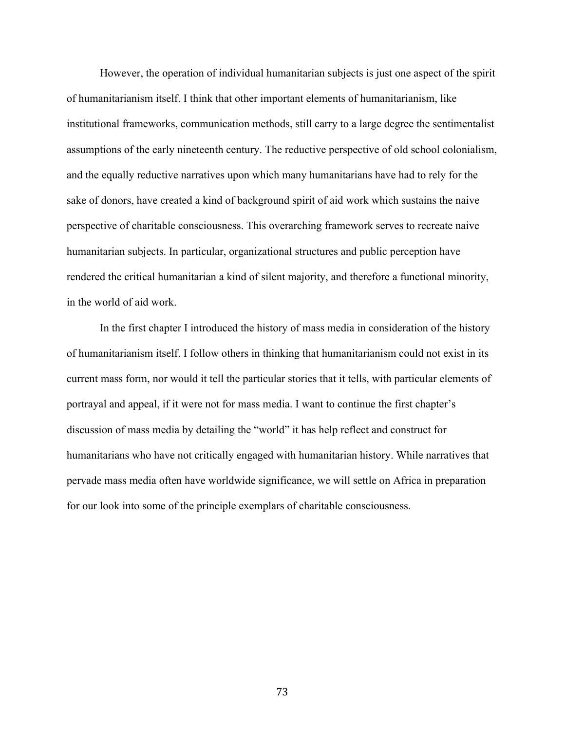However, the operation of individual humanitarian subjects is just one aspect of the spirit of humanitarianism itself. I think that other important elements of humanitarianism, like institutional frameworks, communication methods, still carry to a large degree the sentimentalist assumptions of the early nineteenth century. The reductive perspective of old school colonialism, and the equally reductive narratives upon which many humanitarians have had to rely for the sake of donors, have created a kind of background spirit of aid work which sustains the naive perspective of charitable consciousness. This overarching framework serves to recreate naive humanitarian subjects. In particular, organizational structures and public perception have rendered the critical humanitarian a kind of silent majority, and therefore a functional minority, in the world of aid work.

In the first chapter I introduced the history of mass media in consideration of the history of humanitarianism itself. I follow others in thinking that humanitarianism could not exist in its current mass form, nor would it tell the particular stories that it tells, with particular elements of portrayal and appeal, if it were not for mass media. I want to continue the first chapter's discussion of mass media by detailing the "world" it has help reflect and construct for humanitarians who have not critically engaged with humanitarian history. While narratives that pervade mass media often have worldwide significance, we will settle on Africa in preparation for our look into some of the principle exemplars of charitable consciousness.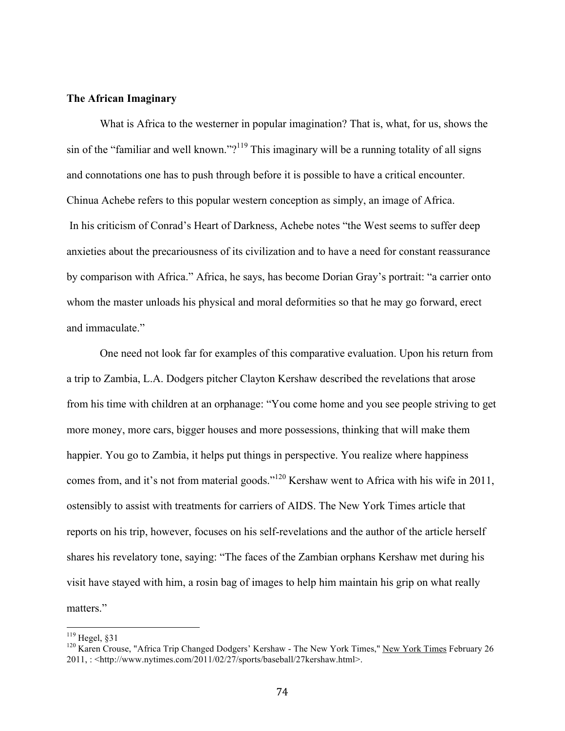# **The African Imaginary**

What is Africa to the westerner in popular imagination? That is, what, for us, shows the sin of the "familiar and well known."?<sup>119</sup> This imaginary will be a running totality of all signs and connotations one has to push through before it is possible to have a critical encounter. Chinua Achebe refers to this popular western conception as simply, an image of Africa. In his criticism of Conrad's Heart of Darkness, Achebe notes "the West seems to suffer deep anxieties about the precariousness of its civilization and to have a need for constant reassurance by comparison with Africa." Africa, he says, has become Dorian Gray's portrait: "a carrier onto whom the master unloads his physical and moral deformities so that he may go forward, erect and immaculate."

One need not look far for examples of this comparative evaluation. Upon his return from a trip to Zambia, L.A. Dodgers pitcher Clayton Kershaw described the revelations that arose from his time with children at an orphanage: "You come home and you see people striving to get more money, more cars, bigger houses and more possessions, thinking that will make them happier. You go to Zambia, it helps put things in perspective. You realize where happiness comes from, and it's not from material goods."120 Kershaw went to Africa with his wife in 2011, ostensibly to assist with treatments for carriers of AIDS. The New York Times article that reports on his trip, however, focuses on his self-revelations and the author of the article herself shares his revelatory tone, saying: "The faces of the Zambian orphans Kershaw met during his visit have stayed with him, a rosin bag of images to help him maintain his grip on what really matters."

<sup>&</sup>lt;sup>119</sup> Hegel, §31<br><sup>120</sup> Karen Crouse, "Africa Trip Changed Dodgers' Kershaw - The New York Times," New York Times February 26 2011, : <http://www.nytimes.com/2011/02/27/sports/baseball/27kershaw.html>.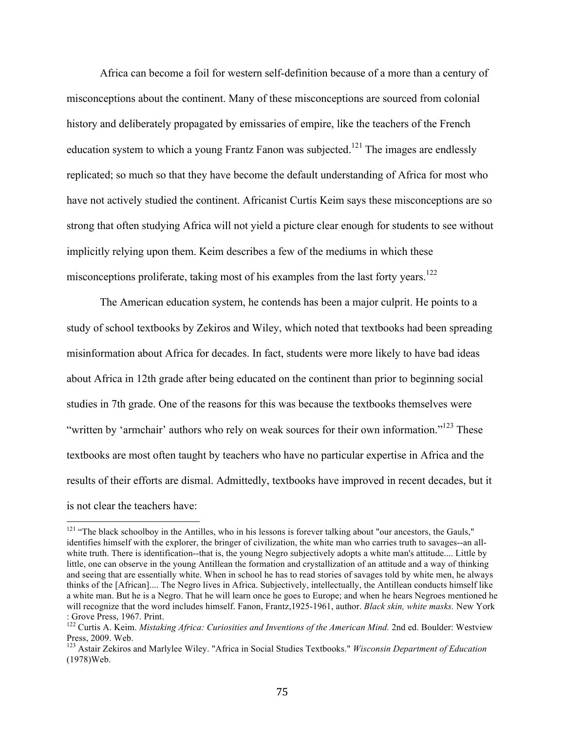Africa can become a foil for western self-definition because of a more than a century of misconceptions about the continent. Many of these misconceptions are sourced from colonial history and deliberately propagated by emissaries of empire, like the teachers of the French education system to which a young Frantz Fanon was subjected.<sup>121</sup> The images are endlessly replicated; so much so that they have become the default understanding of Africa for most who have not actively studied the continent. Africanist Curtis Keim says these misconceptions are so strong that often studying Africa will not yield a picture clear enough for students to see without implicitly relying upon them. Keim describes a few of the mediums in which these misconceptions proliferate, taking most of his examples from the last forty years.<sup>122</sup>

The American education system, he contends has been a major culprit. He points to a study of school textbooks by Zekiros and Wiley, which noted that textbooks had been spreading misinformation about Africa for decades. In fact, students were more likely to have bad ideas about Africa in 12th grade after being educated on the continent than prior to beginning social studies in 7th grade. One of the reasons for this was because the textbooks themselves were "written by 'armchair' authors who rely on weak sources for their own information."<sup>123</sup> These textbooks are most often taught by teachers who have no particular expertise in Africa and the results of their efforts are dismal. Admittedly, textbooks have improved in recent decades, but it is not clear the teachers have:

<sup>&</sup>lt;sup>121</sup> "The black schoolboy in the Antilles, who in his lessons is forever talking about "our ancestors, the Gauls," identifies himself with the explorer, the bringer of civilization, the white man who carries truth to savages--an allwhite truth. There is identification--that is, the young Negro subjectively adopts a white man's attitude.... Little by little, one can observe in the young Antillean the formation and crystallization of an attitude and a way of thinking and seeing that are essentially white. When in school he has to read stories of savages told by white men, he always thinks of the [African].... The Negro lives in Africa. Subjectively, intellectually, the Antillean conducts himself like a white man. But he is a Negro. That he will learn once he goes to Europe; and when he hears Negroes mentioned he will recognize that the word includes himself. Fanon, Frantz,1925-1961, author. *Black skin, white masks*. New York: Grove Press, 1967. Print.

<sup>&</sup>lt;sup>122</sup> Curtis A. Keim. *Mistaking Africa: Curiosities and Inventions of the American Mind.* 2nd ed. Boulder: Westview Press, 2009. Web.

<sup>123</sup> Astair Zekiros and Marlylee Wiley. "Africa in Social Studies Textbooks." *Wisconsin Department of Education* (1978)Web.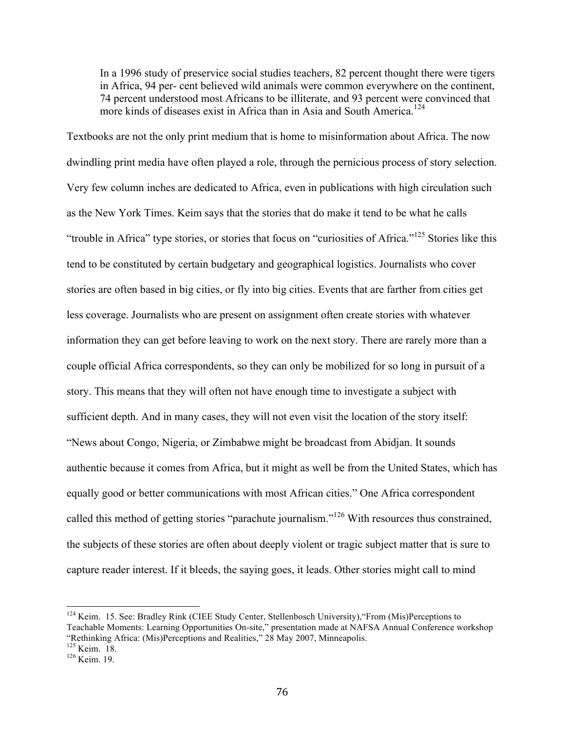In a 1996 study of preservice social studies teachers, 82 percent thought there were tigers in Africa, 94 per- cent believed wild animals were common everywhere on the continent, 74 percent understood most Africans to be illiterate, and 93 percent were convinced that more kinds of diseases exist in Africa than in Asia and South America.<sup>124</sup>

Textbooks are not the only print medium that is home to misinformation about Africa. The now dwindling print media have often played a role, through the pernicious process of story selection. Very few column inches are dedicated to Africa, even in publications with high circulation such as the New York Times. Keim says that the stories that do make it tend to be what he calls "trouble in Africa" type stories, or stories that focus on "curiosities of Africa."<sup>125</sup> Stories like this tend to be constituted by certain budgetary and geographical logistics. Journalists who cover stories are often based in big cities, or fly into big cities. Events that are farther from cities get less coverage. Journalists who are present on assignment often create stories with whatever information they can get before leaving to work on the next story. There are rarely more than a couple official Africa correspondents, so they can only be mobilized for so long in pursuit of a story. This means that they will often not have enough time to investigate a subject with sufficient depth. And in many cases, they will not even visit the location of the story itself: "News about Congo, Nigeria, or Zimbabwe might be broadcast from Abidjan. It sounds authentic because it comes from Africa, but it might as well be from the United States, which has equally good or better communications with most African cities." One Africa correspondent called this method of getting stories "parachute journalism."<sup>126</sup> With resources thus constrained, the subjects of these stories are often about deeply violent or tragic subject matter that is sure to capture reader interest. If it bleeds, the saying goes, it leads. Other stories might call to mind

 <sup>124</sup> Keim. 15. See: Bradley Rink (CIEE Study Center, Stellenbosch University),"From (Mis)Perceptions to Teachable Moments: Learning Opportunities On-site," presentation made at NAFSA Annual Conference workshop "Rethinking Africa: (Mis)Perceptions and Realities," 28 May 2007, Minneapolis.  $^{125}$  Keim. 18.  $^{126}$  Keim. 19.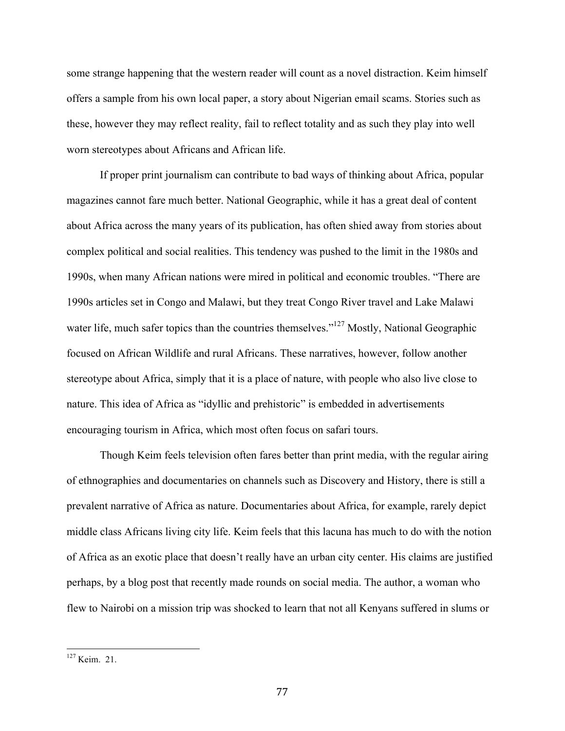some strange happening that the western reader will count as a novel distraction. Keim himself offers a sample from his own local paper, a story about Nigerian email scams. Stories such as these, however they may reflect reality, fail to reflect totality and as such they play into well worn stereotypes about Africans and African life.

If proper print journalism can contribute to bad ways of thinking about Africa, popular magazines cannot fare much better. National Geographic, while it has a great deal of content about Africa across the many years of its publication, has often shied away from stories about complex political and social realities. This tendency was pushed to the limit in the 1980s and 1990s, when many African nations were mired in political and economic troubles. "There are 1990s articles set in Congo and Malawi, but they treat Congo River travel and Lake Malawi water life, much safer topics than the countries themselves."<sup>127</sup> Mostly, National Geographic focused on African Wildlife and rural Africans. These narratives, however, follow another stereotype about Africa, simply that it is a place of nature, with people who also live close to nature. This idea of Africa as "idyllic and prehistoric" is embedded in advertisements encouraging tourism in Africa, which most often focus on safari tours.

Though Keim feels television often fares better than print media, with the regular airing of ethnographies and documentaries on channels such as Discovery and History, there is still a prevalent narrative of Africa as nature. Documentaries about Africa, for example, rarely depict middle class Africans living city life. Keim feels that this lacuna has much to do with the notion of Africa as an exotic place that doesn't really have an urban city center. His claims are justified perhaps, by a blog post that recently made rounds on social media. The author, a woman who flew to Nairobi on a mission trip was shocked to learn that not all Kenyans suffered in slums or

 <sup>127</sup> Keim. 21.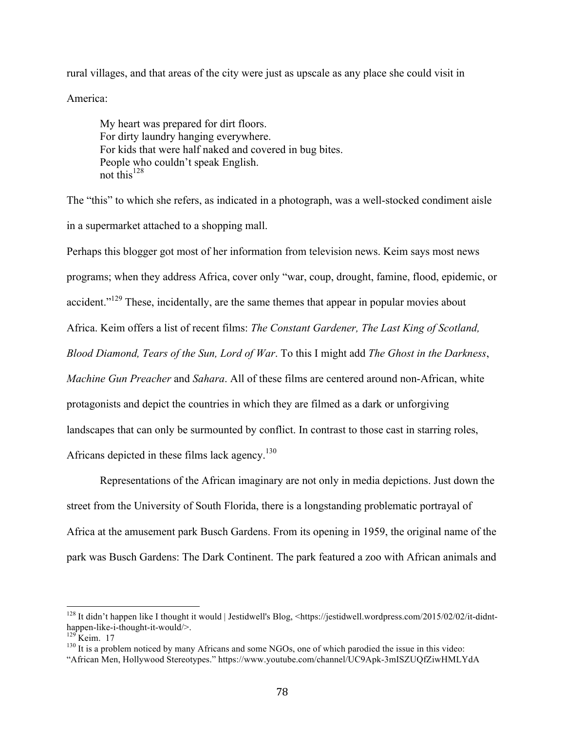rural villages, and that areas of the city were just as upscale as any place she could visit in

America:

My heart was prepared for dirt floors. For dirty laundry hanging everywhere. For kids that were half naked and covered in bug bites. People who couldn't speak English. not this $^{128}$ 

The "this" to which she refers, as indicated in a photograph, was a well-stocked condiment aisle in a supermarket attached to a shopping mall.

Perhaps this blogger got most of her information from television news. Keim says most news programs; when they address Africa, cover only "war, coup, drought, famine, flood, epidemic, or accident."<sup>129</sup> These, incidentally, are the same themes that appear in popular movies about Africa. Keim offers a list of recent films: *The Constant Gardener, The Last King of Scotland, Blood Diamond, Tears of the Sun, Lord of War*. To this I might add *The Ghost in the Darkness*, *Machine Gun Preacher* and *Sahara*. All of these films are centered around non-African, white protagonists and depict the countries in which they are filmed as a dark or unforgiving landscapes that can only be surmounted by conflict. In contrast to those cast in starring roles, Africans depicted in these films lack agency.<sup>130</sup>

Representations of the African imaginary are not only in media depictions. Just down the street from the University of South Florida, there is a longstanding problematic portrayal of Africa at the amusement park Busch Gardens. From its opening in 1959, the original name of the park was Busch Gardens: The Dark Continent. The park featured a zoo with African animals and

<sup>&</sup>lt;sup>128</sup> It didn't happen like I thought it would | Jestidwell's Blog, <https://jestidwell.wordpress.com/2015/02/02/it-didnthappen-like-i-thought-it-would/>.<br><sup>129</sup> Keim. 17<br><sup>130</sup> It is a problem noticed by many Africans and some NGOs, one of which parodied the issue in this video:

<sup>&</sup>quot;African Men, Hollywood Stereotypes." https://www.youtube.com/channel/UC9Apk-3mISZUQfZiwHMLYdA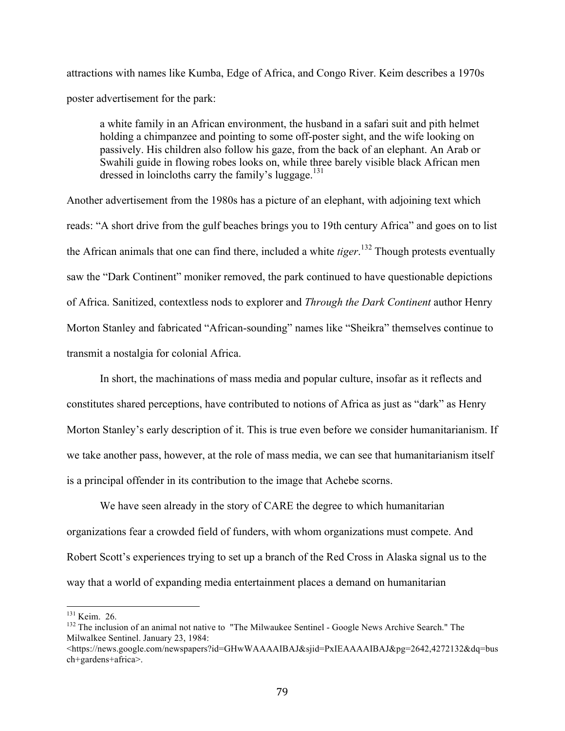attractions with names like Kumba, Edge of Africa, and Congo River. Keim describes a 1970s poster advertisement for the park:

a white family in an African environment, the husband in a safari suit and pith helmet holding a chimpanzee and pointing to some off-poster sight, and the wife looking on passively. His children also follow his gaze, from the back of an elephant. An Arab or Swahili guide in flowing robes looks on, while three barely visible black African men dressed in loincloths carry the family's luggage.<sup>131</sup>

Another advertisement from the 1980s has a picture of an elephant, with adjoining text which reads: "A short drive from the gulf beaches brings you to 19th century Africa" and goes on to list the African animals that one can find there, included a white *tiger*. 132 Though protests eventually saw the "Dark Continent" moniker removed, the park continued to have questionable depictions of Africa. Sanitized, contextless nods to explorer and *Through the Dark Continent* author Henry Morton Stanley and fabricated "African-sounding" names like "Sheikra" themselves continue to transmit a nostalgia for colonial Africa.

In short, the machinations of mass media and popular culture, insofar as it reflects and constitutes shared perceptions, have contributed to notions of Africa as just as "dark" as Henry Morton Stanley's early description of it. This is true even before we consider humanitarianism. If we take another pass, however, at the role of mass media, we can see that humanitarianism itself is a principal offender in its contribution to the image that Achebe scorns.

We have seen already in the story of CARE the degree to which humanitarian organizations fear a crowded field of funders, with whom organizations must compete. And Robert Scott's experiences trying to set up a branch of the Red Cross in Alaska signal us to the way that a world of expanding media entertainment places a demand on humanitarian

 $131$  Keim. 26.<br><sup>132</sup> The inclusion of an animal not native to "The Milwaukee Sentinel - Google News Archive Search." The Milwalkee Sentinel. January 23, 1984:

<sup>&</sup>lt;https://news.google.com/newspapers?id=GHwWAAAAIBAJ&sjid=PxIEAAAAIBAJ&pg=2642,4272132&dq=bus ch+gardens+africa>.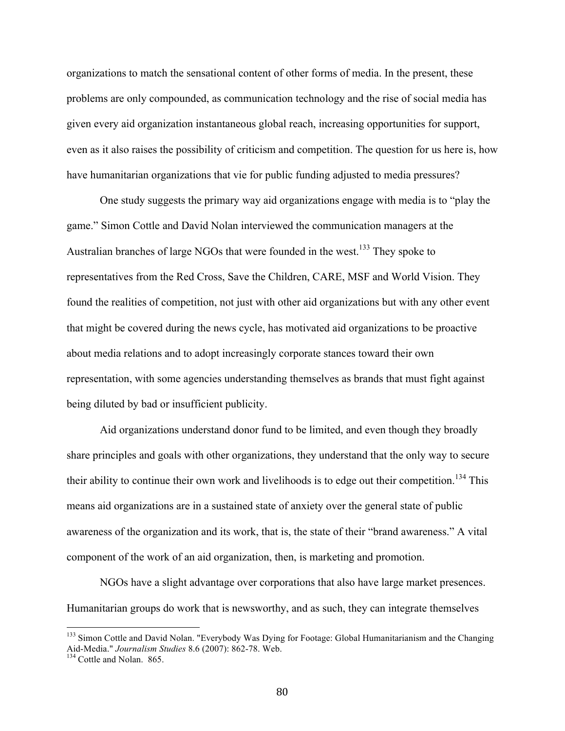organizations to match the sensational content of other forms of media. In the present, these problems are only compounded, as communication technology and the rise of social media has given every aid organization instantaneous global reach, increasing opportunities for support, even as it also raises the possibility of criticism and competition. The question for us here is, how have humanitarian organizations that vie for public funding adjusted to media pressures?

One study suggests the primary way aid organizations engage with media is to "play the game." Simon Cottle and David Nolan interviewed the communication managers at the Australian branches of large NGOs that were founded in the west.<sup>133</sup> They spoke to representatives from the Red Cross, Save the Children, CARE, MSF and World Vision. They found the realities of competition, not just with other aid organizations but with any other event that might be covered during the news cycle, has motivated aid organizations to be proactive about media relations and to adopt increasingly corporate stances toward their own representation, with some agencies understanding themselves as brands that must fight against being diluted by bad or insufficient publicity.

Aid organizations understand donor fund to be limited, and even though they broadly share principles and goals with other organizations, they understand that the only way to secure their ability to continue their own work and livelihoods is to edge out their competition.<sup>134</sup> This means aid organizations are in a sustained state of anxiety over the general state of public awareness of the organization and its work, that is, the state of their "brand awareness." A vital component of the work of an aid organization, then, is marketing and promotion.

NGOs have a slight advantage over corporations that also have large market presences. Humanitarian groups do work that is newsworthy, and as such, they can integrate themselves

<sup>&</sup>lt;sup>133</sup> Simon Cottle and David Nolan. "Everybody Was Dying for Footage: Global Humanitarianism and the Changing Aid-Media." *Journalism Studies* 8.6 (2007): 862-78. Web. 134 Cottle and Nolan. 865.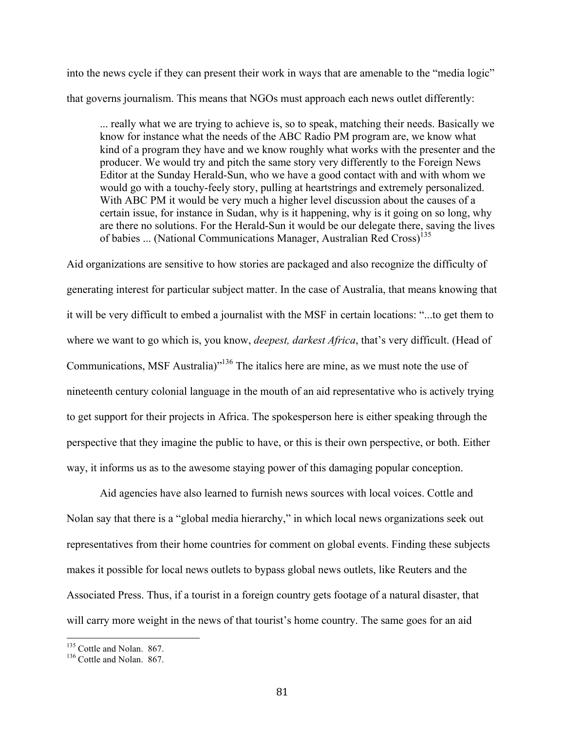into the news cycle if they can present their work in ways that are amenable to the "media logic" that governs journalism. This means that NGOs must approach each news outlet differently:

... really what we are trying to achieve is, so to speak, matching their needs. Basically we know for instance what the needs of the ABC Radio PM program are, we know what kind of a program they have and we know roughly what works with the presenter and the producer. We would try and pitch the same story very differently to the Foreign News Editor at the Sunday Herald-Sun, who we have a good contact with and with whom we would go with a touchy-feely story, pulling at heartstrings and extremely personalized. With ABC PM it would be very much a higher level discussion about the causes of a certain issue, for instance in Sudan, why is it happening, why is it going on so long, why are there no solutions. For the Herald-Sun it would be our delegate there, saving the lives of babies ... (National Communications Manager, Australian Red Cross)<sup>135</sup>

Aid organizations are sensitive to how stories are packaged and also recognize the difficulty of generating interest for particular subject matter. In the case of Australia, that means knowing that it will be very difficult to embed a journalist with the MSF in certain locations: "...to get them to where we want to go which is, you know, *deepest, darkest Africa*, that's very difficult. (Head of Communications, MSF Australia)"136 The italics here are mine, as we must note the use of nineteenth century colonial language in the mouth of an aid representative who is actively trying to get support for their projects in Africa. The spokesperson here is either speaking through the perspective that they imagine the public to have, or this is their own perspective, or both. Either way, it informs us as to the awesome staying power of this damaging popular conception.

Aid agencies have also learned to furnish news sources with local voices. Cottle and Nolan say that there is a "global media hierarchy," in which local news organizations seek out representatives from their home countries for comment on global events. Finding these subjects makes it possible for local news outlets to bypass global news outlets, like Reuters and the Associated Press. Thus, if a tourist in a foreign country gets footage of a natural disaster, that will carry more weight in the news of that tourist's home country. The same goes for an aid

 $135$  Cottle and Nolan. 867.<br> $136$  Cottle and Nolan. 867.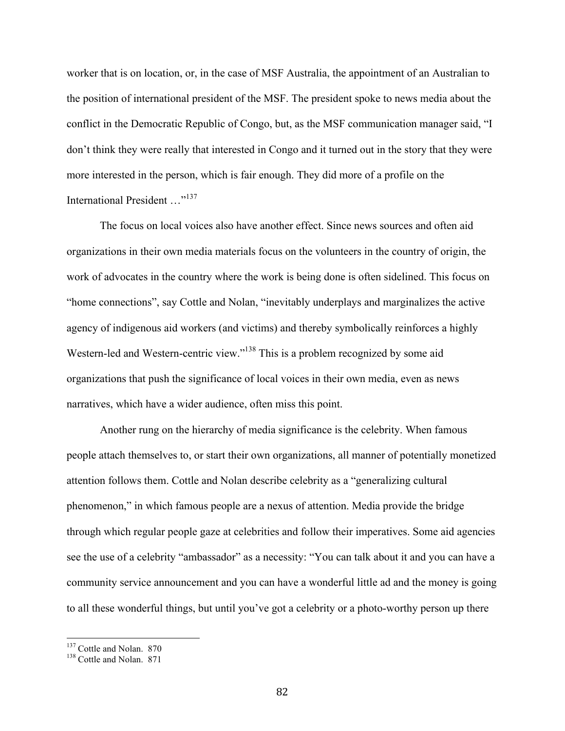worker that is on location, or, in the case of MSF Australia, the appointment of an Australian to the position of international president of the MSF. The president spoke to news media about the conflict in the Democratic Republic of Congo, but, as the MSF communication manager said, "I don't think they were really that interested in Congo and it turned out in the story that they were more interested in the person, which is fair enough. They did more of a profile on the International President …"<sup>137</sup>

The focus on local voices also have another effect. Since news sources and often aid organizations in their own media materials focus on the volunteers in the country of origin, the work of advocates in the country where the work is being done is often sidelined. This focus on "home connections", say Cottle and Nolan, "inevitably underplays and marginalizes the active agency of indigenous aid workers (and victims) and thereby symbolically reinforces a highly Western-led and Western-centric view."<sup>138</sup> This is a problem recognized by some aid organizations that push the significance of local voices in their own media, even as news narratives, which have a wider audience, often miss this point.

Another rung on the hierarchy of media significance is the celebrity. When famous people attach themselves to, or start their own organizations, all manner of potentially monetized attention follows them. Cottle and Nolan describe celebrity as a "generalizing cultural phenomenon," in which famous people are a nexus of attention. Media provide the bridge through which regular people gaze at celebrities and follow their imperatives. Some aid agencies see the use of a celebrity "ambassador" as a necessity: "You can talk about it and you can have a community service announcement and you can have a wonderful little ad and the money is going to all these wonderful things, but until you've got a celebrity or a photo-worthy person up there

 $^{137}_{138}$  Cottle and Nolan. 870<br> $^{138}$  Cottle and Nolan. 871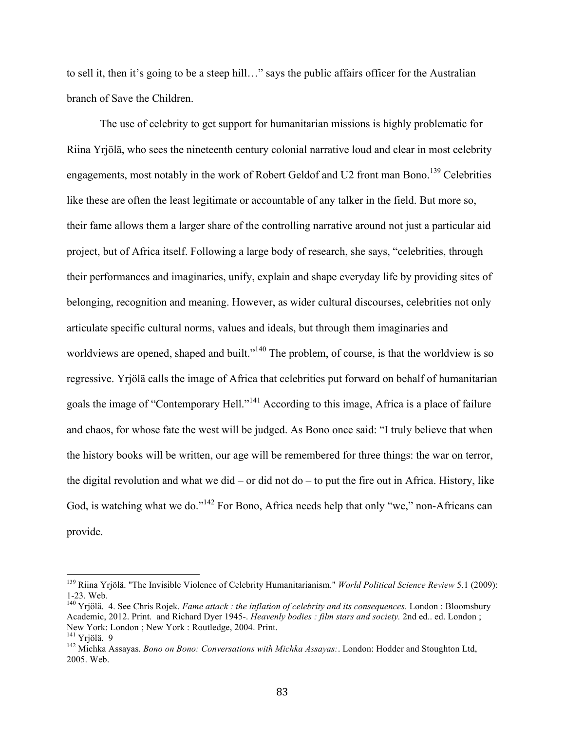to sell it, then it's going to be a steep hill…" says the public affairs officer for the Australian branch of Save the Children.

The use of celebrity to get support for humanitarian missions is highly problematic for Riina Yrjölä, who sees the nineteenth century colonial narrative loud and clear in most celebrity engagements, most notably in the work of Robert Geldof and U2 front man Bono.<sup>139</sup> Celebrities like these are often the least legitimate or accountable of any talker in the field. But more so, their fame allows them a larger share of the controlling narrative around not just a particular aid project, but of Africa itself. Following a large body of research, she says, "celebrities, through their performances and imaginaries, unify, explain and shape everyday life by providing sites of belonging, recognition and meaning. However, as wider cultural discourses, celebrities not only articulate specific cultural norms, values and ideals, but through them imaginaries and worldviews are opened, shaped and built."<sup>140</sup> The problem, of course, is that the worldview is so regressive. Yrjölä calls the image of Africa that celebrities put forward on behalf of humanitarian goals the image of "Contemporary Hell."141 According to this image, Africa is a place of failure and chaos, for whose fate the west will be judged. As Bono once said: "I truly believe that when the history books will be written, our age will be remembered for three things: the war on terror, the digital revolution and what we did – or did not do – to put the fire out in Africa. History, like God, is watching what we do."<sup>142</sup> For Bono, Africa needs help that only "we," non-Africans can provide.

 <sup>139</sup> Riina Yrjölä. "The Invisible Violence of Celebrity Humanitarianism." *World Political Science Review* 5.1 (2009): 1-23. Web.<br><sup>140</sup> Yrjölä. 4. See Chris Rojek. *Fame attack : the inflation of celebrity and its consequences*. London : Bloomsbury

Academic, 2012. Print. and Richard Dyer 1945-. *Heavenly bodies : film stars and society.* 2nd ed.. ed. London ; New York: London ; New York : Routledge, 2004. Print.

<sup>&</sup>lt;sup>142</sup> Michka Assayas. *Bono on Bono: Conversations with Michka Assayas:*. London: Hodder and Stoughton Ltd, 2005. Web.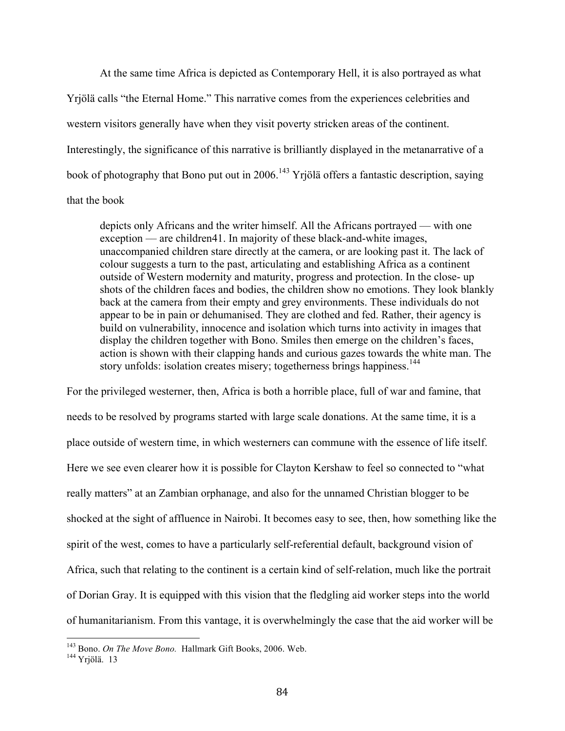At the same time Africa is depicted as Contemporary Hell, it is also portrayed as what Yrjölä calls "the Eternal Home." This narrative comes from the experiences celebrities and western visitors generally have when they visit poverty stricken areas of the continent. Interestingly, the significance of this narrative is brilliantly displayed in the metanarrative of a book of photography that Bono put out in 2006.<sup>143</sup> Yrjölä offers a fantastic description, saying that the book

depicts only Africans and the writer himself. All the Africans portrayed –– with one exception — are children41. In majority of these black-and-white images, unaccompanied children stare directly at the camera, or are looking past it. The lack of colour suggests a turn to the past, articulating and establishing Africa as a continent outside of Western modernity and maturity, progress and protection. In the close- up shots of the children faces and bodies, the children show no emotions. They look blankly back at the camera from their empty and grey environments. These individuals do not appear to be in pain or dehumanised. They are clothed and fed. Rather, their agency is build on vulnerability, innocence and isolation which turns into activity in images that display the children together with Bono. Smiles then emerge on the children's faces, action is shown with their clapping hands and curious gazes towards the white man. The story unfolds: isolation creates misery; togetherness brings happiness.<sup>144</sup>

For the privileged westerner, then, Africa is both a horrible place, full of war and famine, that needs to be resolved by programs started with large scale donations. At the same time, it is a place outside of western time, in which westerners can commune with the essence of life itself. Here we see even clearer how it is possible for Clayton Kershaw to feel so connected to "what really matters" at an Zambian orphanage, and also for the unnamed Christian blogger to be shocked at the sight of affluence in Nairobi. It becomes easy to see, then, how something like the spirit of the west, comes to have a particularly self-referential default, background vision of Africa, such that relating to the continent is a certain kind of self-relation, much like the portrait of Dorian Gray. It is equipped with this vision that the fledgling aid worker steps into the world of humanitarianism. From this vantage, it is overwhelmingly the case that the aid worker will be

<sup>&</sup>lt;sup>143</sup> Bono. *On The Move Bono*. Hallmark Gift Books, 2006. Web. <sup>144</sup> Yriölä. 13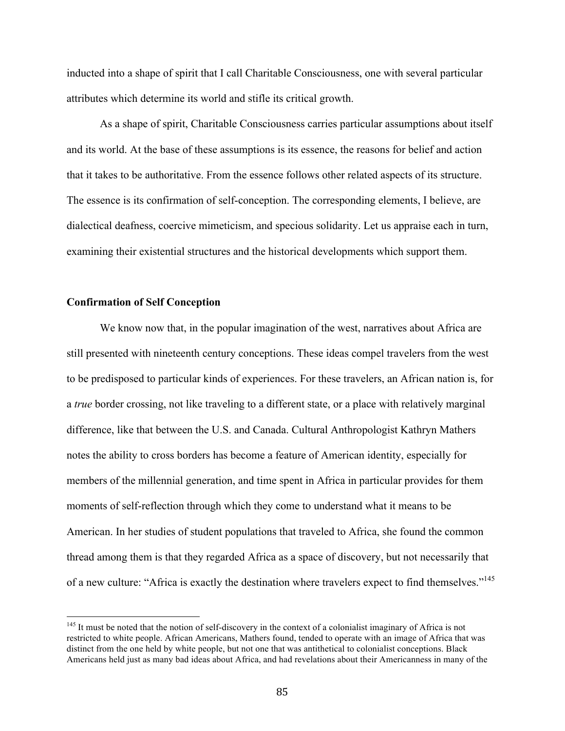inducted into a shape of spirit that I call Charitable Consciousness, one with several particular attributes which determine its world and stifle its critical growth.

As a shape of spirit, Charitable Consciousness carries particular assumptions about itself and its world. At the base of these assumptions is its essence, the reasons for belief and action that it takes to be authoritative. From the essence follows other related aspects of its structure. The essence is its confirmation of self-conception. The corresponding elements, I believe, are dialectical deafness, coercive mimeticism, and specious solidarity. Let us appraise each in turn, examining their existential structures and the historical developments which support them.

# **Confirmation of Self Conception**

We know now that, in the popular imagination of the west, narratives about Africa are still presented with nineteenth century conceptions. These ideas compel travelers from the west to be predisposed to particular kinds of experiences. For these travelers, an African nation is, for a *true* border crossing, not like traveling to a different state, or a place with relatively marginal difference, like that between the U.S. and Canada. Cultural Anthropologist Kathryn Mathers notes the ability to cross borders has become a feature of American identity, especially for members of the millennial generation, and time spent in Africa in particular provides for them moments of self-reflection through which they come to understand what it means to be American. In her studies of student populations that traveled to Africa, she found the common thread among them is that they regarded Africa as a space of discovery, but not necessarily that of a new culture: "Africa is exactly the destination where travelers expect to find themselves."<sup>145</sup>

<sup>&</sup>lt;sup>145</sup> It must be noted that the notion of self-discovery in the context of a colonialist imaginary of Africa is not restricted to white people. African Americans, Mathers found, tended to operate with an image of Africa that was distinct from the one held by white people, but not one that was antithetical to colonialist conceptions. Black Americans held just as many bad ideas about Africa, and had revelations about their Americanness in many of the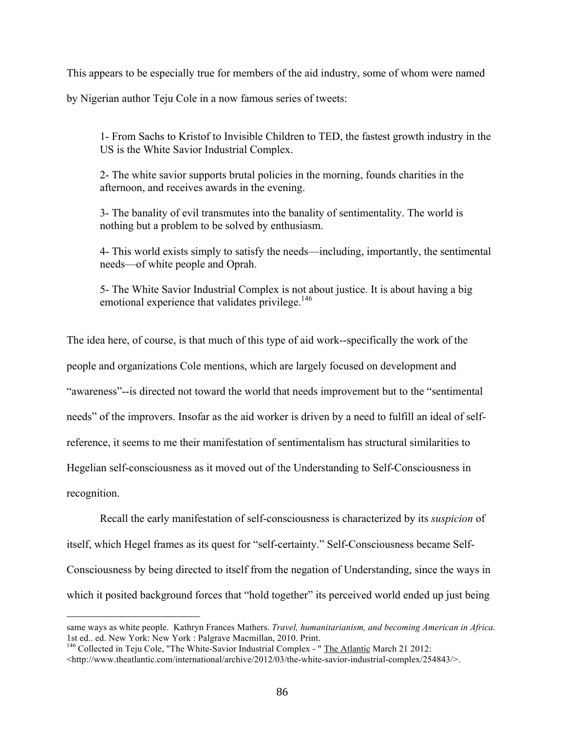This appears to be especially true for members of the aid industry, some of whom were named

by Nigerian author Teju Cole in a now famous series of tweets:

1- From Sachs to Kristof to Invisible Children to TED, the fastest growth industry in the US is the White Savior Industrial Complex.

2- The white savior supports brutal policies in the morning, founds charities in the afternoon, and receives awards in the evening.

3- The banality of evil transmutes into the banality of sentimentality. The world is nothing but a problem to be solved by enthusiasm.

4- This world exists simply to satisfy the needs—including, importantly, the sentimental needs—of white people and Oprah.

5- The White Savior Industrial Complex is not about justice. It is about having a big emotional experience that validates privilege. $146$ 

The idea here, of course, is that much of this type of aid work--specifically the work of the people and organizations Cole mentions, which are largely focused on development and "awareness"--is directed not toward the world that needs improvement but to the "sentimental needs" of the improvers. Insofar as the aid worker is driven by a need to fulfill an ideal of selfreference, it seems to me their manifestation of sentimentalism has structural similarities to Hegelian self-consciousness as it moved out of the Understanding to Self-Consciousness in recognition.

Recall the early manifestation of self-consciousness is characterized by its *suspicion* of itself, which Hegel frames as its quest for "self-certainty." Self-Consciousness became Self-Consciousness by being directed to itself from the negation of Understanding, since the ways in which it posited background forces that "hold together" its perceived world ended up just being

same ways as white people. Kathryn Frances Mathers. *Travel, humanitarianism, and becoming American in Africa.* 1st ed.. ed. New York: New York : Palgrave Macmillan, 2010. Print.

<sup>&</sup>lt;sup>146</sup> Collected in Teju Cole, "The White-Savior Industrial Complex - " The Atlantic March 21 2012:

 $\lt$ http://www.theatlantic.com/international/archive/2012/03/the-white-savior-industrial-complex/254843/>.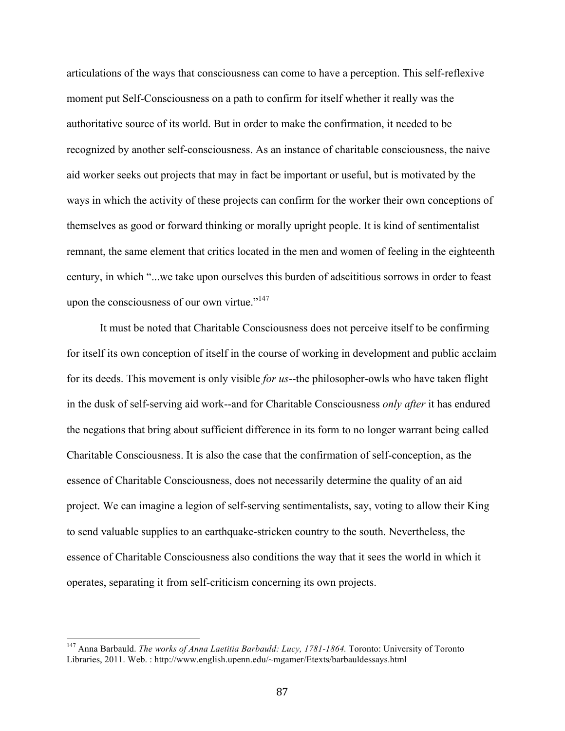articulations of the ways that consciousness can come to have a perception. This self-reflexive moment put Self-Consciousness on a path to confirm for itself whether it really was the authoritative source of its world. But in order to make the confirmation, it needed to be recognized by another self-consciousness. As an instance of charitable consciousness, the naive aid worker seeks out projects that may in fact be important or useful, but is motivated by the ways in which the activity of these projects can confirm for the worker their own conceptions of themselves as good or forward thinking or morally upright people. It is kind of sentimentalist remnant, the same element that critics located in the men and women of feeling in the eighteenth century, in which "...we take upon ourselves this burden of adscititious sorrows in order to feast upon the consciousness of our own virtue." $147$ 

It must be noted that Charitable Consciousness does not perceive itself to be confirming for itself its own conception of itself in the course of working in development and public acclaim for its deeds. This movement is only visible *for us*--the philosopher-owls who have taken flight in the dusk of self-serving aid work--and for Charitable Consciousness *only after* it has endured the negations that bring about sufficient difference in its form to no longer warrant being called Charitable Consciousness. It is also the case that the confirmation of self-conception, as the essence of Charitable Consciousness, does not necessarily determine the quality of an aid project. We can imagine a legion of self-serving sentimentalists, say, voting to allow their King to send valuable supplies to an earthquake-stricken country to the south. Nevertheless, the essence of Charitable Consciousness also conditions the way that it sees the world in which it operates, separating it from self-criticism concerning its own projects.

 <sup>147</sup> Anna Barbauld. *The works of Anna Laetitia Barbauld: Lucy, 1781-1864.* Toronto: University of Toronto Libraries, 2011. Web. : http://www.english.upenn.edu/~mgamer/Etexts/barbauldessays.html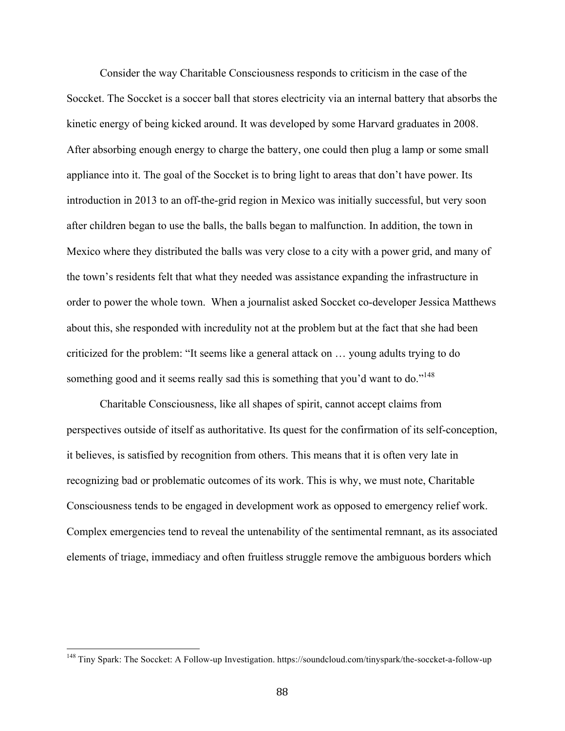Consider the way Charitable Consciousness responds to criticism in the case of the Soccket. The Soccket is a soccer ball that stores electricity via an internal battery that absorbs the kinetic energy of being kicked around. It was developed by some Harvard graduates in 2008. After absorbing enough energy to charge the battery, one could then plug a lamp or some small appliance into it. The goal of the Soccket is to bring light to areas that don't have power. Its introduction in 2013 to an off-the-grid region in Mexico was initially successful, but very soon after children began to use the balls, the balls began to malfunction. In addition, the town in Mexico where they distributed the balls was very close to a city with a power grid, and many of the town's residents felt that what they needed was assistance expanding the infrastructure in order to power the whole town. When a journalist asked Soccket co-developer Jessica Matthews about this, she responded with incredulity not at the problem but at the fact that she had been criticized for the problem: "It seems like a general attack on … young adults trying to do something good and it seems really sad this is something that you'd want to do."<sup>148</sup>

Charitable Consciousness, like all shapes of spirit, cannot accept claims from perspectives outside of itself as authoritative. Its quest for the confirmation of its self-conception, it believes, is satisfied by recognition from others. This means that it is often very late in recognizing bad or problematic outcomes of its work. This is why, we must note, Charitable Consciousness tends to be engaged in development work as opposed to emergency relief work. Complex emergencies tend to reveal the untenability of the sentimental remnant, as its associated elements of triage, immediacy and often fruitless struggle remove the ambiguous borders which

 <sup>148</sup> Tiny Spark: The Soccket: A Follow-up Investigation. https://soundcloud.com/tinyspark/the-soccket-a-follow-up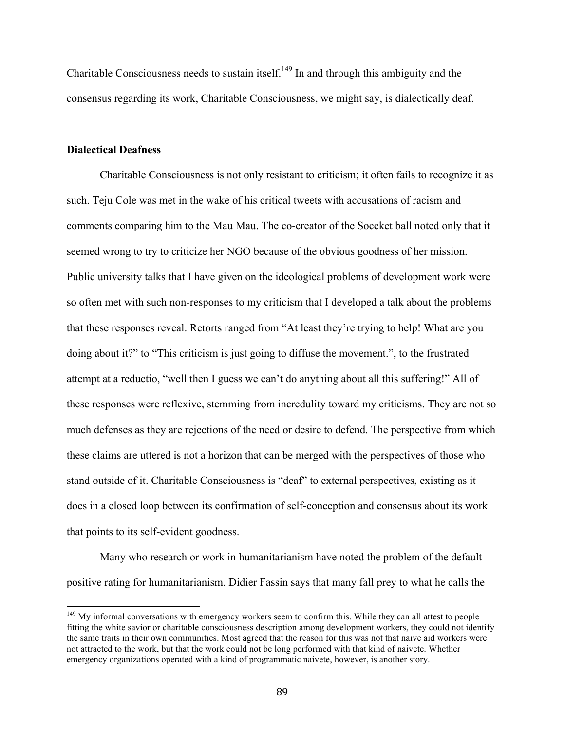Charitable Consciousness needs to sustain itself.<sup>149</sup> In and through this ambiguity and the consensus regarding its work, Charitable Consciousness, we might say, is dialectically deaf.

# **Dialectical Deafness**

Charitable Consciousness is not only resistant to criticism; it often fails to recognize it as such. Teju Cole was met in the wake of his critical tweets with accusations of racism and comments comparing him to the Mau Mau. The co-creator of the Soccket ball noted only that it seemed wrong to try to criticize her NGO because of the obvious goodness of her mission. Public university talks that I have given on the ideological problems of development work were so often met with such non-responses to my criticism that I developed a talk about the problems that these responses reveal. Retorts ranged from "At least they're trying to help! What are you doing about it?" to "This criticism is just going to diffuse the movement.", to the frustrated attempt at a reductio, "well then I guess we can't do anything about all this suffering!" All of these responses were reflexive, stemming from incredulity toward my criticisms. They are not so much defenses as they are rejections of the need or desire to defend. The perspective from which these claims are uttered is not a horizon that can be merged with the perspectives of those who stand outside of it. Charitable Consciousness is "deaf" to external perspectives, existing as it does in a closed loop between its confirmation of self-conception and consensus about its work that points to its self-evident goodness.

Many who research or work in humanitarianism have noted the problem of the default positive rating for humanitarianism. Didier Fassin says that many fall prey to what he calls the

<sup>&</sup>lt;sup>149</sup> Mv informal conversations with emergency workers seem to confirm this. While they can all attest to people fitting the white savior or charitable consciousness description among development workers, they could not identify the same traits in their own communities. Most agreed that the reason for this was not that naive aid workers were not attracted to the work, but that the work could not be long performed with that kind of naivete. Whether emergency organizations operated with a kind of programmatic naivete, however, is another story.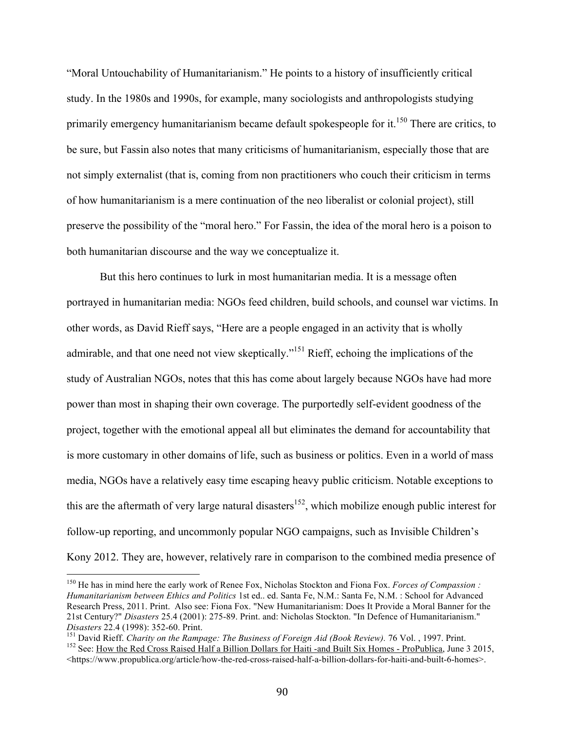"Moral Untouchability of Humanitarianism." He points to a history of insufficiently critical study. In the 1980s and 1990s, for example, many sociologists and anthropologists studying primarily emergency humanitarianism became default spokespeople for it.<sup>150</sup> There are critics, to be sure, but Fassin also notes that many criticisms of humanitarianism, especially those that are not simply externalist (that is, coming from non practitioners who couch their criticism in terms of how humanitarianism is a mere continuation of the neo liberalist or colonial project), still preserve the possibility of the "moral hero." For Fassin, the idea of the moral hero is a poison to both humanitarian discourse and the way we conceptualize it.

But this hero continues to lurk in most humanitarian media. It is a message often portrayed in humanitarian media: NGOs feed children, build schools, and counsel war victims. In other words, as David Rieff says, "Here are a people engaged in an activity that is wholly admirable, and that one need not view skeptically."<sup>151</sup> Rieff, echoing the implications of the study of Australian NGOs, notes that this has come about largely because NGOs have had more power than most in shaping their own coverage. The purportedly self-evident goodness of the project, together with the emotional appeal all but eliminates the demand for accountability that is more customary in other domains of life, such as business or politics. Even in a world of mass media, NGOs have a relatively easy time escaping heavy public criticism. Notable exceptions to this are the aftermath of very large natural disasters<sup>152</sup>, which mobilize enough public interest for follow-up reporting, and uncommonly popular NGO campaigns, such as Invisible Children's Kony 2012. They are, however, relatively rare in comparison to the combined media presence of

<sup>&</sup>lt;sup>150</sup> He has in mind here the early work of Renee Fox, Nicholas Stockton and Fiona Fox. *Forces of Compassion*: *Humanitarianism between Ethics and Politics* 1st ed.. ed. Santa Fe, N.M.: Santa Fe, N.M. : School for Advanced Research Press, 2011. Print. Also see: Fiona Fox. "New Humanitarianism: Does It Provide a Moral Banner for the 21st Century?" *Disasters* 25.4 (2001): 275-89. Print. and: Nicholas Stockton. "In Defence of Humanitarianism."

Disasters 22.4 (1998): 352-60. Print.<br><sup>151</sup> David Rieff. *Charity on the Rampage: The Business of Foreign Aid (Book Review). 76 Vol.*, 1997. Print.<br><sup>152</sup> See: How the Red Cross Raised Half a Billion Dollars for Haiti -and <https://www.propublica.org/article/how-the-red-cross-raised-half-a-billion-dollars-for-haiti-and-built-6-homes>.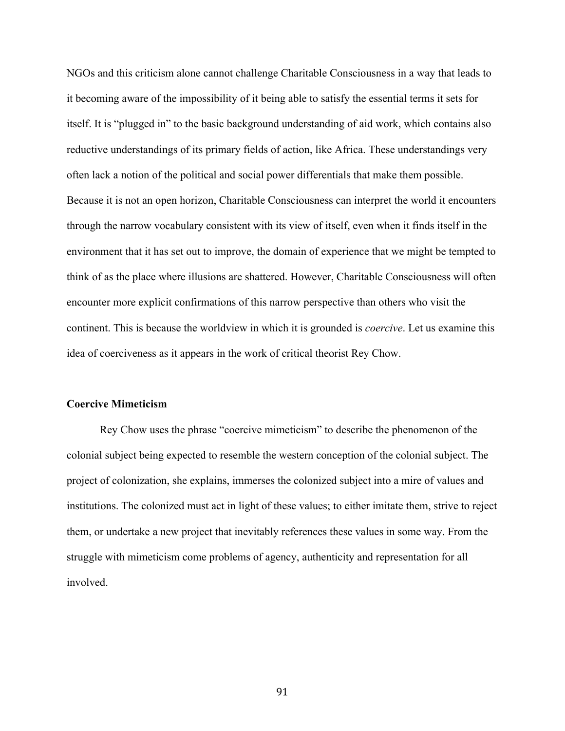NGOs and this criticism alone cannot challenge Charitable Consciousness in a way that leads to it becoming aware of the impossibility of it being able to satisfy the essential terms it sets for itself. It is "plugged in" to the basic background understanding of aid work, which contains also reductive understandings of its primary fields of action, like Africa. These understandings very often lack a notion of the political and social power differentials that make them possible. Because it is not an open horizon, Charitable Consciousness can interpret the world it encounters through the narrow vocabulary consistent with its view of itself, even when it finds itself in the environment that it has set out to improve, the domain of experience that we might be tempted to think of as the place where illusions are shattered. However, Charitable Consciousness will often encounter more explicit confirmations of this narrow perspective than others who visit the continent. This is because the worldview in which it is grounded is *coercive*. Let us examine this idea of coerciveness as it appears in the work of critical theorist Rey Chow.

### **Coercive Mimeticism**

Rey Chow uses the phrase "coercive mimeticism" to describe the phenomenon of the colonial subject being expected to resemble the western conception of the colonial subject. The project of colonization, she explains, immerses the colonized subject into a mire of values and institutions. The colonized must act in light of these values; to either imitate them, strive to reject them, or undertake a new project that inevitably references these values in some way. From the struggle with mimeticism come problems of agency, authenticity and representation for all involved.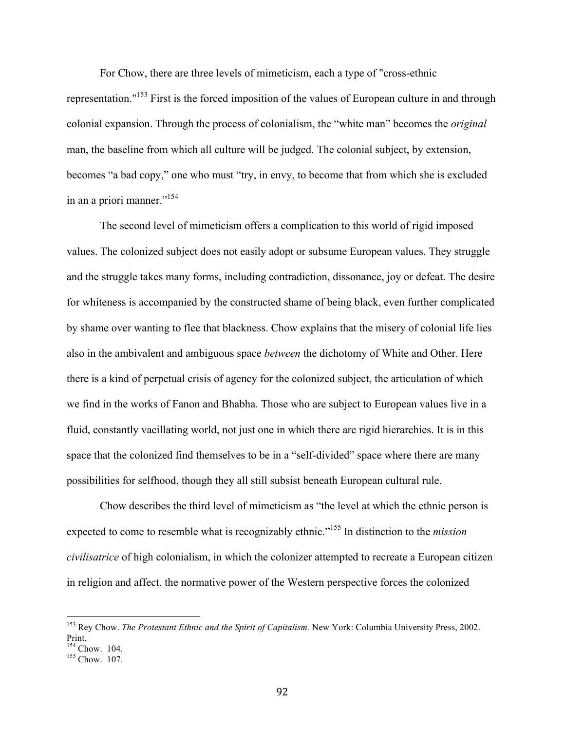For Chow, there are three levels of mimeticism, each a type of "cross-ethnic representation."153 First is the forced imposition of the values of European culture in and through colonial expansion. Through the process of colonialism, the "white man" becomes the *original*  man, the baseline from which all culture will be judged. The colonial subject, by extension, becomes "a bad copy," one who must "try, in envy, to become that from which she is excluded in an a priori manner."<sup>154</sup>

The second level of mimeticism offers a complication to this world of rigid imposed values. The colonized subject does not easily adopt or subsume European values. They struggle and the struggle takes many forms, including contradiction, dissonance, joy or defeat. The desire for whiteness is accompanied by the constructed shame of being black, even further complicated by shame over wanting to flee that blackness. Chow explains that the misery of colonial life lies also in the ambivalent and ambiguous space *between* the dichotomy of White and Other. Here there is a kind of perpetual crisis of agency for the colonized subject, the articulation of which we find in the works of Fanon and Bhabha. Those who are subject to European values live in a fluid, constantly vacillating world, not just one in which there are rigid hierarchies. It is in this space that the colonized find themselves to be in a "self-divided" space where there are many possibilities for selfhood, though they all still subsist beneath European cultural rule.

Chow describes the third level of mimeticism as "the level at which the ethnic person is expected to come to resemble what is recognizably ethnic."155 In distinction to the *mission civilisatrice* of high colonialism, in which the colonizer attempted to recreate a European citizen in religion and affect, the normative power of the Western perspective forces the colonized

 <sup>153</sup> Rey Chow. *The Protestant Ethnic and the Spirit of Capitalism.* New York: Columbia University Press, 2002. Print.<br> $^{154}$  Chow. 104.

 $155$  Chow. 107.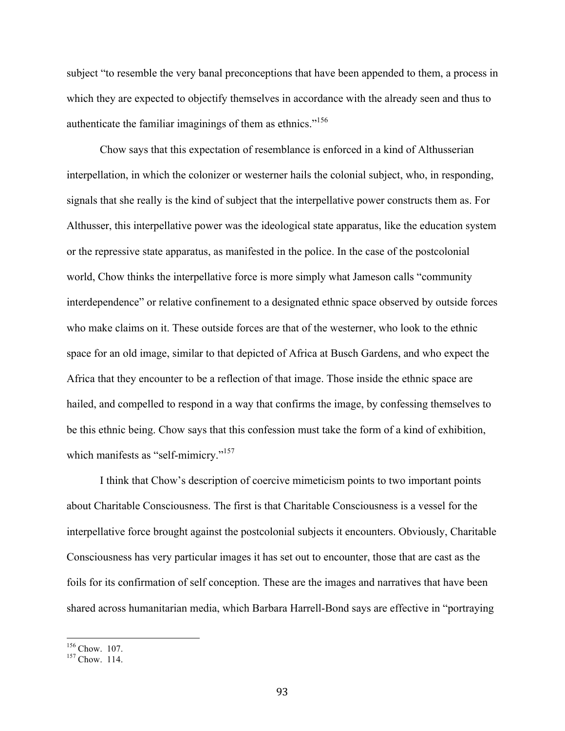subject "to resemble the very banal preconceptions that have been appended to them, a process in which they are expected to objectify themselves in accordance with the already seen and thus to authenticate the familiar imaginings of them as ethnics."<sup>156</sup>

Chow says that this expectation of resemblance is enforced in a kind of Althusserian interpellation, in which the colonizer or westerner hails the colonial subject, who, in responding, signals that she really is the kind of subject that the interpellative power constructs them as. For Althusser, this interpellative power was the ideological state apparatus, like the education system or the repressive state apparatus, as manifested in the police. In the case of the postcolonial world, Chow thinks the interpellative force is more simply what Jameson calls "community interdependence" or relative confinement to a designated ethnic space observed by outside forces who make claims on it. These outside forces are that of the westerner, who look to the ethnic space for an old image, similar to that depicted of Africa at Busch Gardens, and who expect the Africa that they encounter to be a reflection of that image. Those inside the ethnic space are hailed, and compelled to respond in a way that confirms the image, by confessing themselves to be this ethnic being. Chow says that this confession must take the form of a kind of exhibition, which manifests as "self-mimicry."<sup>157</sup>

I think that Chow's description of coercive mimeticism points to two important points about Charitable Consciousness. The first is that Charitable Consciousness is a vessel for the interpellative force brought against the postcolonial subjects it encounters. Obviously, Charitable Consciousness has very particular images it has set out to encounter, those that are cast as the foils for its confirmation of self conception. These are the images and narratives that have been shared across humanitarian media, which Barbara Harrell-Bond says are effective in "portraying

 $\frac{156}{157}$  Chow. 107.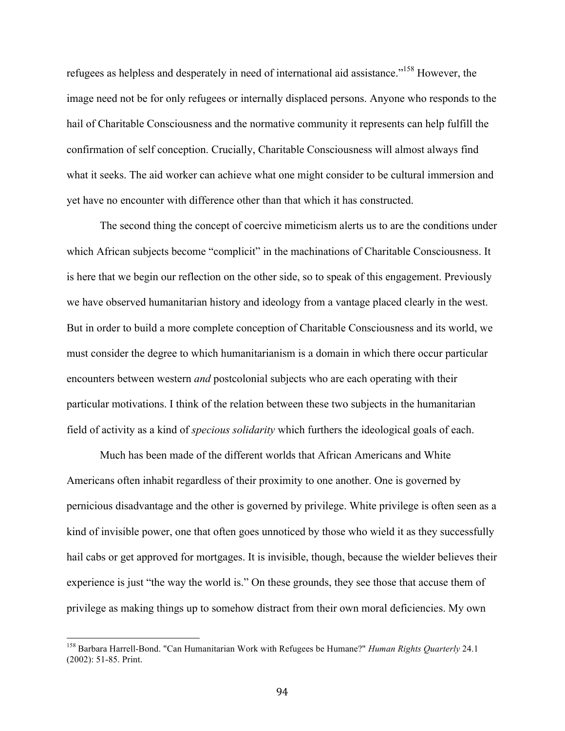refugees as helpless and desperately in need of international aid assistance."158 However, the image need not be for only refugees or internally displaced persons. Anyone who responds to the hail of Charitable Consciousness and the normative community it represents can help fulfill the confirmation of self conception. Crucially, Charitable Consciousness will almost always find what it seeks. The aid worker can achieve what one might consider to be cultural immersion and yet have no encounter with difference other than that which it has constructed.

The second thing the concept of coercive mimeticism alerts us to are the conditions under which African subjects become "complicit" in the machinations of Charitable Consciousness. It is here that we begin our reflection on the other side, so to speak of this engagement. Previously we have observed humanitarian history and ideology from a vantage placed clearly in the west. But in order to build a more complete conception of Charitable Consciousness and its world, we must consider the degree to which humanitarianism is a domain in which there occur particular encounters between western *and* postcolonial subjects who are each operating with their particular motivations. I think of the relation between these two subjects in the humanitarian field of activity as a kind of *specious solidarity* which furthers the ideological goals of each.

Much has been made of the different worlds that African Americans and White Americans often inhabit regardless of their proximity to one another. One is governed by pernicious disadvantage and the other is governed by privilege. White privilege is often seen as a kind of invisible power, one that often goes unnoticed by those who wield it as they successfully hail cabs or get approved for mortgages. It is invisible, though, because the wielder believes their experience is just "the way the world is." On these grounds, they see those that accuse them of privilege as making things up to somehow distract from their own moral deficiencies. My own

 <sup>158</sup> Barbara Harrell-Bond. "Can Humanitarian Work with Refugees be Humane?" *Human Rights Quarterly* 24.1 (2002): 51-85. Print.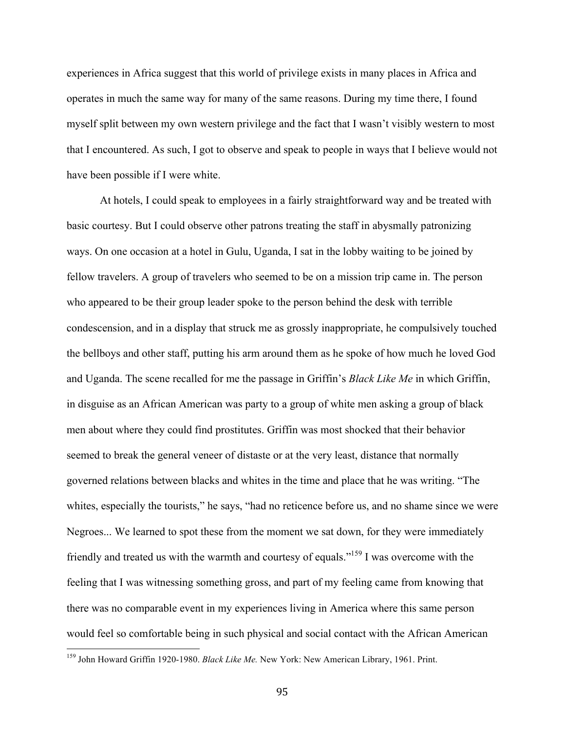experiences in Africa suggest that this world of privilege exists in many places in Africa and operates in much the same way for many of the same reasons. During my time there, I found myself split between my own western privilege and the fact that I wasn't visibly western to most that I encountered. As such, I got to observe and speak to people in ways that I believe would not have been possible if I were white.

At hotels, I could speak to employees in a fairly straightforward way and be treated with basic courtesy. But I could observe other patrons treating the staff in abysmally patronizing ways. On one occasion at a hotel in Gulu, Uganda, I sat in the lobby waiting to be joined by fellow travelers. A group of travelers who seemed to be on a mission trip came in. The person who appeared to be their group leader spoke to the person behind the desk with terrible condescension, and in a display that struck me as grossly inappropriate, he compulsively touched the bellboys and other staff, putting his arm around them as he spoke of how much he loved God and Uganda. The scene recalled for me the passage in Griffin's *Black Like Me* in which Griffin, in disguise as an African American was party to a group of white men asking a group of black men about where they could find prostitutes. Griffin was most shocked that their behavior seemed to break the general veneer of distaste or at the very least, distance that normally governed relations between blacks and whites in the time and place that he was writing. "The whites, especially the tourists," he says, "had no reticence before us, and no shame since we were Negroes... We learned to spot these from the moment we sat down, for they were immediately friendly and treated us with the warmth and courtesy of equals."159 I was overcome with the feeling that I was witnessing something gross, and part of my feeling came from knowing that there was no comparable event in my experiences living in America where this same person would feel so comfortable being in such physical and social contact with the African American

 <sup>159</sup> John Howard Griffin 1920-1980. *Black Like Me.* New York: New American Library, 1961. Print.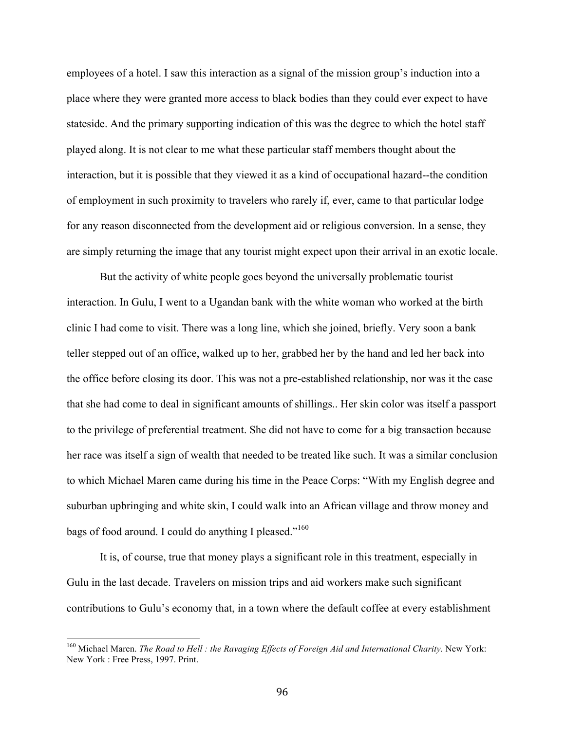employees of a hotel. I saw this interaction as a signal of the mission group's induction into a place where they were granted more access to black bodies than they could ever expect to have stateside. And the primary supporting indication of this was the degree to which the hotel staff played along. It is not clear to me what these particular staff members thought about the interaction, but it is possible that they viewed it as a kind of occupational hazard--the condition of employment in such proximity to travelers who rarely if, ever, came to that particular lodge for any reason disconnected from the development aid or religious conversion. In a sense, they are simply returning the image that any tourist might expect upon their arrival in an exotic locale.

But the activity of white people goes beyond the universally problematic tourist interaction. In Gulu, I went to a Ugandan bank with the white woman who worked at the birth clinic I had come to visit. There was a long line, which she joined, briefly. Very soon a bank teller stepped out of an office, walked up to her, grabbed her by the hand and led her back into the office before closing its door. This was not a pre-established relationship, nor was it the case that she had come to deal in significant amounts of shillings.. Her skin color was itself a passport to the privilege of preferential treatment. She did not have to come for a big transaction because her race was itself a sign of wealth that needed to be treated like such. It was a similar conclusion to which Michael Maren came during his time in the Peace Corps: "With my English degree and suburban upbringing and white skin, I could walk into an African village and throw money and bags of food around. I could do anything I pleased."<sup>160</sup>

It is, of course, true that money plays a significant role in this treatment, especially in Gulu in the last decade. Travelers on mission trips and aid workers make such significant contributions to Gulu's economy that, in a town where the default coffee at every establishment

 <sup>160</sup> Michael Maren. *The Road to Hell : the Ravaging Effects of Foreign Aid and International Charity.* New York: New York : Free Press, 1997. Print.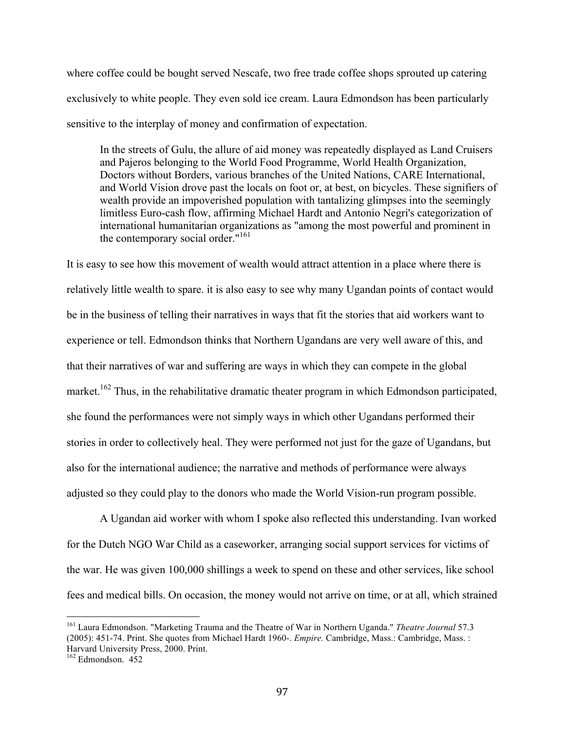where coffee could be bought served Nescafe, two free trade coffee shops sprouted up catering exclusively to white people. They even sold ice cream. Laura Edmondson has been particularly sensitive to the interplay of money and confirmation of expectation.

In the streets of Gulu, the allure of aid money was repeatedly displayed as Land Cruisers and Pajeros belonging to the World Food Programme, World Health Organization, Doctors without Borders, various branches of the United Nations, CARE International, and World Vision drove past the locals on foot or, at best, on bicycles. These signifiers of wealth provide an impoverished population with tantalizing glimpses into the seemingly limitless Euro-cash flow, affirming Michael Hardt and Antonio Negri's categorization of international humanitarian organizations as "among the most powerful and prominent in the contemporary social order."<sup>161</sup>

It is easy to see how this movement of wealth would attract attention in a place where there is relatively little wealth to spare. it is also easy to see why many Ugandan points of contact would be in the business of telling their narratives in ways that fit the stories that aid workers want to experience or tell. Edmondson thinks that Northern Ugandans are very well aware of this, and that their narratives of war and suffering are ways in which they can compete in the global market.<sup>162</sup> Thus, in the rehabilitative dramatic theater program in which Edmondson participated, she found the performances were not simply ways in which other Ugandans performed their stories in order to collectively heal. They were performed not just for the gaze of Ugandans, but also for the international audience; the narrative and methods of performance were always adjusted so they could play to the donors who made the World Vision-run program possible.

A Ugandan aid worker with whom I spoke also reflected this understanding. Ivan worked for the Dutch NGO War Child as a caseworker, arranging social support services for victims of the war. He was given 100,000 shillings a week to spend on these and other services, like school fees and medical bills. On occasion, the money would not arrive on time, or at all, which strained

 <sup>161</sup> Laura Edmondson. "Marketing Trauma and the Theatre of War in Northern Uganda." *Theatre Journal* 57.3 (2005): 451-74. Print. She quotes from Michael Hardt 1960-. *Empire.* Cambridge, Mass.: Cambridge, Mass. : Harvard University Press, 2000. Print. 162 Edmondson. 452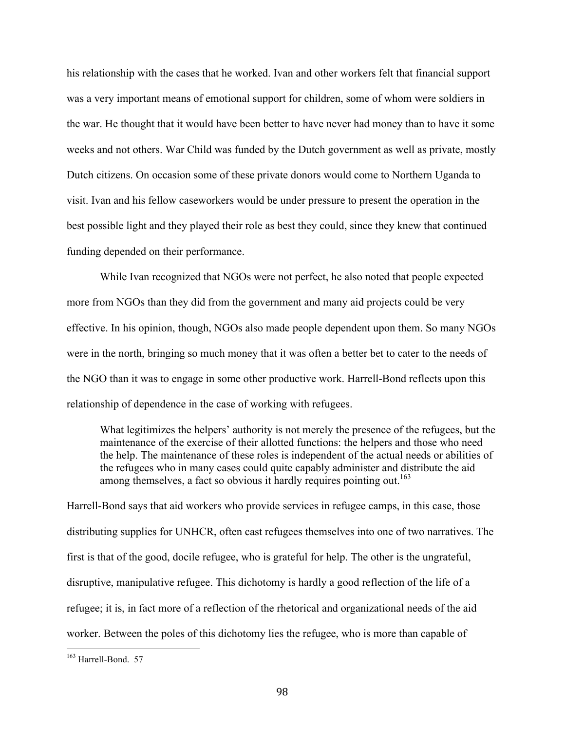his relationship with the cases that he worked. Ivan and other workers felt that financial support was a very important means of emotional support for children, some of whom were soldiers in the war. He thought that it would have been better to have never had money than to have it some weeks and not others. War Child was funded by the Dutch government as well as private, mostly Dutch citizens. On occasion some of these private donors would come to Northern Uganda to visit. Ivan and his fellow caseworkers would be under pressure to present the operation in the best possible light and they played their role as best they could, since they knew that continued funding depended on their performance.

While Ivan recognized that NGOs were not perfect, he also noted that people expected more from NGOs than they did from the government and many aid projects could be very effective. In his opinion, though, NGOs also made people dependent upon them. So many NGOs were in the north, bringing so much money that it was often a better bet to cater to the needs of the NGO than it was to engage in some other productive work. Harrell-Bond reflects upon this relationship of dependence in the case of working with refugees.

What legitimizes the helpers' authority is not merely the presence of the refugees, but the maintenance of the exercise of their allotted functions: the helpers and those who need the help. The maintenance of these roles is independent of the actual needs or abilities of the refugees who in many cases could quite capably administer and distribute the aid among themselves, a fact so obvious it hardly requires pointing out.<sup>163</sup>

Harrell-Bond says that aid workers who provide services in refugee camps, in this case, those distributing supplies for UNHCR, often cast refugees themselves into one of two narratives. The first is that of the good, docile refugee, who is grateful for help. The other is the ungrateful, disruptive, manipulative refugee. This dichotomy is hardly a good reflection of the life of a refugee; it is, in fact more of a reflection of the rhetorical and organizational needs of the aid worker. Between the poles of this dichotomy lies the refugee, who is more than capable of

 <sup>163</sup> Harrell-Bond. 57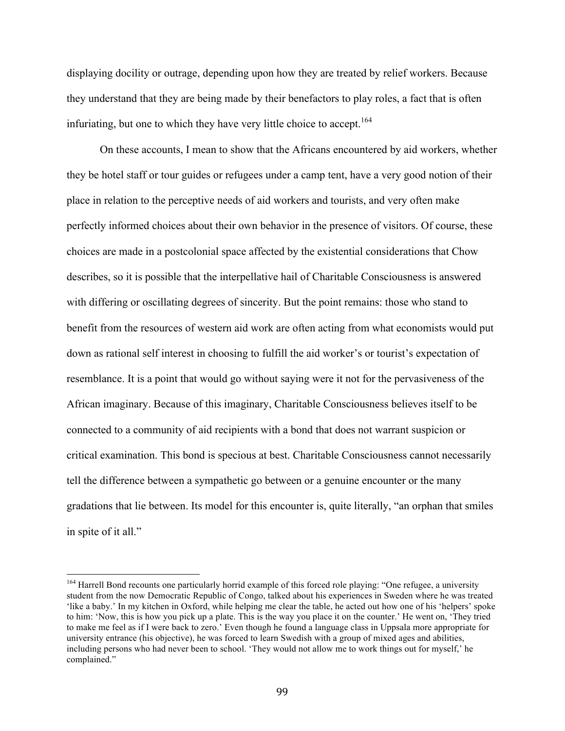displaying docility or outrage, depending upon how they are treated by relief workers. Because they understand that they are being made by their benefactors to play roles, a fact that is often infuriating, but one to which they have very little choice to accept.<sup>164</sup>

On these accounts, I mean to show that the Africans encountered by aid workers, whether they be hotel staff or tour guides or refugees under a camp tent, have a very good notion of their place in relation to the perceptive needs of aid workers and tourists, and very often make perfectly informed choices about their own behavior in the presence of visitors. Of course, these choices are made in a postcolonial space affected by the existential considerations that Chow describes, so it is possible that the interpellative hail of Charitable Consciousness is answered with differing or oscillating degrees of sincerity. But the point remains: those who stand to benefit from the resources of western aid work are often acting from what economists would put down as rational self interest in choosing to fulfill the aid worker's or tourist's expectation of resemblance. It is a point that would go without saying were it not for the pervasiveness of the African imaginary. Because of this imaginary, Charitable Consciousness believes itself to be connected to a community of aid recipients with a bond that does not warrant suspicion or critical examination. This bond is specious at best. Charitable Consciousness cannot necessarily tell the difference between a sympathetic go between or a genuine encounter or the many gradations that lie between. Its model for this encounter is, quite literally, "an orphan that smiles in spite of it all."

<sup>&</sup>lt;sup>164</sup> Harrell Bond recounts one particularly horrid example of this forced role playing: "One refugee, a university student from the now Democratic Republic of Congo, talked about his experiences in Sweden where he was treated 'like a baby.' In my kitchen in Oxford, while helping me clear the table, he acted out how one of his 'helpers' spoke to him: 'Now, this is how you pick up a plate. This is the way you place it on the counter.' He went on, 'They tried to make me feel as if I were back to zero.' Even though he found a language class in Uppsala more appropriate for university entrance (his objective), he was forced to learn Swedish with a group of mixed ages and abilities, including persons who had never been to school. 'They would not allow me to work things out for myself,' he complained."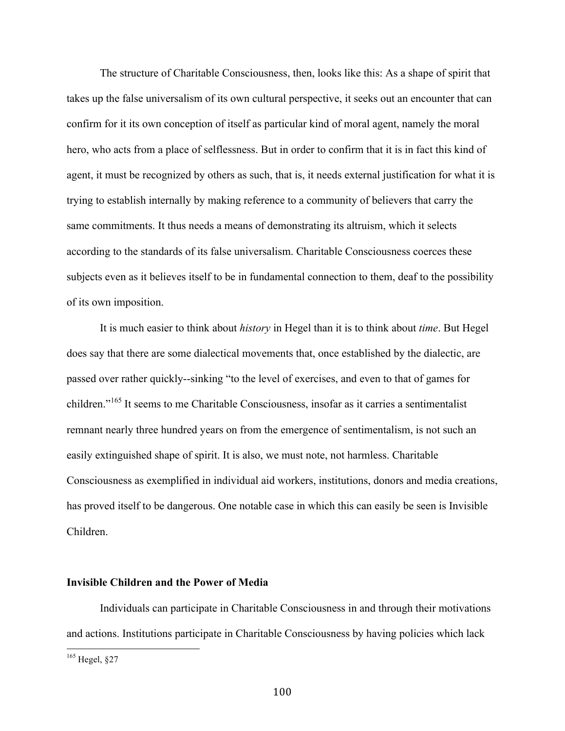The structure of Charitable Consciousness, then, looks like this: As a shape of spirit that takes up the false universalism of its own cultural perspective, it seeks out an encounter that can confirm for it its own conception of itself as particular kind of moral agent, namely the moral hero, who acts from a place of selflessness. But in order to confirm that it is in fact this kind of agent, it must be recognized by others as such, that is, it needs external justification for what it is trying to establish internally by making reference to a community of believers that carry the same commitments. It thus needs a means of demonstrating its altruism, which it selects according to the standards of its false universalism. Charitable Consciousness coerces these subjects even as it believes itself to be in fundamental connection to them, deaf to the possibility of its own imposition.

It is much easier to think about *history* in Hegel than it is to think about *time*. But Hegel does say that there are some dialectical movements that, once established by the dialectic, are passed over rather quickly--sinking "to the level of exercises, and even to that of games for children."165 It seems to me Charitable Consciousness, insofar as it carries a sentimentalist remnant nearly three hundred years on from the emergence of sentimentalism, is not such an easily extinguished shape of spirit. It is also, we must note, not harmless. Charitable Consciousness as exemplified in individual aid workers, institutions, donors and media creations, has proved itself to be dangerous. One notable case in which this can easily be seen is Invisible Children.

# **Invisible Children and the Power of Media**

Individuals can participate in Charitable Consciousness in and through their motivations and actions. Institutions participate in Charitable Consciousness by having policies which lack

 $165$  Hegel,  $§27$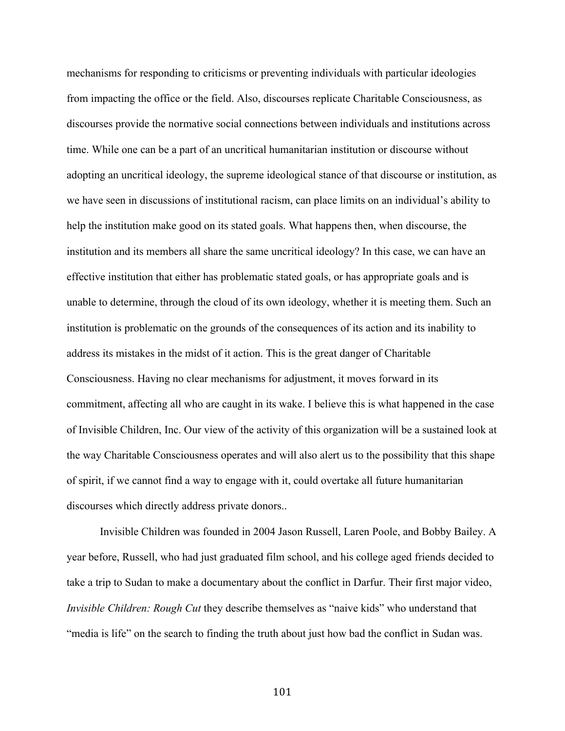mechanisms for responding to criticisms or preventing individuals with particular ideologies from impacting the office or the field. Also, discourses replicate Charitable Consciousness, as discourses provide the normative social connections between individuals and institutions across time. While one can be a part of an uncritical humanitarian institution or discourse without adopting an uncritical ideology, the supreme ideological stance of that discourse or institution, as we have seen in discussions of institutional racism, can place limits on an individual's ability to help the institution make good on its stated goals. What happens then, when discourse, the institution and its members all share the same uncritical ideology? In this case, we can have an effective institution that either has problematic stated goals, or has appropriate goals and is unable to determine, through the cloud of its own ideology, whether it is meeting them. Such an institution is problematic on the grounds of the consequences of its action and its inability to address its mistakes in the midst of it action. This is the great danger of Charitable Consciousness. Having no clear mechanisms for adjustment, it moves forward in its commitment, affecting all who are caught in its wake. I believe this is what happened in the case of Invisible Children, Inc. Our view of the activity of this organization will be a sustained look at the way Charitable Consciousness operates and will also alert us to the possibility that this shape of spirit, if we cannot find a way to engage with it, could overtake all future humanitarian discourses which directly address private donors..

Invisible Children was founded in 2004 Jason Russell, Laren Poole, and Bobby Bailey. A year before, Russell, who had just graduated film school, and his college aged friends decided to take a trip to Sudan to make a documentary about the conflict in Darfur. Their first major video, *Invisible Children: Rough Cut* they describe themselves as "naive kids" who understand that "media is life" on the search to finding the truth about just how bad the conflict in Sudan was.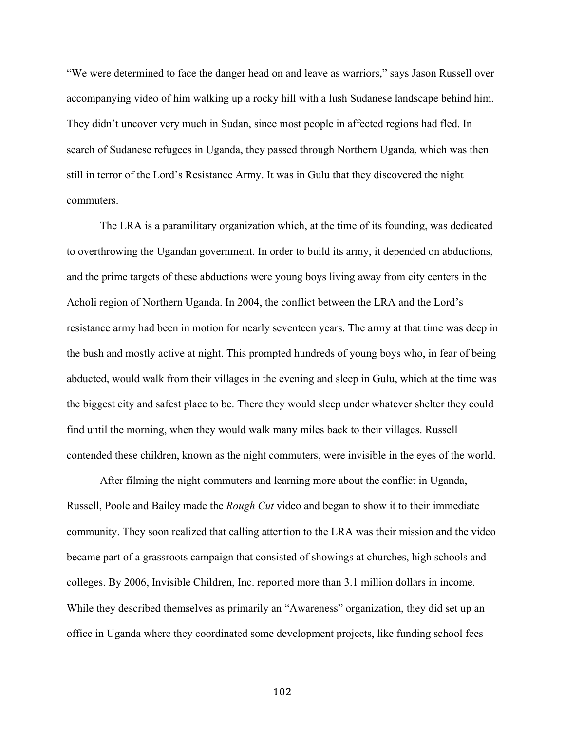"We were determined to face the danger head on and leave as warriors," says Jason Russell over accompanying video of him walking up a rocky hill with a lush Sudanese landscape behind him. They didn't uncover very much in Sudan, since most people in affected regions had fled. In search of Sudanese refugees in Uganda, they passed through Northern Uganda, which was then still in terror of the Lord's Resistance Army. It was in Gulu that they discovered the night commuters.

The LRA is a paramilitary organization which, at the time of its founding, was dedicated to overthrowing the Ugandan government. In order to build its army, it depended on abductions, and the prime targets of these abductions were young boys living away from city centers in the Acholi region of Northern Uganda. In 2004, the conflict between the LRA and the Lord's resistance army had been in motion for nearly seventeen years. The army at that time was deep in the bush and mostly active at night. This prompted hundreds of young boys who, in fear of being abducted, would walk from their villages in the evening and sleep in Gulu, which at the time was the biggest city and safest place to be. There they would sleep under whatever shelter they could find until the morning, when they would walk many miles back to their villages. Russell contended these children, known as the night commuters, were invisible in the eyes of the world.

After filming the night commuters and learning more about the conflict in Uganda, Russell, Poole and Bailey made the *Rough Cut* video and began to show it to their immediate community. They soon realized that calling attention to the LRA was their mission and the video became part of a grassroots campaign that consisted of showings at churches, high schools and colleges. By 2006, Invisible Children, Inc. reported more than 3.1 million dollars in income. While they described themselves as primarily an "Awareness" organization, they did set up an office in Uganda where they coordinated some development projects, like funding school fees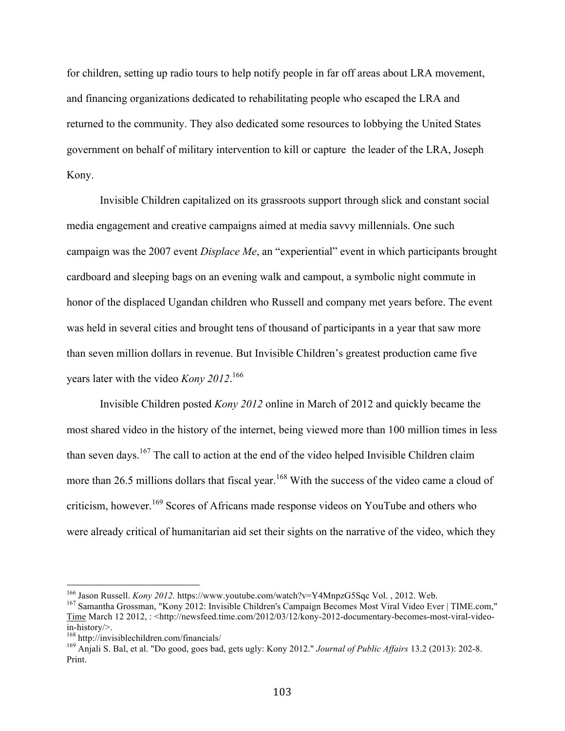for children, setting up radio tours to help notify people in far off areas about LRA movement, and financing organizations dedicated to rehabilitating people who escaped the LRA and returned to the community. They also dedicated some resources to lobbying the United States government on behalf of military intervention to kill or capture the leader of the LRA, Joseph Kony.

Invisible Children capitalized on its grassroots support through slick and constant social media engagement and creative campaigns aimed at media savvy millennials. One such campaign was the 2007 event *Displace Me*, an "experiential" event in which participants brought cardboard and sleeping bags on an evening walk and campout, a symbolic night commute in honor of the displaced Ugandan children who Russell and company met years before. The event was held in several cities and brought tens of thousand of participants in a year that saw more than seven million dollars in revenue. But Invisible Children's greatest production came five years later with the video *Kony 2012*. 166

Invisible Children posted *Kony 2012* online in March of 2012 and quickly became the most shared video in the history of the internet, being viewed more than 100 million times in less than seven days.<sup>167</sup> The call to action at the end of the video helped Invisible Children claim more than 26.5 millions dollars that fiscal year.<sup>168</sup> With the success of the video came a cloud of criticism, however.<sup>169</sup> Scores of Africans made response videos on YouTube and others who were already critical of humanitarian aid set their sights on the narrative of the video, which they

<sup>&</sup>lt;sup>166</sup> Jason Russell. *Kony 2012.* https://www.youtube.com/watch?v=Y4MnpzG5Sqc Vol., 2012. Web. <sup>167</sup> Samantha Grossman, "Kony 2012: Invisible Children's Campaign Becomes Most Viral Video Ever | TIME.com,"

Time March 12 2012, : <http://newsfeed.time.com/2012/03/12/kony-2012-documentary-becomes-most-viral-videoin-history/>. 168 http://invisiblechildren.com/financials/ 169 Anjali S. Bal, et al. "Do good, goes bad, gets ugly: Kony 2012." *Journal of Public Affairs* 13.2 (2013): 202-8.

Print.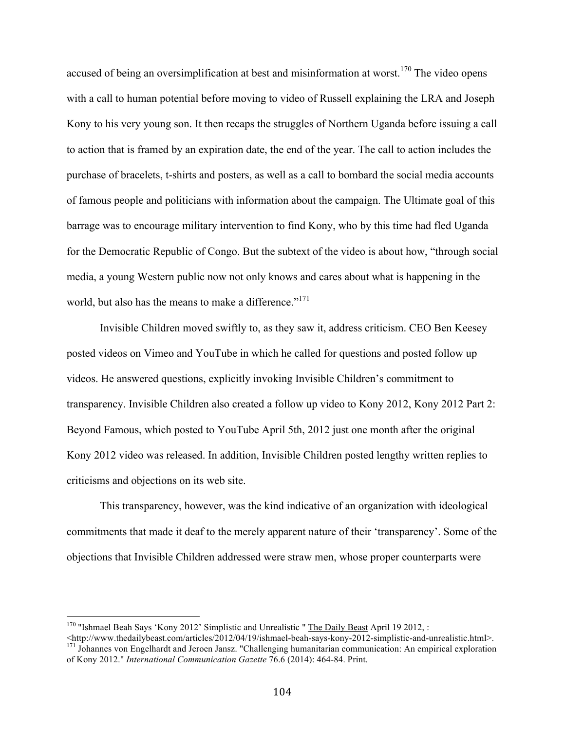accused of being an oversimplification at best and misinformation at worst.<sup>170</sup> The video opens with a call to human potential before moving to video of Russell explaining the LRA and Joseph Kony to his very young son. It then recaps the struggles of Northern Uganda before issuing a call to action that is framed by an expiration date, the end of the year. The call to action includes the purchase of bracelets, t-shirts and posters, as well as a call to bombard the social media accounts of famous people and politicians with information about the campaign. The Ultimate goal of this barrage was to encourage military intervention to find Kony, who by this time had fled Uganda for the Democratic Republic of Congo. But the subtext of the video is about how, "through social media, a young Western public now not only knows and cares about what is happening in the world, but also has the means to make a difference." $171$ 

Invisible Children moved swiftly to, as they saw it, address criticism. CEO Ben Keesey posted videos on Vimeo and YouTube in which he called for questions and posted follow up videos. He answered questions, explicitly invoking Invisible Children's commitment to transparency. Invisible Children also created a follow up video to Kony 2012, Kony 2012 Part 2: Beyond Famous, which posted to YouTube April 5th, 2012 just one month after the original Kony 2012 video was released. In addition, Invisible Children posted lengthy written replies to criticisms and objections on its web site.

This transparency, however, was the kind indicative of an organization with ideological commitments that made it deaf to the merely apparent nature of their 'transparency'. Some of the objections that Invisible Children addressed were straw men, whose proper counterparts were

<sup>&</sup>lt;sup>170</sup> "Ishmael Beah Says 'Kony 2012' Simplistic and Unrealistic " **The Daily Beast** April 19 2012, :<br>
<http://www.thedailybeast.com/articles/2012/04/19/ishmael-beah-says-kony-2012-simplistic-and-unrealistic.html>.

 $\frac{171}{171}$  Johannes von Engelhardt and Jeroen Jansz. "Challenging humanitarian communication: An empirical exploration of Kony 2012." *International Communication Gazette* 76.6 (2014): 464-84. Print.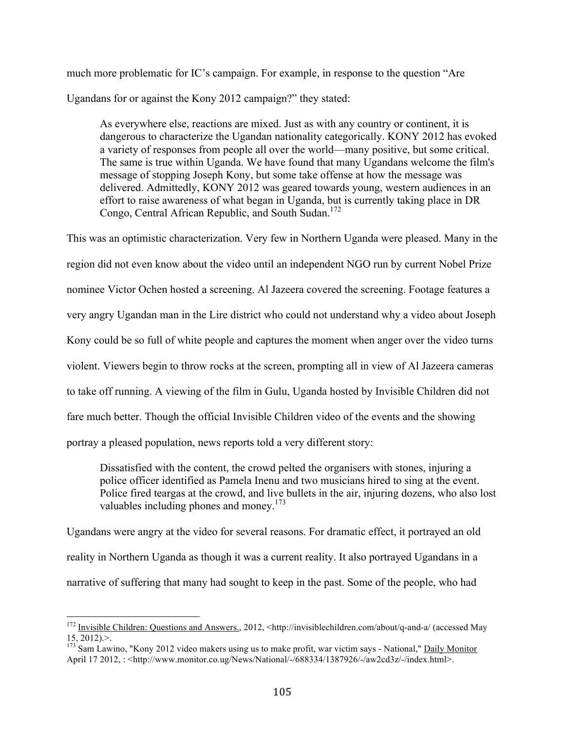much more problematic for IC's campaign. For example, in response to the question "Are Ugandans for or against the Kony 2012 campaign?" they stated:

As everywhere else, reactions are mixed. Just as with any country or continent, it is dangerous to characterize the Ugandan nationality categorically. KONY 2012 has evoked a variety of responses from people all over the world—many positive, but some critical. The same is true within Uganda. We have found that many Ugandans welcome the film's message of stopping Joseph Kony, but some take offense at how the message was delivered. Admittedly, KONY 2012 was geared towards young, western audiences in an effort to raise awareness of what began in Uganda, but is currently taking place in DR Congo, Central African Republic, and South Sudan.<sup>172</sup>

This was an optimistic characterization. Very few in Northern Uganda were pleased. Many in the region did not even know about the video until an independent NGO run by current Nobel Prize nominee Victor Ochen hosted a screening. Al Jazeera covered the screening. Footage features a very angry Ugandan man in the Lire district who could not understand why a video about Joseph Kony could be so full of white people and captures the moment when anger over the video turns violent. Viewers begin to throw rocks at the screen, prompting all in view of Al Jazeera cameras to take off running. A viewing of the film in Gulu, Uganda hosted by Invisible Children did not fare much better. Though the official Invisible Children video of the events and the showing portray a pleased population, news reports told a very different story:

Dissatisfied with the content, the crowd pelted the organisers with stones, injuring a police officer identified as Pamela Inenu and two musicians hired to sing at the event. Police fired teargas at the crowd, and live bullets in the air, injuring dozens, who also lost valuables including phones and money.<sup>173</sup>

Ugandans were angry at the video for several reasons. For dramatic effect, it portrayed an old reality in Northern Uganda as though it was a current reality. It also portrayed Ugandans in a narrative of suffering that many had sought to keep in the past. Some of the people, who had

<sup>&</sup>lt;sup>172</sup> Invisible Children: Questions and Answers., 2012, <http://invisiblechildren.com/about/q-and-a/ (accessed May  $15, 2012$ ).

<sup>&</sup>lt;sup>173</sup> Sam Lawino, "Kony 2012 video makers using us to make profit, war victim says - National," Daily Monitor April 17 2012, : <http://www.monitor.co.ug/News/National/-/688334/1387926/-/aw2cd3z/-/index.html>.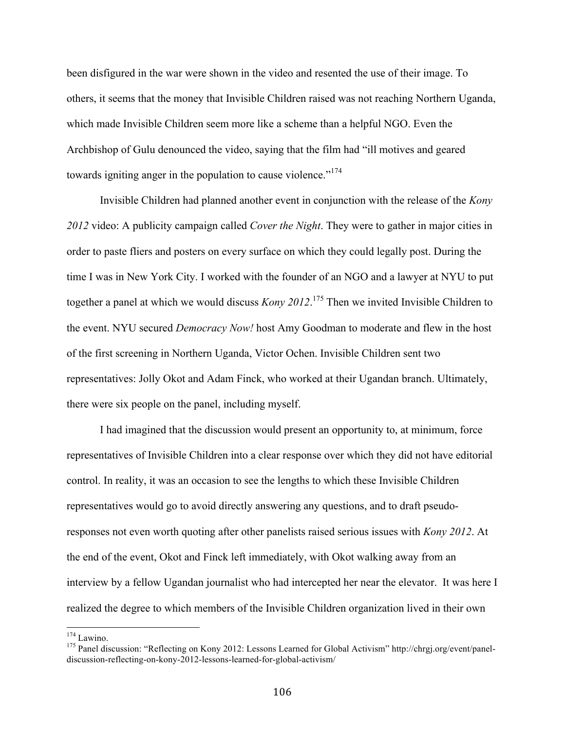been disfigured in the war were shown in the video and resented the use of their image. To others, it seems that the money that Invisible Children raised was not reaching Northern Uganda, which made Invisible Children seem more like a scheme than a helpful NGO. Even the Archbishop of Gulu denounced the video, saying that the film had "ill motives and geared towards igniting anger in the population to cause violence."<sup>174</sup>

Invisible Children had planned another event in conjunction with the release of the *Kony 2012* video: A publicity campaign called *Cover the Night*. They were to gather in major cities in order to paste fliers and posters on every surface on which they could legally post. During the time I was in New York City. I worked with the founder of an NGO and a lawyer at NYU to put together a panel at which we would discuss *Kony 2012*. 175 Then we invited Invisible Children to the event. NYU secured *Democracy Now!* host Amy Goodman to moderate and flew in the host of the first screening in Northern Uganda, Victor Ochen. Invisible Children sent two representatives: Jolly Okot and Adam Finck, who worked at their Ugandan branch. Ultimately, there were six people on the panel, including myself.

I had imagined that the discussion would present an opportunity to, at minimum, force representatives of Invisible Children into a clear response over which they did not have editorial control. In reality, it was an occasion to see the lengths to which these Invisible Children representatives would go to avoid directly answering any questions, and to draft pseudoresponses not even worth quoting after other panelists raised serious issues with *Kony 2012*. At the end of the event, Okot and Finck left immediately, with Okot walking away from an interview by a fellow Ugandan journalist who had intercepted her near the elevator. It was here I realized the degree to which members of the Invisible Children organization lived in their own

<sup>&</sup>lt;sup>174</sup> Lawino.<br><sup>175</sup> Panel discussion: "Reflecting on Kony 2012: Lessons Learned for Global Activism" http://chrgj.org/event/paneldiscussion-reflecting-on-kony-2012-lessons-learned-for-global-activism/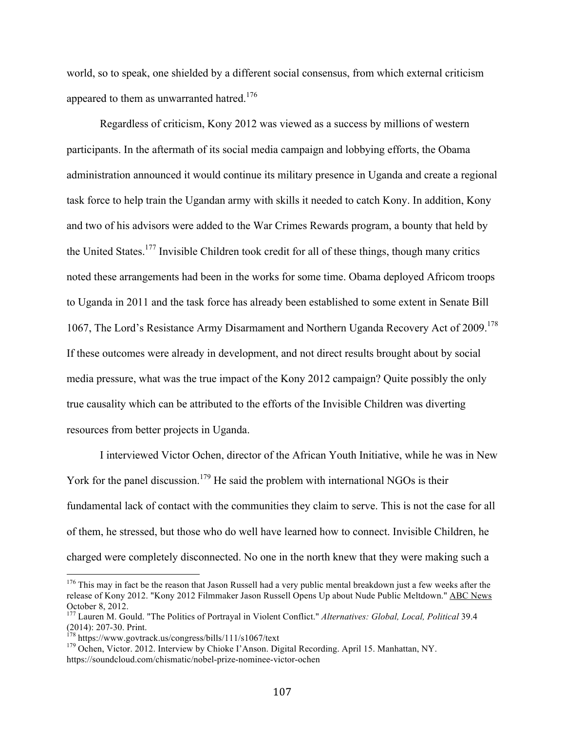world, so to speak, one shielded by a different social consensus, from which external criticism appeared to them as unwarranted hatred.<sup>176</sup>

Regardless of criticism, Kony 2012 was viewed as a success by millions of western participants. In the aftermath of its social media campaign and lobbying efforts, the Obama administration announced it would continue its military presence in Uganda and create a regional task force to help train the Ugandan army with skills it needed to catch Kony. In addition, Kony and two of his advisors were added to the War Crimes Rewards program, a bounty that held by the United States.<sup>177</sup> Invisible Children took credit for all of these things, though many critics noted these arrangements had been in the works for some time. Obama deployed Africom troops to Uganda in 2011 and the task force has already been established to some extent in Senate Bill 1067, The Lord's Resistance Army Disarmament and Northern Uganda Recovery Act of 2009.<sup>178</sup> If these outcomes were already in development, and not direct results brought about by social media pressure, what was the true impact of the Kony 2012 campaign? Quite possibly the only true causality which can be attributed to the efforts of the Invisible Children was diverting resources from better projects in Uganda.

I interviewed Victor Ochen, director of the African Youth Initiative, while he was in New York for the panel discussion.<sup>179</sup> He said the problem with international NGOs is their fundamental lack of contact with the communities they claim to serve. This is not the case for all of them, he stressed, but those who do well have learned how to connect. Invisible Children, he charged were completely disconnected. No one in the north knew that they were making such a

 $176$  This may in fact be the reason that Jason Russell had a very public mental breakdown just a few weeks after the release of Kony 2012. "Kony 2012 Filmmaker Jason Russell Opens Up about Nude Public Meltdown." ABC News October 8, 2012.

<sup>&</sup>lt;sup>177</sup> Lauren M. Gould. "The Politics of Portrayal in Violent Conflict." *Alternatives: Global, Local, Political* 39.4 (2014): 207-30. Print.<br><sup>178</sup> https://www.govtrack.us/congress/bills/111/s1067/text<br><sup>179</sup> Ochen, Victor. 2012. Interview by Chioke I'Anson. Digital Recording. April 15. Manhattan, NY.

https://soundcloud.com/chismatic/nobel-prize-nominee-victor-ochen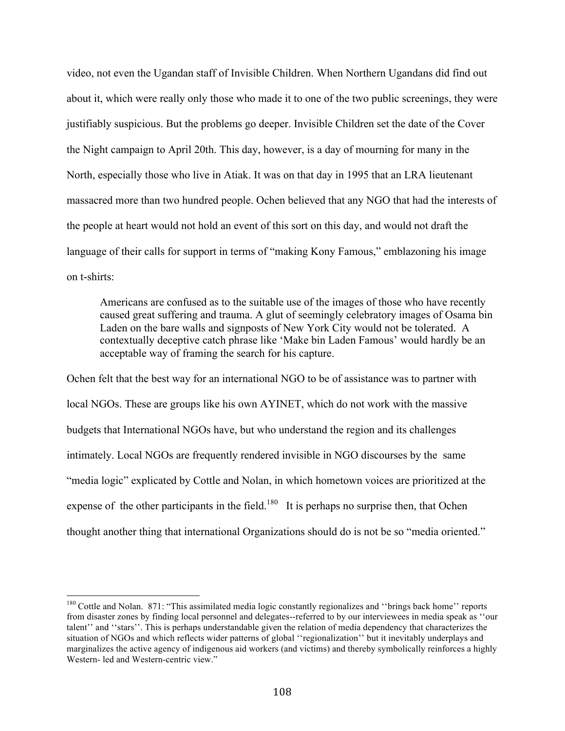video, not even the Ugandan staff of Invisible Children. When Northern Ugandans did find out about it, which were really only those who made it to one of the two public screenings, they were justifiably suspicious. But the problems go deeper. Invisible Children set the date of the Cover the Night campaign to April 20th. This day, however, is a day of mourning for many in the North, especially those who live in Atiak. It was on that day in 1995 that an LRA lieutenant massacred more than two hundred people. Ochen believed that any NGO that had the interests of the people at heart would not hold an event of this sort on this day, and would not draft the language of their calls for support in terms of "making Kony Famous," emblazoning his image on t-shirts:

Americans are confused as to the suitable use of the images of those who have recently caused great suffering and trauma. A glut of seemingly celebratory images of Osama bin Laden on the bare walls and signposts of New York City would not be tolerated. A contextually deceptive catch phrase like 'Make bin Laden Famous' would hardly be an acceptable way of framing the search for his capture.

Ochen felt that the best way for an international NGO to be of assistance was to partner with local NGOs. These are groups like his own AYINET, which do not work with the massive budgets that International NGOs have, but who understand the region and its challenges intimately. Local NGOs are frequently rendered invisible in NGO discourses by the same "media logic" explicated by Cottle and Nolan, in which hometown voices are prioritized at the expense of the other participants in the field.<sup>180</sup> It is perhaps no surprise then, that Ochen thought another thing that international Organizations should do is not be so "media oriented."

<sup>&</sup>lt;sup>180</sup> Cottle and Nolan. 871: "This assimilated media logic constantly regionalizes and "brings back home" reports from disaster zones by finding local personnel and delegates--referred to by our interviewees in media speak as ''our talent'' and ''stars''. This is perhaps understandable given the relation of media dependency that characterizes the situation of NGOs and which reflects wider patterns of global ''regionalization'' but it inevitably underplays and marginalizes the active agency of indigenous aid workers (and victims) and thereby symbolically reinforces a highly Western- led and Western-centric view."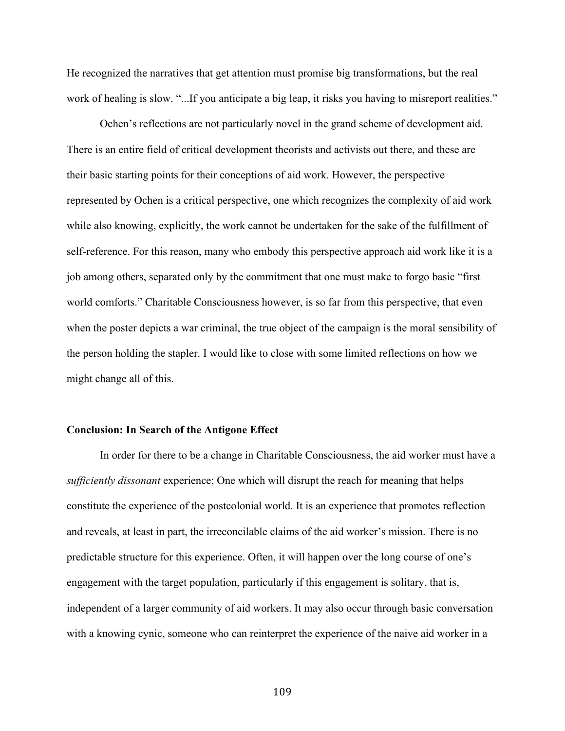He recognized the narratives that get attention must promise big transformations, but the real work of healing is slow. "...If you anticipate a big leap, it risks you having to misreport realities."

Ochen's reflections are not particularly novel in the grand scheme of development aid. There is an entire field of critical development theorists and activists out there, and these are their basic starting points for their conceptions of aid work. However, the perspective represented by Ochen is a critical perspective, one which recognizes the complexity of aid work while also knowing, explicitly, the work cannot be undertaken for the sake of the fulfillment of self-reference. For this reason, many who embody this perspective approach aid work like it is a job among others, separated only by the commitment that one must make to forgo basic "first world comforts." Charitable Consciousness however, is so far from this perspective, that even when the poster depicts a war criminal, the true object of the campaign is the moral sensibility of the person holding the stapler. I would like to close with some limited reflections on how we might change all of this.

## **Conclusion: In Search of the Antigone Effect**

In order for there to be a change in Charitable Consciousness, the aid worker must have a *sufficiently dissonant* experience; One which will disrupt the reach for meaning that helps constitute the experience of the postcolonial world. It is an experience that promotes reflection and reveals, at least in part, the irreconcilable claims of the aid worker's mission. There is no predictable structure for this experience. Often, it will happen over the long course of one's engagement with the target population, particularly if this engagement is solitary, that is, independent of a larger community of aid workers. It may also occur through basic conversation with a knowing cynic, someone who can reinterpret the experience of the naive aid worker in a

109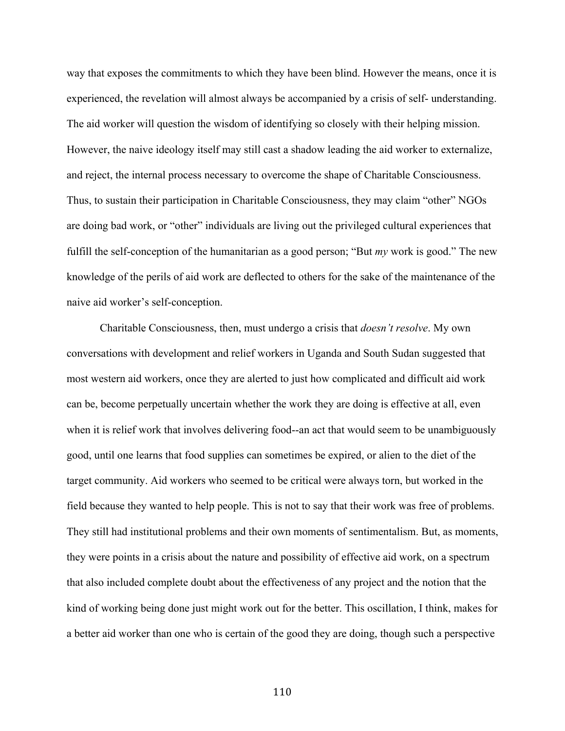way that exposes the commitments to which they have been blind. However the means, once it is experienced, the revelation will almost always be accompanied by a crisis of self- understanding. The aid worker will question the wisdom of identifying so closely with their helping mission. However, the naive ideology itself may still cast a shadow leading the aid worker to externalize, and reject, the internal process necessary to overcome the shape of Charitable Consciousness. Thus, to sustain their participation in Charitable Consciousness, they may claim "other" NGOs are doing bad work, or "other" individuals are living out the privileged cultural experiences that fulfill the self-conception of the humanitarian as a good person; "But *my* work is good." The new knowledge of the perils of aid work are deflected to others for the sake of the maintenance of the naive aid worker's self-conception.

Charitable Consciousness, then, must undergo a crisis that *doesn't resolve*. My own conversations with development and relief workers in Uganda and South Sudan suggested that most western aid workers, once they are alerted to just how complicated and difficult aid work can be, become perpetually uncertain whether the work they are doing is effective at all, even when it is relief work that involves delivering food--an act that would seem to be unambiguously good, until one learns that food supplies can sometimes be expired, or alien to the diet of the target community. Aid workers who seemed to be critical were always torn, but worked in the field because they wanted to help people. This is not to say that their work was free of problems. They still had institutional problems and their own moments of sentimentalism. But, as moments, they were points in a crisis about the nature and possibility of effective aid work, on a spectrum that also included complete doubt about the effectiveness of any project and the notion that the kind of working being done just might work out for the better. This oscillation, I think, makes for a better aid worker than one who is certain of the good they are doing, though such a perspective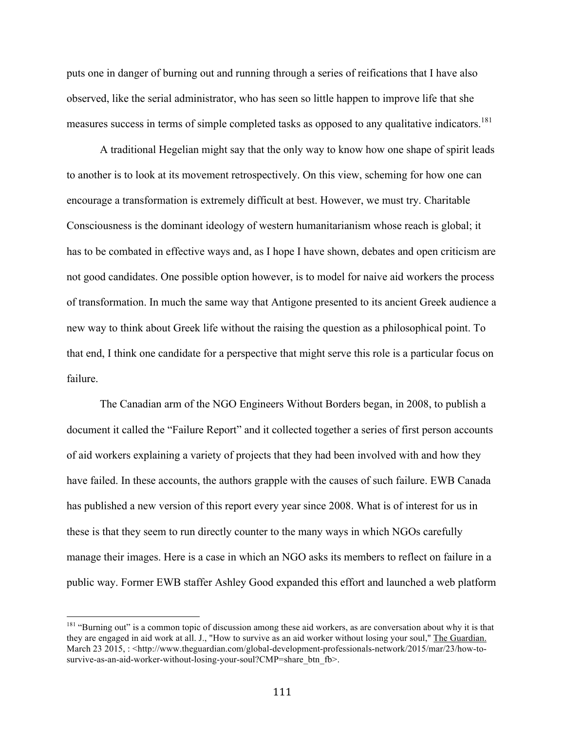puts one in danger of burning out and running through a series of reifications that I have also observed, like the serial administrator, who has seen so little happen to improve life that she measures success in terms of simple completed tasks as opposed to any qualitative indicators.<sup>181</sup>

A traditional Hegelian might say that the only way to know how one shape of spirit leads to another is to look at its movement retrospectively. On this view, scheming for how one can encourage a transformation is extremely difficult at best. However, we must try. Charitable Consciousness is the dominant ideology of western humanitarianism whose reach is global; it has to be combated in effective ways and, as I hope I have shown, debates and open criticism are not good candidates. One possible option however, is to model for naive aid workers the process of transformation. In much the same way that Antigone presented to its ancient Greek audience a new way to think about Greek life without the raising the question as a philosophical point. To that end, I think one candidate for a perspective that might serve this role is a particular focus on failure.

The Canadian arm of the NGO Engineers Without Borders began, in 2008, to publish a document it called the "Failure Report" and it collected together a series of first person accounts of aid workers explaining a variety of projects that they had been involved with and how they have failed. In these accounts, the authors grapple with the causes of such failure. EWB Canada has published a new version of this report every year since 2008. What is of interest for us in these is that they seem to run directly counter to the many ways in which NGOs carefully manage their images. Here is a case in which an NGO asks its members to reflect on failure in a public way. Former EWB staffer Ashley Good expanded this effort and launched a web platform

<sup>&</sup>lt;sup>181</sup> "Burning out" is a common topic of discussion among these aid workers, as are conversation about why it is that they are engaged in aid work at all. J., "How to survive as an aid worker without losing your soul," The Guardian. March 23 2015, : <http://www.theguardian.com/global-development-professionals-network/2015/mar/23/how-tosurvive-as-an-aid-worker-without-losing-your-soul?CMP=share\_btn\_fb>.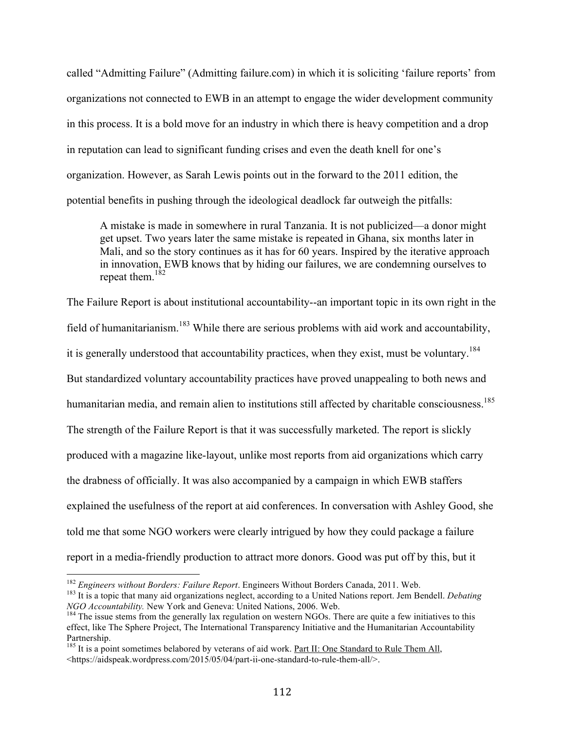called "Admitting Failure" (Admitting failure.com) in which it is soliciting 'failure reports' from organizations not connected to EWB in an attempt to engage the wider development community in this process. It is a bold move for an industry in which there is heavy competition and a drop in reputation can lead to significant funding crises and even the death knell for one's organization. However, as Sarah Lewis points out in the forward to the 2011 edition, the potential benefits in pushing through the ideological deadlock far outweigh the pitfalls:

A mistake is made in somewhere in rural Tanzania. It is not publicized—a donor might get upset. Two years later the same mistake is repeated in Ghana, six months later in Mali, and so the story continues as it has for 60 years. Inspired by the iterative approach in innovation, EWB knows that by hiding our failures, we are condemning ourselves to repeat them. $182$ 

The Failure Report is about institutional accountability--an important topic in its own right in the field of humanitarianism.183 While there are serious problems with aid work and accountability, it is generally understood that accountability practices, when they exist, must be voluntary.<sup>184</sup> But standardized voluntary accountability practices have proved unappealing to both news and humanitarian media, and remain alien to institutions still affected by charitable consciousness.<sup>185</sup> The strength of the Failure Report is that it was successfully marketed. The report is slickly produced with a magazine like-layout, unlike most reports from aid organizations which carry the drabness of officially. It was also accompanied by a campaign in which EWB staffers explained the usefulness of the report at aid conferences. In conversation with Ashley Good, she told me that some NGO workers were clearly intrigued by how they could package a failure report in a media-friendly production to attract more donors. Good was put off by this, but it

<sup>&</sup>lt;sup>182</sup> *Engineers without Borders: Failure Report*. Engineers Without Borders Canada, 2011. Web.<br><sup>183</sup> It is a topic that many aid organizations neglect, according to a United Nations report. Jem Bendell. *Debating NGO Ac* 

<sup>&</sup>lt;sup>184</sup> The issue stems from the generally lax regulation on western NGOs. There are quite a few initiatives to this effect, like The Sphere Project, The International Transparency Initiative and the Humanitarian Accountability Partnership.

<sup>&</sup>lt;sup>185</sup> It is a point sometimes belabored by veterans of aid work. Part II: One Standard to Rule Them All, <https://aidspeak.wordpress.com/2015/05/04/part-ii-one-standard-to-rule-them-all/>.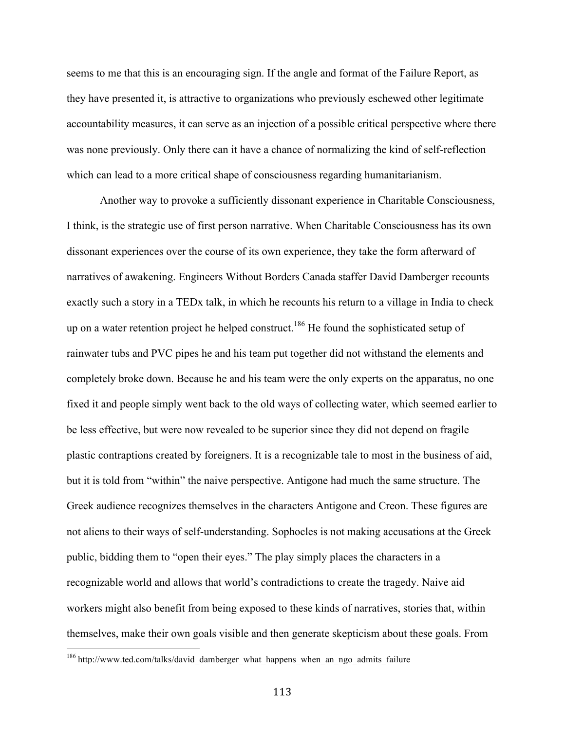seems to me that this is an encouraging sign. If the angle and format of the Failure Report, as they have presented it, is attractive to organizations who previously eschewed other legitimate accountability measures, it can serve as an injection of a possible critical perspective where there was none previously. Only there can it have a chance of normalizing the kind of self-reflection which can lead to a more critical shape of consciousness regarding humanitarianism.

Another way to provoke a sufficiently dissonant experience in Charitable Consciousness, I think, is the strategic use of first person narrative. When Charitable Consciousness has its own dissonant experiences over the course of its own experience, they take the form afterward of narratives of awakening. Engineers Without Borders Canada staffer David Damberger recounts exactly such a story in a TEDx talk, in which he recounts his return to a village in India to check up on a water retention project he helped construct.<sup>186</sup> He found the sophisticated setup of rainwater tubs and PVC pipes he and his team put together did not withstand the elements and completely broke down. Because he and his team were the only experts on the apparatus, no one fixed it and people simply went back to the old ways of collecting water, which seemed earlier to be less effective, but were now revealed to be superior since they did not depend on fragile plastic contraptions created by foreigners. It is a recognizable tale to most in the business of aid, but it is told from "within" the naive perspective. Antigone had much the same structure. The Greek audience recognizes themselves in the characters Antigone and Creon. These figures are not aliens to their ways of self-understanding. Sophocles is not making accusations at the Greek public, bidding them to "open their eyes." The play simply places the characters in a recognizable world and allows that world's contradictions to create the tragedy. Naive aid workers might also benefit from being exposed to these kinds of narratives, stories that, within themselves, make their own goals visible and then generate skepticism about these goals. From

<sup>&</sup>lt;sup>186</sup> http://www.ted.com/talks/david\_damberger\_what\_happens\_when\_an\_ngo\_admits\_failure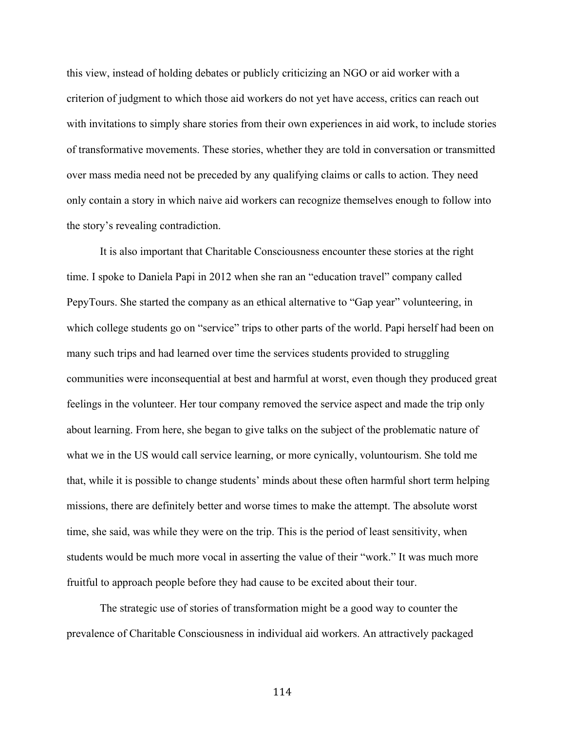this view, instead of holding debates or publicly criticizing an NGO or aid worker with a criterion of judgment to which those aid workers do not yet have access, critics can reach out with invitations to simply share stories from their own experiences in aid work, to include stories of transformative movements. These stories, whether they are told in conversation or transmitted over mass media need not be preceded by any qualifying claims or calls to action. They need only contain a story in which naive aid workers can recognize themselves enough to follow into the story's revealing contradiction.

It is also important that Charitable Consciousness encounter these stories at the right time. I spoke to Daniela Papi in 2012 when she ran an "education travel" company called PepyTours. She started the company as an ethical alternative to "Gap year" volunteering, in which college students go on "service" trips to other parts of the world. Papi herself had been on many such trips and had learned over time the services students provided to struggling communities were inconsequential at best and harmful at worst, even though they produced great feelings in the volunteer. Her tour company removed the service aspect and made the trip only about learning. From here, she began to give talks on the subject of the problematic nature of what we in the US would call service learning, or more cynically, voluntourism. She told me that, while it is possible to change students' minds about these often harmful short term helping missions, there are definitely better and worse times to make the attempt. The absolute worst time, she said, was while they were on the trip. This is the period of least sensitivity, when students would be much more vocal in asserting the value of their "work." It was much more fruitful to approach people before they had cause to be excited about their tour.

The strategic use of stories of transformation might be a good way to counter the prevalence of Charitable Consciousness in individual aid workers. An attractively packaged

114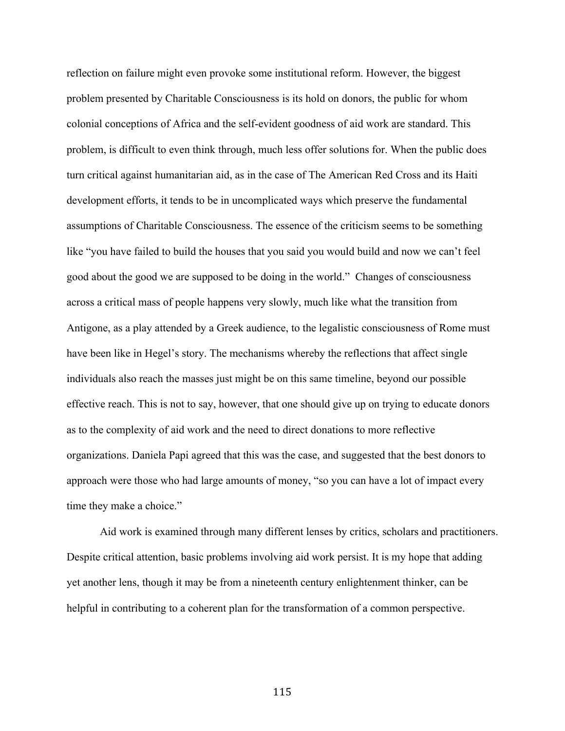reflection on failure might even provoke some institutional reform. However, the biggest problem presented by Charitable Consciousness is its hold on donors, the public for whom colonial conceptions of Africa and the self-evident goodness of aid work are standard. This problem, is difficult to even think through, much less offer solutions for. When the public does turn critical against humanitarian aid, as in the case of The American Red Cross and its Haiti development efforts, it tends to be in uncomplicated ways which preserve the fundamental assumptions of Charitable Consciousness. The essence of the criticism seems to be something like "you have failed to build the houses that you said you would build and now we can't feel good about the good we are supposed to be doing in the world." Changes of consciousness across a critical mass of people happens very slowly, much like what the transition from Antigone, as a play attended by a Greek audience, to the legalistic consciousness of Rome must have been like in Hegel's story. The mechanisms whereby the reflections that affect single individuals also reach the masses just might be on this same timeline, beyond our possible effective reach. This is not to say, however, that one should give up on trying to educate donors as to the complexity of aid work and the need to direct donations to more reflective organizations. Daniela Papi agreed that this was the case, and suggested that the best donors to approach were those who had large amounts of money, "so you can have a lot of impact every time they make a choice."

Aid work is examined through many different lenses by critics, scholars and practitioners. Despite critical attention, basic problems involving aid work persist. It is my hope that adding yet another lens, though it may be from a nineteenth century enlightenment thinker, can be helpful in contributing to a coherent plan for the transformation of a common perspective.

115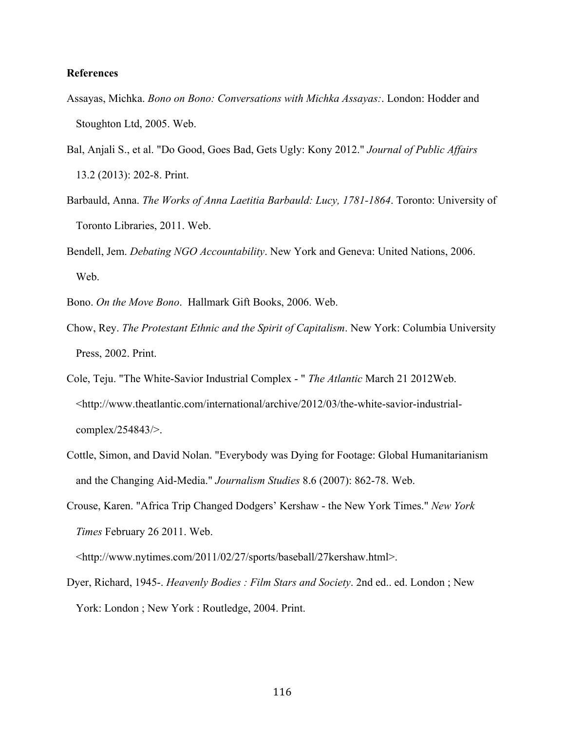## **References**

- Assayas, Michka. *Bono on Bono: Conversations with Michka Assayas:*. London: Hodder and Stoughton Ltd, 2005. Web.
- Bal, Anjali S., et al. "Do Good, Goes Bad, Gets Ugly: Kony 2012." *Journal of Public Affairs* 13.2 (2013): 202-8. Print.
- Barbauld, Anna. *The Works of Anna Laetitia Barbauld: Lucy, 1781-1864*. Toronto: University of Toronto Libraries, 2011. Web.
- Bendell, Jem. *Debating NGO Accountability*. New York and Geneva: United Nations, 2006. Web.
- Bono. *On the Move Bono*. Hallmark Gift Books, 2006. Web.
- Chow, Rey. *The Protestant Ethnic and the Spirit of Capitalism*. New York: Columbia University Press, 2002. Print.
- Cole, Teju. "The White-Savior Industrial Complex " *The Atlantic* March 21 2012Web. <http://www.theatlantic.com/international/archive/2012/03/the-white-savior-industrialcomplex/254843/>.
- Cottle, Simon, and David Nolan. "Everybody was Dying for Footage: Global Humanitarianism and the Changing Aid-Media." *Journalism Studies* 8.6 (2007): 862-78. Web.
- Crouse, Karen. "Africa Trip Changed Dodgers' Kershaw the New York Times." *New York Times* February 26 2011. Web.

<http://www.nytimes.com/2011/02/27/sports/baseball/27kershaw.html>.

Dyer, Richard, 1945-. *Heavenly Bodies : Film Stars and Society*. 2nd ed.. ed. London ; New York: London ; New York : Routledge, 2004. Print.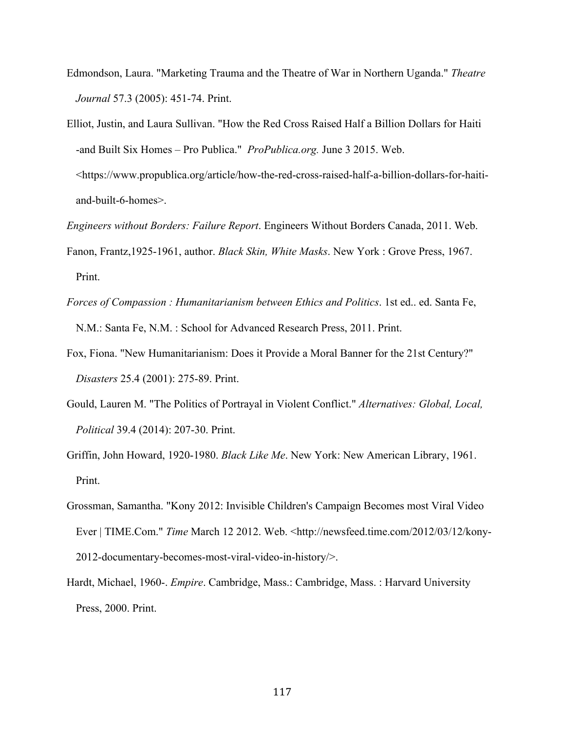- Edmondson, Laura. "Marketing Trauma and the Theatre of War in Northern Uganda." *Theatre Journal* 57.3 (2005): 451-74. Print.
- Elliot, Justin, and Laura Sullivan. "How the Red Cross Raised Half a Billion Dollars for Haiti -and Built Six Homes – Pro Publica." *ProPublica.org.* June 3 2015. Web. <https://www.propublica.org/article/how-the-red-cross-raised-half-a-billion-dollars-for-haitiand-built-6-homes>.

*Engineers without Borders: Failure Report*. Engineers Without Borders Canada, 2011. Web.

- Fanon, Frantz,1925-1961, author. *Black Skin, White Masks*. New York : Grove Press, 1967. Print.
- *Forces of Compassion : Humanitarianism between Ethics and Politics*. 1st ed.. ed. Santa Fe, N.M.: Santa Fe, N.M. : School for Advanced Research Press, 2011. Print.
- Fox, Fiona. "New Humanitarianism: Does it Provide a Moral Banner for the 21st Century?" *Disasters* 25.4 (2001): 275-89. Print.
- Gould, Lauren M. "The Politics of Portrayal in Violent Conflict." *Alternatives: Global, Local, Political* 39.4 (2014): 207-30. Print.
- Griffin, John Howard, 1920-1980. *Black Like Me*. New York: New American Library, 1961. Print.
- Grossman, Samantha. "Kony 2012: Invisible Children's Campaign Becomes most Viral Video Ever | TIME.Com." *Time* March 12 2012. Web. <http://newsfeed.time.com/2012/03/12/kony-2012-documentary-becomes-most-viral-video-in-history/>.
- Hardt, Michael, 1960-. *Empire*. Cambridge, Mass.: Cambridge, Mass. : Harvard University Press, 2000. Print.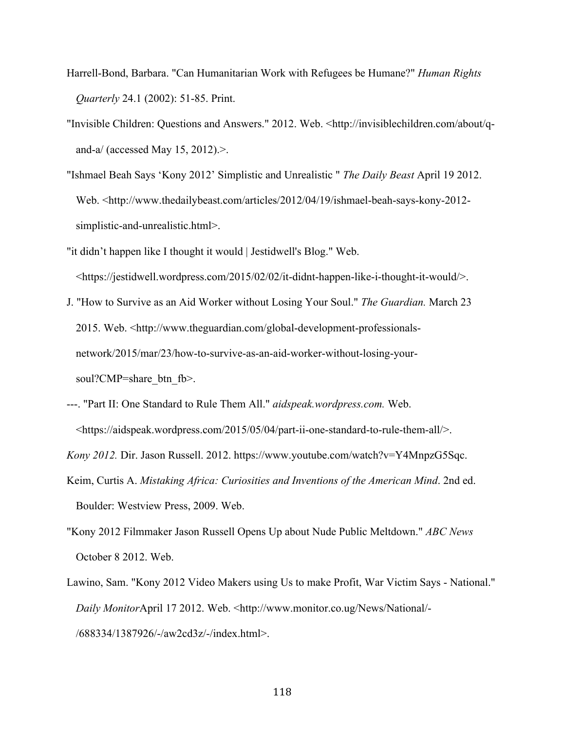- Harrell-Bond, Barbara. "Can Humanitarian Work with Refugees be Humane?" *Human Rights Quarterly* 24.1 (2002): 51-85. Print.
- "Invisible Children: Questions and Answers." 2012. Web. <http://invisiblechildren.com/about/qand-a/ (accessed May 15, 2012).>.
- "Ishmael Beah Says 'Kony 2012' Simplistic and Unrealistic " *The Daily Beast* April 19 2012. Web. <http://www.thedailybeast.com/articles/2012/04/19/ishmael-beah-says-kony-2012 simplistic-and-unrealistic.html>.
- "it didn't happen like I thought it would | Jestidwell's Blog." Web. <https://jestidwell.wordpress.com/2015/02/02/it-didnt-happen-like-i-thought-it-would/>.
- J. "How to Survive as an Aid Worker without Losing Your Soul." *The Guardian.* March 23 2015. Web. <http://www.theguardian.com/global-development-professionalsnetwork/2015/mar/23/how-to-survive-as-an-aid-worker-without-losing-yoursoul?CMP=share\_btn\_fb>.
- ---. "Part II: One Standard to Rule Them All." *aidspeak.wordpress.com.* Web. <https://aidspeak.wordpress.com/2015/05/04/part-ii-one-standard-to-rule-them-all/>.
- *Kony 2012.* Dir. Jason Russell. 2012. https://www.youtube.com/watch?v=Y4MnpzG5Sqc.
- Keim, Curtis A. *Mistaking Africa: Curiosities and Inventions of the American Mind*. 2nd ed. Boulder: Westview Press, 2009. Web.
- "Kony 2012 Filmmaker Jason Russell Opens Up about Nude Public Meltdown." *ABC News* October 8 2012. Web.
- Lawino, Sam. "Kony 2012 Video Makers using Us to make Profit, War Victim Says National." *Daily Monitor*April 17 2012. Web. <http://www.monitor.co.ug/News/National/- /688334/1387926/-/aw2cd3z/-/index.html>.